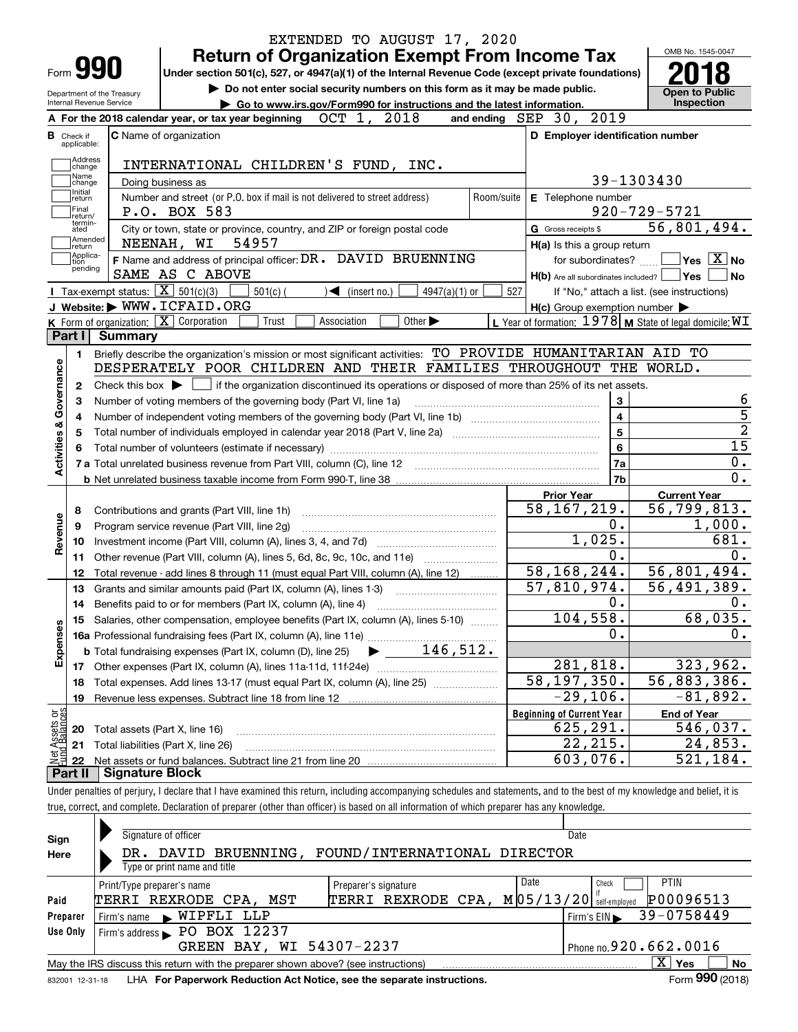|                                                                                                                                     |         |                                                    | <b>Return of Organization Exempt From Income Tax</b>                                                                                                           |             |                            |                             |                 |                    |     |                     |                                  | OMB No. 1545-0047                                           |                                                                                                                  |
|-------------------------------------------------------------------------------------------------------------------------------------|---------|----------------------------------------------------|----------------------------------------------------------------------------------------------------------------------------------------------------------------|-------------|----------------------------|-----------------------------|-----------------|--------------------|-----|---------------------|----------------------------------|-------------------------------------------------------------|------------------------------------------------------------------------------------------------------------------|
| Form <b>990</b>                                                                                                                     |         |                                                    | Under section 501(c), 527, or 4947(a)(1) of the Internal Revenue Code (except private foundations)                                                             |             |                            |                             |                 |                    |     |                     |                                  |                                                             |                                                                                                                  |
| Department of the Treasury                                                                                                          |         |                                                    | Do not enter social security numbers on this form as it may be made public.                                                                                    |             |                            |                             |                 |                    |     |                     |                                  | <b>Open to Public</b>                                       |                                                                                                                  |
| Internal Revenue Service                                                                                                            |         |                                                    | Go to www.irs.gov/Form990 for instructions and the latest information.<br>A For the 2018 calendar year, or tax year beginning                                  |             | OCT 1, 2018                |                             |                 |                    |     |                     | and ending SEP 30, 2019          | Inspection                                                  |                                                                                                                  |
|                                                                                                                                     |         |                                                    |                                                                                                                                                                |             |                            |                             |                 |                    |     |                     |                                  |                                                             |                                                                                                                  |
| <b>B</b> Check if<br>applicable:                                                                                                    |         | <b>C</b> Name of organization                      |                                                                                                                                                                |             |                            |                             |                 |                    |     |                     |                                  | D Employer identification number                            |                                                                                                                  |
| Address<br>change                                                                                                                   |         |                                                    | INTERNATIONAL CHILDREN'S FUND, INC.                                                                                                                            |             |                            |                             |                 |                    |     |                     |                                  |                                                             |                                                                                                                  |
| Name<br>change                                                                                                                      |         | Doing business as                                  |                                                                                                                                                                |             |                            |                             |                 |                    |     |                     |                                  | 39-1303430                                                  |                                                                                                                  |
| Initial<br>Number and street (or P.O. box if mail is not delivered to street address)<br>E Telephone number<br>Room/suite<br>return |         |                                                    |                                                                                                                                                                |             |                            |                             |                 |                    |     |                     |                                  |                                                             |                                                                                                                  |
| Final<br>P.O. BOX 583<br>lreturn/                                                                                                   |         |                                                    |                                                                                                                                                                |             |                            |                             |                 | $920 - 729 - 5721$ |     |                     |                                  |                                                             |                                                                                                                  |
| termin-<br>ated                                                                                                                     |         |                                                    | City or town, state or province, country, and ZIP or foreign postal code                                                                                       |             |                            |                             |                 |                    |     | G Gross receipts \$ |                                  | 56,801,494.                                                 |                                                                                                                  |
| Amended<br>∣return                                                                                                                  |         | NEENAH, WI                                         | 54957                                                                                                                                                          |             |                            |                             |                 |                    |     |                     | $H(a)$ is this a group return    |                                                             |                                                                                                                  |
| Applica-<br>tion                                                                                                                    |         |                                                    | F Name and address of principal officer: DR. DAVID BRUENNING                                                                                                   |             |                            |                             |                 |                    |     |                     | for subordinates?                | $\sqrt{}$ Yes $\sqrt{}$ X $\sqrt{}$ No                      |                                                                                                                  |
| pending                                                                                                                             |         | SAME AS C ABOVE                                    |                                                                                                                                                                |             |                            |                             |                 |                    |     |                     |                                  | $H(b)$ Are all subordinates included? $\Box$ Yes $\Box$     | ∣No                                                                                                              |
|                                                                                                                                     |         | Tax-exempt status: $\boxed{\mathbf{X}}$ 501(c)(3)  | $501(c)$ (                                                                                                                                                     |             | $\mathcal{L}$ (insert no.) |                             | $4947(a)(1)$ or |                    | 527 |                     |                                  | If "No," attach a list. (see instructions)                  |                                                                                                                  |
|                                                                                                                                     |         | J Website: WWW.ICFAID.ORG                          |                                                                                                                                                                |             |                            |                             |                 |                    |     |                     |                                  | $H(c)$ Group exemption number $\blacktriangleright$         |                                                                                                                  |
|                                                                                                                                     |         | K Form of organization: $\overline{X}$ Corporation | Trust                                                                                                                                                          | Association |                            | Other $\blacktriangleright$ |                 |                    |     |                     |                                  | L Year of formation: $1978$ M State of legal domicile: $WT$ |                                                                                                                  |
| Part I                                                                                                                              | Summarv |                                                    |                                                                                                                                                                |             |                            |                             |                 |                    |     |                     |                                  |                                                             |                                                                                                                  |
| 1.                                                                                                                                  |         |                                                    | Briefly describe the organization's mission or most significant activities: TO PROVIDE HUMANITARIAN AID TO                                                     |             |                            |                             |                 |                    |     |                     |                                  |                                                             |                                                                                                                  |
|                                                                                                                                     |         |                                                    |                                                                                                                                                                |             |                            |                             |                 |                    |     |                     |                                  |                                                             |                                                                                                                  |
|                                                                                                                                     |         |                                                    | DESPERATELY POOR CHILDREN AND THEIR FAMILIES THROUGHOUT THE WORLD.                                                                                             |             |                            |                             |                 |                    |     |                     |                                  |                                                             |                                                                                                                  |
| 2                                                                                                                                   |         |                                                    | Check this box $\blacktriangleright$ $\Box$ if the organization discontinued its operations or disposed of more than 25% of its net assets.                    |             |                            |                             |                 |                    |     |                     |                                  |                                                             |                                                                                                                  |
| з                                                                                                                                   |         |                                                    | Number of voting members of the governing body (Part VI, line 1a)                                                                                              |             |                            |                             |                 |                    |     |                     | 3                                |                                                             |                                                                                                                  |
| 4                                                                                                                                   |         |                                                    |                                                                                                                                                                |             |                            |                             |                 |                    |     |                     | $\overline{\mathbf{4}}$          |                                                             |                                                                                                                  |
| 5                                                                                                                                   |         |                                                    |                                                                                                                                                                |             |                            |                             |                 |                    |     |                     | $\overline{5}$                   |                                                             |                                                                                                                  |
|                                                                                                                                     |         |                                                    |                                                                                                                                                                |             |                            |                             |                 |                    |     |                     | 6                                |                                                             |                                                                                                                  |
|                                                                                                                                     |         |                                                    |                                                                                                                                                                |             |                            |                             |                 |                    |     |                     | 7a                               |                                                             |                                                                                                                  |
|                                                                                                                                     |         |                                                    |                                                                                                                                                                |             |                            |                             |                 |                    |     |                     | 7b                               |                                                             |                                                                                                                  |
|                                                                                                                                     |         |                                                    |                                                                                                                                                                |             |                            |                             |                 |                    |     | <b>Prior Year</b>   |                                  | <b>Current Year</b>                                         |                                                                                                                  |
| 8                                                                                                                                   |         | Contributions and grants (Part VIII, line 1h)      |                                                                                                                                                                |             |                            |                             |                 |                    |     |                     | 58, 167, 219.<br>$0$ .           | $\overline{56}$ , 799, 813.                                 |                                                                                                                  |
| 9<br>10                                                                                                                             |         | Program service revenue (Part VIII, line 2g)       |                                                                                                                                                                |             |                            |                             |                 |                    |     |                     | 1,025.                           |                                                             |                                                                                                                  |
| 11                                                                                                                                  |         |                                                    |                                                                                                                                                                |             |                            |                             |                 |                    |     |                     | 0.                               |                                                             |                                                                                                                  |
| 12                                                                                                                                  |         |                                                    | Other revenue (Part VIII, column (A), lines 5, 6d, 8c, 9c, 10c, and 11e)<br>Total revenue - add lines 8 through 11 (must equal Part VIII, column (A), line 12) |             |                            |                             |                 |                    |     |                     | 58, 168, 244.                    | 56,801,494.                                                 |                                                                                                                  |
| 13                                                                                                                                  |         |                                                    | Grants and similar amounts paid (Part IX, column (A), lines 1-3)                                                                                               |             |                            |                             |                 |                    |     |                     | $\overline{57,810,974.}$         | $\overline{56, 491, 389}$ .                                 |                                                                                                                  |
| 14                                                                                                                                  |         |                                                    |                                                                                                                                                                |             |                            |                             |                 |                    |     |                     | $0$ .                            |                                                             |                                                                                                                  |
|                                                                                                                                     |         |                                                    | 15 Salaries, other compensation, employee benefits (Part IX, column (A), lines 5-10)                                                                           |             |                            |                             |                 |                    |     |                     | 104,558.                         |                                                             |                                                                                                                  |
|                                                                                                                                     |         |                                                    |                                                                                                                                                                |             |                            |                             |                 |                    |     |                     | 0.                               |                                                             |                                                                                                                  |
|                                                                                                                                     |         |                                                    | <b>b</b> Total fundraising expenses (Part IX, column (D), line 25)                                                                                             |             |                            | 146,512.                    |                 |                    |     |                     |                                  |                                                             |                                                                                                                  |
| 17                                                                                                                                  |         |                                                    |                                                                                                                                                                |             |                            |                             |                 |                    |     |                     | 281,818.                         |                                                             |                                                                                                                  |
| 18                                                                                                                                  |         |                                                    |                                                                                                                                                                |             |                            |                             |                 |                    |     |                     | $\overline{58, 197, 350.}$       | $\overline{56,883,386}$ .                                   |                                                                                                                  |
| 19                                                                                                                                  |         |                                                    |                                                                                                                                                                |             |                            |                             |                 |                    |     |                     | $-29,106.$                       |                                                             |                                                                                                                  |
|                                                                                                                                     |         |                                                    |                                                                                                                                                                |             |                            |                             |                 |                    |     |                     | <b>Beginning of Current Year</b> | <b>End of Year</b>                                          |                                                                                                                  |
| Activities & Governance<br>Revenue<br>Expenses<br>20                                                                                |         | Total assets (Part X, line 16)                     |                                                                                                                                                                |             |                            |                             |                 |                    |     |                     | 625,291.                         |                                                             | $\overline{15}$<br>0.<br>0.<br>1,000.<br>681.<br>0.<br>0.<br>68,035.<br>0.<br>323,962.<br>$-81,892.$<br>546,037. |
| Assets or<br>d Balances<br>21<br>jet                                                                                                |         | Total liabilities (Part X, line 26)                |                                                                                                                                                                |             |                            |                             |                 |                    |     |                     | 22, 215.<br>603,076.             |                                                             | 24,853.<br>521,184.                                                                                              |

true, correct, and complete. Declaration of preparer (other than officer) is based on all information of which preparer has any knowledge.

| Sign            |                              |             | Signature of officer                                                              |                          |  | Date                    |                      |                                                                        |  |            |               |                     |           |
|-----------------|------------------------------|-------------|-----------------------------------------------------------------------------------|--------------------------|--|-------------------------|----------------------|------------------------------------------------------------------------|--|------------|---------------|---------------------|-----------|
| Here            |                              | DR.         | DAVID                                                                             | BRUENNING,               |  |                         |                      | FOUND/INTERNATIONAL DIRECTOR                                           |  |            |               |                     |           |
|                 | Type or print name and title |             |                                                                                   |                          |  |                         |                      |                                                                        |  |            |               |                     |           |
|                 |                              |             | Print/Type preparer's name                                                        |                          |  |                         | Preparer's signature |                                                                        |  | Date       | Check         | <b>PTIN</b>         |           |
| Paid            |                              |             | TERRI REXRODE CPA, MST                                                            |                          |  |                         |                      | TERRI REXRODE CPA,                                                     |  | M 05/13/20 | self-employed | P00096513           |           |
| Preparer        |                              | Firm's name |                                                                                   | WIPFLI LLP               |  |                         |                      |                                                                        |  |            | Firm's EIN    | 39-0758449          |           |
| Use Only        |                              |             | Firm's address PO BOX 12237                                                       |                          |  |                         |                      |                                                                        |  |            |               |                     |           |
|                 |                              |             |                                                                                   | GREEN BAY, WI 54307-2237 |  | Phone no. 920. 662.0016 |                      |                                                                        |  |            |               |                     |           |
|                 |                              |             | May the IRS discuss this return with the preparer shown above? (see instructions) |                          |  |                         |                      |                                                                        |  |            |               | $\mathbf{X}$<br>Yes | <b>No</b> |
| 832001 12-31-18 |                              |             |                                                                                   |                          |  |                         |                      | LHA For Paperwork Reduction Act Notice, see the separate instructions. |  |            |               | Form 990 (2018)     |           |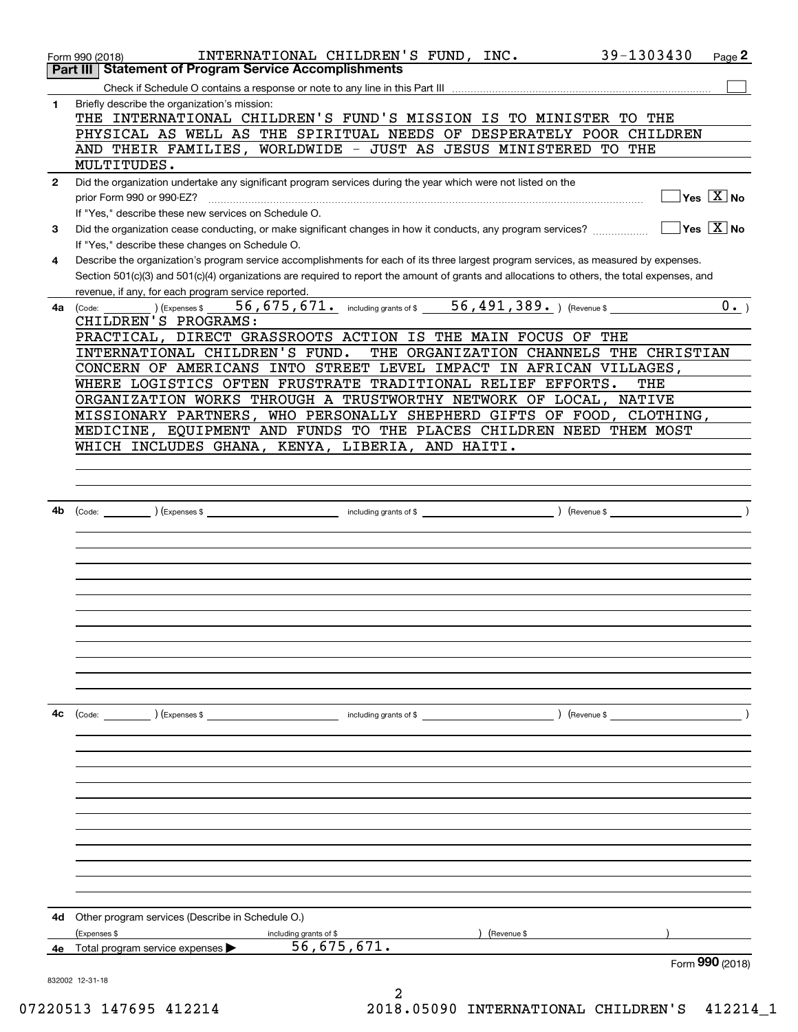|              | 39-1303430<br>INTERNATIONAL CHILDREN'S FUND, INC.<br>Page 2<br>Form 990 (2018)                                                                                  |
|--------------|-----------------------------------------------------------------------------------------------------------------------------------------------------------------|
|              | <b>Statement of Program Service Accomplishments</b><br>Part III                                                                                                 |
|              |                                                                                                                                                                 |
| 1            | Briefly describe the organization's mission:<br>THE INTERNATIONAL CHILDREN'S FUND'S MISSION IS TO MINISTER TO THE                                               |
|              | PHYSICAL AS WELL AS THE SPIRITUAL NEEDS OF DESPERATELY POOR CHILDREN                                                                                            |
|              | AND THEIR FAMILIES, WORLDWIDE - JUST AS JESUS MINISTERED TO THE                                                                                                 |
|              | MULTITUDES.                                                                                                                                                     |
| $\mathbf{2}$ | Did the organization undertake any significant program services during the year which were not listed on the                                                    |
|              | Yes $\boxed{\text{X}}$ No<br>prior Form 990 or 990-EZ?                                                                                                          |
|              | If "Yes," describe these new services on Schedule O.<br>$\overline{\mathsf{Y}}$ es $\overline{\mathsf{X}}$ No                                                   |
| 3            | Did the organization cease conducting, or make significant changes in how it conducts, any program services?<br>If "Yes," describe these changes on Schedule O. |
| 4            | Describe the organization's program service accomplishments for each of its three largest program services, as measured by expenses.                            |
|              | Section 501(c)(3) and 501(c)(4) organizations are required to report the amount of grants and allocations to others, the total expenses, and                    |
|              | revenue, if any, for each program service reported.                                                                                                             |
| 4a           | 56, 675, 671. including grants of \$ 56, 491, 389. ) (Revenue \$<br>$0 \cdot$ )<br>(Expenses \$<br>(Code:                                                       |
|              | CHILDREN'S PROGRAMS:                                                                                                                                            |
|              | PRACTICAL, DIRECT GRASSROOTS ACTION IS THE MAIN FOCUS OF THE                                                                                                    |
|              | INTERNATIONAL CHILDREN'S FUND.<br>THE ORGANIZATION CHANNELS THE CHRISTIAN<br>CONCERN OF AMERICANS INTO STREET LEVEL IMPACT IN AFRICAN VILLAGES,                 |
|              | WHERE LOGISTICS OFTEN FRUSTRATE TRADITIONAL RELIEF EFFORTS.<br>THE                                                                                              |
|              | ORGANIZATION WORKS THROUGH A TRUSTWORTHY NETWORK OF LOCAL, NATIVE                                                                                               |
|              | MISSIONARY PARTNERS, WHO PERSONALLY SHEPHERD GIFTS OF FOOD, CLOTHING,                                                                                           |
|              | MEDICINE, EQUIPMENT AND FUNDS TO THE PLACES CHILDREN NEED THEM MOST                                                                                             |
|              | WHICH INCLUDES GHANA, KENYA, LIBERIA, AND HAITI.                                                                                                                |
|              |                                                                                                                                                                 |
|              |                                                                                                                                                                 |
|              |                                                                                                                                                                 |
| 4b           |                                                                                                                                                                 |
|              |                                                                                                                                                                 |
|              |                                                                                                                                                                 |
|              |                                                                                                                                                                 |
|              |                                                                                                                                                                 |
|              |                                                                                                                                                                 |
|              |                                                                                                                                                                 |
|              |                                                                                                                                                                 |
|              |                                                                                                                                                                 |
|              |                                                                                                                                                                 |
|              |                                                                                                                                                                 |
| 4c           |                                                                                                                                                                 |
|              | (Code: ) (Expenses \$                                                                                                                                           |
|              |                                                                                                                                                                 |
|              |                                                                                                                                                                 |
|              |                                                                                                                                                                 |
|              |                                                                                                                                                                 |
|              |                                                                                                                                                                 |
|              |                                                                                                                                                                 |
|              |                                                                                                                                                                 |
|              |                                                                                                                                                                 |
|              |                                                                                                                                                                 |
|              |                                                                                                                                                                 |
| 4d           | Other program services (Describe in Schedule O.)                                                                                                                |
|              | ) (Revenue \$<br>(Expenses \$<br>including grants of \$                                                                                                         |
| 4е           | 56,675,671.<br>Total program service expenses                                                                                                                   |
|              | Form 990 (2018)                                                                                                                                                 |
|              | 832002 12-31-18                                                                                                                                                 |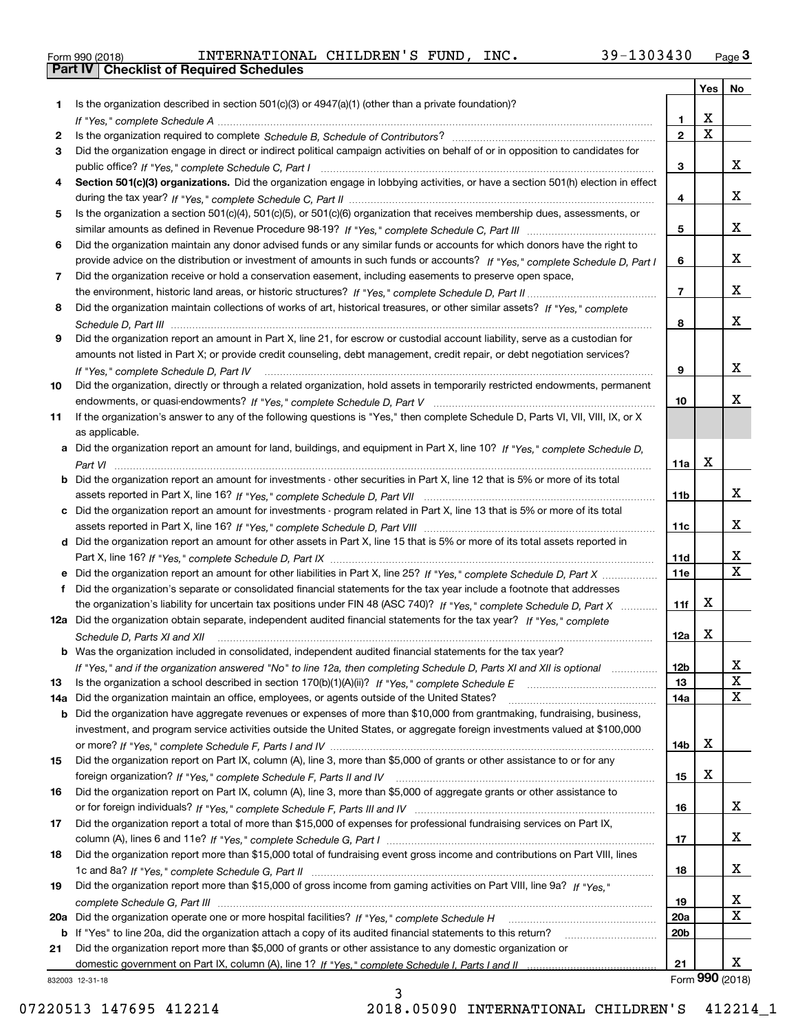|  | Form 990 (2018) |  |
|--|-----------------|--|

Form 990 (2018) INTERNATIONAL CHILDREN'S FUND, INC. 39-1303430 <sub>Page</sub> 3<br>**Part IV | Checklist of Required Schedules** 

|     |                                                                                                                                   |                 | Yes                     | No                           |
|-----|-----------------------------------------------------------------------------------------------------------------------------------|-----------------|-------------------------|------------------------------|
| 1.  | Is the organization described in section 501(c)(3) or 4947(a)(1) (other than a private foundation)?                               |                 |                         |                              |
|     |                                                                                                                                   | 1.              | х                       |                              |
| 2   |                                                                                                                                   | $\mathbf{2}$    | $\overline{\mathtt{x}}$ |                              |
| 3   | Did the organization engage in direct or indirect political campaign activities on behalf of or in opposition to candidates for   |                 |                         |                              |
|     |                                                                                                                                   | 3               |                         | x                            |
| 4   | Section 501(c)(3) organizations. Did the organization engage in lobbying activities, or have a section 501(h) election in effect  |                 |                         |                              |
|     |                                                                                                                                   | 4               |                         | x                            |
| 5   | Is the organization a section 501(c)(4), 501(c)(5), or 501(c)(6) organization that receives membership dues, assessments, or      |                 |                         |                              |
|     |                                                                                                                                   | 5               |                         | x                            |
| 6   | Did the organization maintain any donor advised funds or any similar funds or accounts for which donors have the right to         |                 |                         |                              |
|     | provide advice on the distribution or investment of amounts in such funds or accounts? If "Yes," complete Schedule D, Part I      | 6               |                         | x                            |
| 7   | Did the organization receive or hold a conservation easement, including easements to preserve open space,                         |                 |                         |                              |
|     |                                                                                                                                   | $\overline{7}$  |                         | x                            |
| 8   | Did the organization maintain collections of works of art, historical treasures, or other similar assets? If "Yes," complete      |                 |                         |                              |
|     |                                                                                                                                   | 8               |                         | x                            |
| 9   | Did the organization report an amount in Part X, line 21, for escrow or custodial account liability, serve as a custodian for     |                 |                         |                              |
|     | amounts not listed in Part X; or provide credit counseling, debt management, credit repair, or debt negotiation services?         |                 |                         |                              |
|     | If "Yes." complete Schedule D. Part IV                                                                                            | 9               |                         | x                            |
| 10  | Did the organization, directly or through a related organization, hold assets in temporarily restricted endowments, permanent     |                 |                         |                              |
|     |                                                                                                                                   | 10              |                         | х                            |
| 11  | If the organization's answer to any of the following questions is "Yes," then complete Schedule D, Parts VI, VIII, VIII, IX, or X |                 |                         |                              |
|     | as applicable.                                                                                                                    |                 |                         |                              |
|     | a Did the organization report an amount for land, buildings, and equipment in Part X, line 10? If "Yes," complete Schedule D,     |                 |                         |                              |
|     |                                                                                                                                   | 11a             | X                       |                              |
| b   | Did the organization report an amount for investments - other securities in Part X, line 12 that is 5% or more of its total       |                 |                         |                              |
|     |                                                                                                                                   | 11 <sub>b</sub> |                         | x                            |
|     | c Did the organization report an amount for investments - program related in Part X, line 13 that is 5% or more of its total      |                 |                         |                              |
|     |                                                                                                                                   | 11c             |                         | x                            |
|     | d Did the organization report an amount for other assets in Part X, line 15 that is 5% or more of its total assets reported in    |                 |                         |                              |
|     |                                                                                                                                   | 11d             |                         | x<br>$\overline{\mathbf{X}}$ |
| е   |                                                                                                                                   | 11e             |                         |                              |
| f   | Did the organization's separate or consolidated financial statements for the tax year include a footnote that addresses           |                 | х                       |                              |
|     | the organization's liability for uncertain tax positions under FIN 48 (ASC 740)? If "Yes," complete Schedule D, Part X            | 11f             |                         |                              |
|     | 12a Did the organization obtain separate, independent audited financial statements for the tax year? If "Yes," complete           |                 | X                       |                              |
|     | Schedule D, Parts XI and XII                                                                                                      | 12a             |                         |                              |
|     | <b>b</b> Was the organization included in consolidated, independent audited financial statements for the tax year?                |                 |                         | x                            |
| 13  | If "Yes," and if the organization answered "No" to line 12a, then completing Schedule D, Parts XI and XII is optional manum       | 12b<br>13       |                         | X                            |
| 14a | Did the organization maintain an office, employees, or agents outside of the United States?                                       | 14a             |                         | X                            |
| b   | Did the organization have aggregate revenues or expenses of more than \$10,000 from grantmaking, fundraising, business,           |                 |                         |                              |
|     | investment, and program service activities outside the United States, or aggregate foreign investments valued at \$100,000        |                 |                         |                              |
|     |                                                                                                                                   | 14b             | х                       |                              |
| 15  | Did the organization report on Part IX, column (A), line 3, more than \$5,000 of grants or other assistance to or for any         |                 |                         |                              |
|     |                                                                                                                                   | 15              | х                       |                              |
| 16  | Did the organization report on Part IX, column (A), line 3, more than \$5,000 of aggregate grants or other assistance to          |                 |                         |                              |
|     |                                                                                                                                   | 16              |                         | x                            |
| 17  | Did the organization report a total of more than \$15,000 of expenses for professional fundraising services on Part IX,           |                 |                         |                              |
|     |                                                                                                                                   | 17              |                         | x                            |
| 18  | Did the organization report more than \$15,000 total of fundraising event gross income and contributions on Part VIII, lines      |                 |                         |                              |
|     |                                                                                                                                   | 18              |                         | x                            |
| 19  | Did the organization report more than \$15,000 of gross income from gaming activities on Part VIII, line 9a? If "Yes."            |                 |                         |                              |
|     |                                                                                                                                   | 19              |                         | X                            |
| 20a |                                                                                                                                   | 20a             |                         | X                            |
| b   | If "Yes" to line 20a, did the organization attach a copy of its audited financial statements to this return?                      | 20b             |                         |                              |
| 21  | Did the organization report more than \$5,000 of grants or other assistance to any domestic organization or                       |                 |                         |                              |
|     |                                                                                                                                   | 21              |                         | х                            |
|     | 832003 12-31-18                                                                                                                   |                 | Form 990 (2018)         |                              |

832003 12-31-18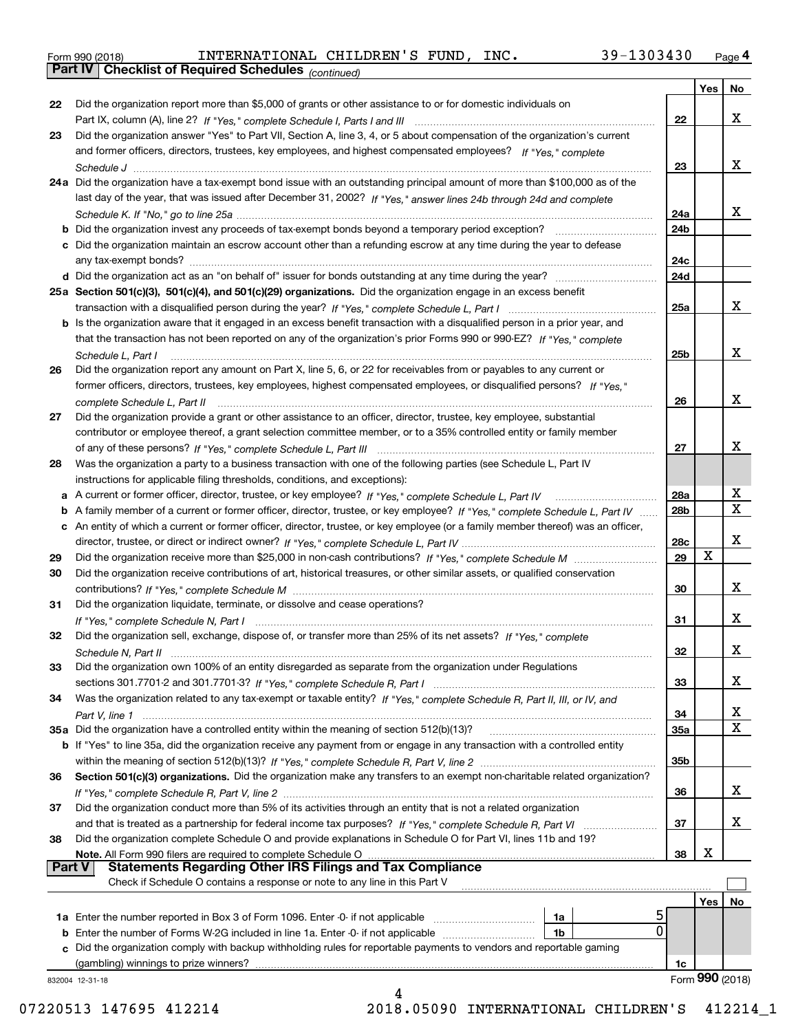|  | Form 990 (2018) |  |
|--|-----------------|--|
|  |                 |  |

*(continued)*

|               |                                                                                                                                   |                 | Yes | No              |
|---------------|-----------------------------------------------------------------------------------------------------------------------------------|-----------------|-----|-----------------|
| 22            | Did the organization report more than \$5,000 of grants or other assistance to or for domestic individuals on                     |                 |     |                 |
|               |                                                                                                                                   | 22              |     | x               |
| 23            | Did the organization answer "Yes" to Part VII, Section A, line 3, 4, or 5 about compensation of the organization's current        |                 |     |                 |
|               | and former officers, directors, trustees, key employees, and highest compensated employees? If "Yes," complete                    |                 |     |                 |
|               |                                                                                                                                   | 23              |     | x               |
|               | 24a Did the organization have a tax-exempt bond issue with an outstanding principal amount of more than \$100,000 as of the       |                 |     |                 |
|               | last day of the year, that was issued after December 31, 2002? If "Yes," answer lines 24b through 24d and complete                |                 |     |                 |
|               |                                                                                                                                   | 24a             |     | x               |
|               | <b>b</b> Did the organization invest any proceeds of tax-exempt bonds beyond a temporary period exception?                        | 24b             |     |                 |
|               | c Did the organization maintain an escrow account other than a refunding escrow at any time during the year to defease            |                 |     |                 |
|               |                                                                                                                                   | 24c             |     |                 |
|               |                                                                                                                                   | 24d             |     |                 |
|               |                                                                                                                                   |                 |     |                 |
|               | 25a Section 501(c)(3), 501(c)(4), and 501(c)(29) organizations. Did the organization engage in an excess benefit                  |                 |     |                 |
|               |                                                                                                                                   | 25a             |     | x               |
|               | b Is the organization aware that it engaged in an excess benefit transaction with a disqualified person in a prior year, and      |                 |     |                 |
|               | that the transaction has not been reported on any of the organization's prior Forms 990 or 990-EZ? If "Yes," complete             |                 |     |                 |
|               | Schedule L, Part I                                                                                                                | 25b             |     | x               |
| 26            | Did the organization report any amount on Part X, line 5, 6, or 22 for receivables from or payables to any current or             |                 |     |                 |
|               | former officers, directors, trustees, key employees, highest compensated employees, or disqualified persons? If "Yes."            |                 |     |                 |
|               |                                                                                                                                   | 26              |     | x               |
| 27            | Did the organization provide a grant or other assistance to an officer, director, trustee, key employee, substantial              |                 |     |                 |
|               | contributor or employee thereof, a grant selection committee member, or to a 35% controlled entity or family member               |                 |     |                 |
|               |                                                                                                                                   | 27              |     | х               |
| 28            | Was the organization a party to a business transaction with one of the following parties (see Schedule L, Part IV                 |                 |     |                 |
|               | instructions for applicable filing thresholds, conditions, and exceptions):                                                       |                 |     |                 |
|               | a A current or former officer, director, trustee, or key employee? If "Yes," complete Schedule L, Part IV                         | 28a             |     | x               |
|               | b A family member of a current or former officer, director, trustee, or key employee? If "Yes," complete Schedule L, Part IV      | 28b             |     | $\mathbf X$     |
|               |                                                                                                                                   |                 |     |                 |
|               | c An entity of which a current or former officer, director, trustee, or key employee (or a family member thereof) was an officer, |                 |     | x               |
|               |                                                                                                                                   | 28c             | X   |                 |
| 29            |                                                                                                                                   | 29              |     |                 |
| 30            | Did the organization receive contributions of art, historical treasures, or other similar assets, or qualified conservation       |                 |     |                 |
|               |                                                                                                                                   | 30              |     | x               |
| 31            | Did the organization liquidate, terminate, or dissolve and cease operations?                                                      |                 |     |                 |
|               |                                                                                                                                   | 31              |     | х               |
| 32            | Did the organization sell, exchange, dispose of, or transfer more than 25% of its net assets? If "Yes," complete                  |                 |     |                 |
|               |                                                                                                                                   | 32              |     | х               |
| 33            | Did the organization own 100% of an entity disregarded as separate from the organization under Regulations                        |                 |     |                 |
|               |                                                                                                                                   | 33              |     | х               |
| 34            | Was the organization related to any tax-exempt or taxable entity? If "Yes," complete Schedule R, Part II, III, or IV, and         |                 |     |                 |
|               |                                                                                                                                   | 34              |     | X               |
|               | 35a Did the organization have a controlled entity within the meaning of section 512(b)(13)?                                       | 35a             |     | X               |
|               | b If "Yes" to line 35a, did the organization receive any payment from or engage in any transaction with a controlled entity       |                 |     |                 |
|               |                                                                                                                                   | 35 <sub>b</sub> |     |                 |
| 36            | Section 501(c)(3) organizations. Did the organization make any transfers to an exempt non-charitable related organization?        |                 |     |                 |
|               |                                                                                                                                   |                 |     | x               |
|               |                                                                                                                                   | 36              |     |                 |
| 37            | Did the organization conduct more than 5% of its activities through an entity that is not a related organization                  |                 |     |                 |
|               |                                                                                                                                   | 37              |     | x               |
| 38            | Did the organization complete Schedule O and provide explanations in Schedule O for Part VI, lines 11b and 19?                    |                 |     |                 |
|               | Note. All Form 990 filers are required to complete Schedule O                                                                     | 38              | X   |                 |
| <b>Part V</b> | <b>Statements Regarding Other IRS Filings and Tax Compliance</b>                                                                  |                 |     |                 |
|               | Check if Schedule O contains a response or note to any line in this Part V                                                        |                 |     |                 |
|               |                                                                                                                                   |                 | Yes | No              |
|               | <b>1a</b> Enter the number reported in Box 3 of Form 1096. Enter -0- if not applicable <i>manumumumum</i><br>1a                   |                 |     |                 |
|               | $\mathbf 0$<br><b>b</b> Enter the number of Forms W-2G included in line 1a. Enter -0- if not applicable<br>1b                     |                 |     |                 |
|               | c Did the organization comply with backup withholding rules for reportable payments to vendors and reportable gaming              |                 |     |                 |
|               | (gambling) winnings to prize winners?                                                                                             | 1c              |     |                 |
|               | 832004 12-31-18                                                                                                                   |                 |     | Form 990 (2018) |
|               |                                                                                                                                   |                 |     |                 |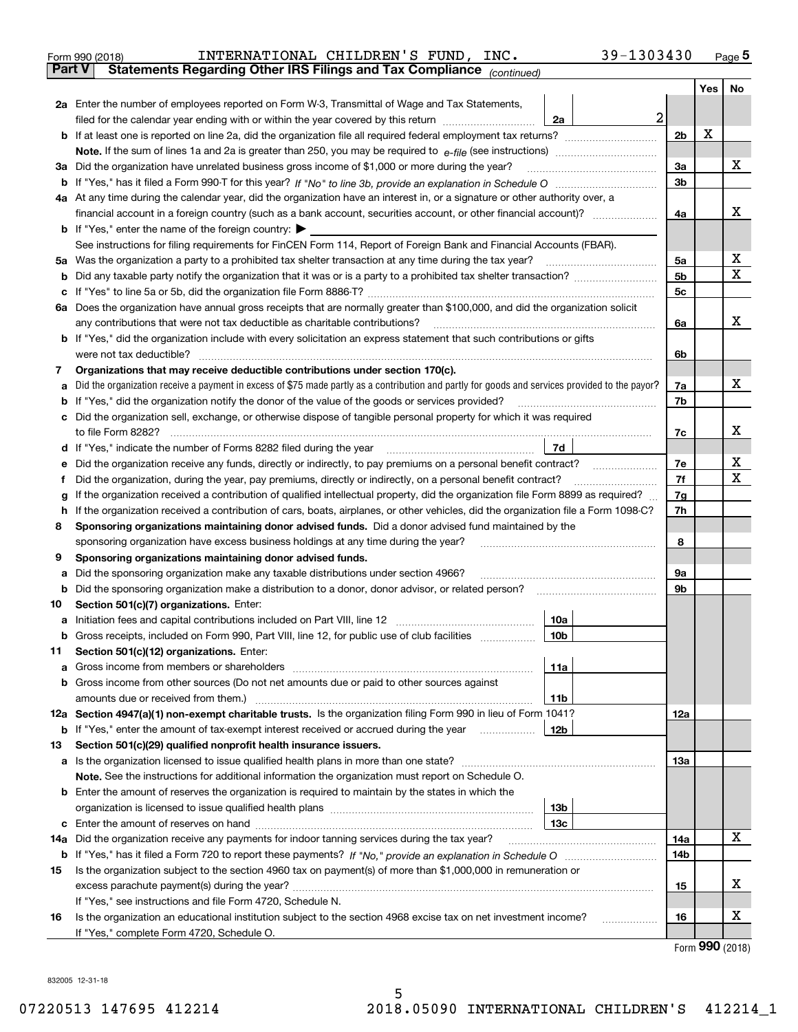|        | 39-1303430<br>INTERNATIONAL CHILDREN'S FUND, INC.<br>Form 990 (2018)                                                                                                                                                                 |                |      | $_{\text{Page}}$ 5 |  |  |  |  |
|--------|--------------------------------------------------------------------------------------------------------------------------------------------------------------------------------------------------------------------------------------|----------------|------|--------------------|--|--|--|--|
| Part V | Statements Regarding Other IRS Filings and Tax Compliance (continued)                                                                                                                                                                |                |      |                    |  |  |  |  |
|        |                                                                                                                                                                                                                                      |                | Yes  | No                 |  |  |  |  |
|        | 2a Enter the number of employees reported on Form W-3, Transmittal of Wage and Tax Statements,                                                                                                                                       |                |      |                    |  |  |  |  |
|        | filed for the calendar year ending with or within the year covered by this return<br>2a                                                                                                                                              | $\overline{a}$ |      |                    |  |  |  |  |
|        |                                                                                                                                                                                                                                      | 2b             | X    |                    |  |  |  |  |
|        |                                                                                                                                                                                                                                      |                |      |                    |  |  |  |  |
| За     | Did the organization have unrelated business gross income of \$1,000 or more during the year?                                                                                                                                        | 3a             |      | x                  |  |  |  |  |
|        |                                                                                                                                                                                                                                      | 3 <sub>b</sub> |      |                    |  |  |  |  |
|        | 4a At any time during the calendar year, did the organization have an interest in, or a signature or other authority over, a                                                                                                         |                |      |                    |  |  |  |  |
|        |                                                                                                                                                                                                                                      | 4a             |      | х                  |  |  |  |  |
|        | <b>b</b> If "Yes," enter the name of the foreign country: $\blacktriangleright$                                                                                                                                                      |                |      |                    |  |  |  |  |
|        | See instructions for filing requirements for FinCEN Form 114, Report of Foreign Bank and Financial Accounts (FBAR).                                                                                                                  |                |      |                    |  |  |  |  |
| 5a     | Was the organization a party to a prohibited tax shelter transaction at any time during the tax year?                                                                                                                                | 5a             |      | х<br>X             |  |  |  |  |
| b      |                                                                                                                                                                                                                                      |                |      |                    |  |  |  |  |
| с      |                                                                                                                                                                                                                                      | 5c             |      |                    |  |  |  |  |
|        | 6a Does the organization have annual gross receipts that are normally greater than \$100,000, and did the organization solicit                                                                                                       |                |      |                    |  |  |  |  |
|        | any contributions that were not tax deductible as charitable contributions?                                                                                                                                                          | 6a             |      | x                  |  |  |  |  |
|        | <b>b</b> If "Yes," did the organization include with every solicitation an express statement that such contributions or gifts                                                                                                        |                |      |                    |  |  |  |  |
|        | were not tax deductible?                                                                                                                                                                                                             | 6b             |      |                    |  |  |  |  |
| 7      | Organizations that may receive deductible contributions under section 170(c).                                                                                                                                                        |                |      |                    |  |  |  |  |
| а      | Did the organization receive a payment in excess of \$75 made partly as a contribution and partly for goods and services provided to the payor?                                                                                      | 7a             |      | x                  |  |  |  |  |
| b      | If "Yes," did the organization notify the donor of the value of the goods or services provided?                                                                                                                                      | 7b             |      |                    |  |  |  |  |
| с      | Did the organization sell, exchange, or otherwise dispose of tangible personal property for which it was required                                                                                                                    |                |      |                    |  |  |  |  |
|        |                                                                                                                                                                                                                                      | 7c             |      | х                  |  |  |  |  |
|        | 7d<br>d If "Yes," indicate the number of Forms 8282 filed during the year manufactured in the second of the second structure of Forms 8282 filed during the year manufactured in the Second Structure of the Second Structure of the |                |      |                    |  |  |  |  |
| е      |                                                                                                                                                                                                                                      | 7e             |      | х                  |  |  |  |  |
| f      | Did the organization, during the year, pay premiums, directly or indirectly, on a personal benefit contract?                                                                                                                         | 7f             |      | х                  |  |  |  |  |
| g      | If the organization received a contribution of qualified intellectual property, did the organization file Form 8899 as required?                                                                                                     | 7g             |      |                    |  |  |  |  |
| h      | If the organization received a contribution of cars, boats, airplanes, or other vehicles, did the organization file a Form 1098-C?                                                                                                   | 7h             |      |                    |  |  |  |  |
| 8      | Sponsoring organizations maintaining donor advised funds. Did a donor advised fund maintained by the                                                                                                                                 |                |      |                    |  |  |  |  |
|        | sponsoring organization have excess business holdings at any time during the year?                                                                                                                                                   | 8              |      |                    |  |  |  |  |
| 9      | Sponsoring organizations maintaining donor advised funds.                                                                                                                                                                            |                |      |                    |  |  |  |  |
| а      | Did the sponsoring organization make any taxable distributions under section 4966?                                                                                                                                                   | 9а             |      |                    |  |  |  |  |
| b      | Did the sponsoring organization make a distribution to a donor, donor advisor, or related person?                                                                                                                                    | 9b             |      |                    |  |  |  |  |
| 10     | Section 501(c)(7) organizations. Enter:                                                                                                                                                                                              |                |      |                    |  |  |  |  |
| а      | 10a<br>Initiation fees and capital contributions included on Part VIII, line 12 [111] [11] [12] [11] [12] [11] [12] [                                                                                                                |                |      |                    |  |  |  |  |
|        | 10b <br>Gross receipts, included on Form 990, Part VIII, line 12, for public use of club facilities                                                                                                                                  |                |      |                    |  |  |  |  |
| 11     | Section 501(c)(12) organizations. Enter:                                                                                                                                                                                             |                |      |                    |  |  |  |  |
| a      | Gross income from members or shareholders<br>11a                                                                                                                                                                                     |                |      |                    |  |  |  |  |
| b      | Gross income from other sources (Do not net amounts due or paid to other sources against                                                                                                                                             |                |      |                    |  |  |  |  |
|        | 11 <sub>b</sub>                                                                                                                                                                                                                      |                |      |                    |  |  |  |  |
|        | 12a Section 4947(a)(1) non-exempt charitable trusts. Is the organization filing Form 990 in lieu of Form 1041?                                                                                                                       | 12a            |      |                    |  |  |  |  |
|        | 12b<br><b>b</b> If "Yes," enter the amount of tax-exempt interest received or accrued during the year <i>manument</i>                                                                                                                |                |      |                    |  |  |  |  |
| 13     | Section 501(c)(29) qualified nonprofit health insurance issuers.                                                                                                                                                                     |                |      |                    |  |  |  |  |
|        | a Is the organization licensed to issue qualified health plans in more than one state?                                                                                                                                               | <b>13a</b>     |      |                    |  |  |  |  |
|        | Note. See the instructions for additional information the organization must report on Schedule O.                                                                                                                                    |                |      |                    |  |  |  |  |
| b      | Enter the amount of reserves the organization is required to maintain by the states in which the                                                                                                                                     |                |      |                    |  |  |  |  |
|        | 13 <sub>b</sub>                                                                                                                                                                                                                      |                |      |                    |  |  |  |  |
| с      | 13c                                                                                                                                                                                                                                  |                |      |                    |  |  |  |  |
| 14a    | Did the organization receive any payments for indoor tanning services during the tax year?                                                                                                                                           | 14a<br>14b     |      | x                  |  |  |  |  |
|        |                                                                                                                                                                                                                                      |                |      |                    |  |  |  |  |
| 15     | Is the organization subject to the section 4960 tax on payment(s) of more than \$1,000,000 in remuneration or                                                                                                                        |                |      |                    |  |  |  |  |
|        |                                                                                                                                                                                                                                      | 15             |      | х                  |  |  |  |  |
|        | If "Yes," see instructions and file Form 4720, Schedule N.                                                                                                                                                                           |                |      |                    |  |  |  |  |
| 16     | Is the organization an educational institution subject to the section 4968 excise tax on net investment income?                                                                                                                      | 16             |      | х                  |  |  |  |  |
|        | If "Yes," complete Form 4720, Schedule O.                                                                                                                                                                                            |                | nnn. |                    |  |  |  |  |

Form (2018) **990**

832005 12-31-18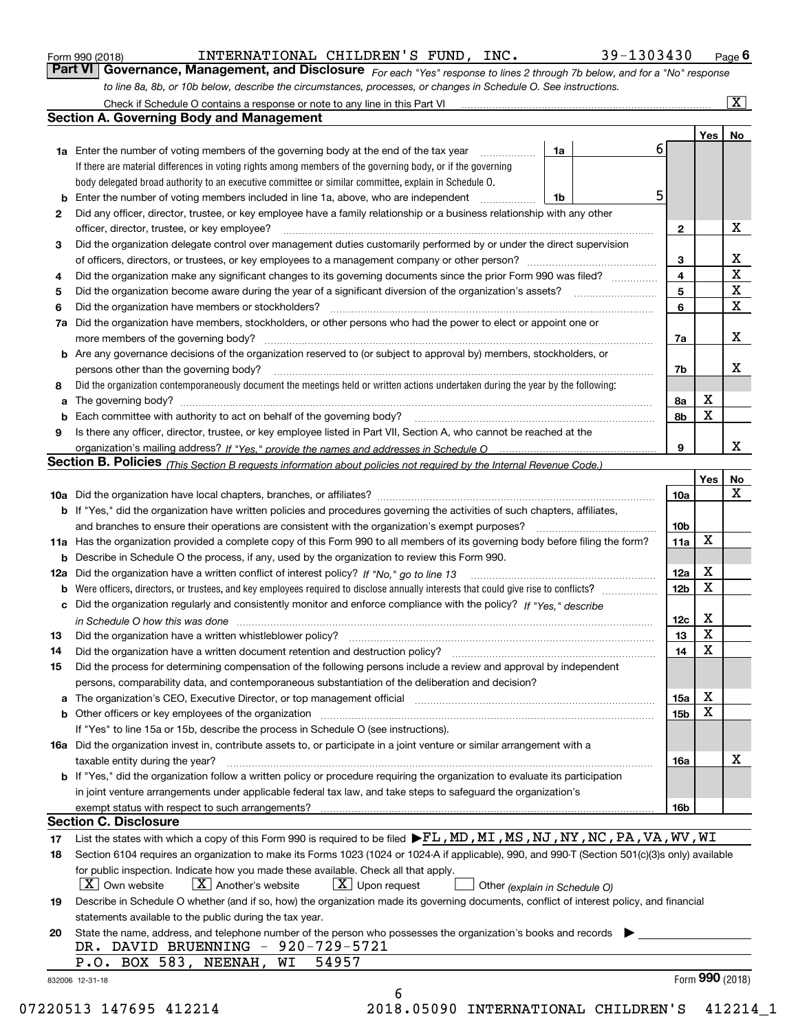|  | Form 990 (2018) |
|--|-----------------|
|  |                 |

### INTERNATIONAL CHILDREN'S FUND, INC. 39-1303430

*For each "Yes" response to lines 2 through 7b below, and for a "No" response to line 8a, 8b, or 10b below, describe the circumstances, processes, or changes in Schedule O. See instructions.* Form 990 (2018) **Conneil CONTERNATIONAL CHILDREN'S FUND, INC.** 39 – 1303430 Page 6<br>**Part VI Governance, Management, and Disclosure** For each "Yes" response to lines 2 through 7b below, and for a "No" response

|     | Check if Schedule O contains a response or note to any line in this Part VI                                                                                           |    |   |                 |     | x               |
|-----|-----------------------------------------------------------------------------------------------------------------------------------------------------------------------|----|---|-----------------|-----|-----------------|
|     | <b>Section A. Governing Body and Management</b>                                                                                                                       |    |   |                 |     |                 |
|     |                                                                                                                                                                       |    |   |                 | Yes | No              |
|     | <b>1a</b> Enter the number of voting members of the governing body at the end of the tax year                                                                         | 1a | 6 |                 |     |                 |
|     | If there are material differences in voting rights among members of the governing body, or if the governing                                                           |    |   |                 |     |                 |
|     | body delegated broad authority to an executive committee or similar committee, explain in Schedule O.                                                                 |    |   |                 |     |                 |
| b   | Enter the number of voting members included in line 1a, above, who are independent                                                                                    | 1b | 5 |                 |     |                 |
| 2   | Did any officer, director, trustee, or key employee have a family relationship or a business relationship with any other                                              |    |   |                 |     |                 |
|     | officer, director, trustee, or key employee?                                                                                                                          |    |   | $\mathbf{2}$    |     | X               |
| 3   | Did the organization delegate control over management duties customarily performed by or under the direct supervision                                                 |    |   |                 |     |                 |
|     |                                                                                                                                                                       |    |   | 3               |     | х               |
| 4   | Did the organization make any significant changes to its governing documents since the prior Form 990 was filed?                                                      |    |   | 4               |     | $\mathbf X$     |
| 5   | Did the organization become aware during the year of a significant diversion of the organization's assets? <i>manageranian</i> entity                                 |    |   | 5               |     | $\mathbf X$     |
| 6   | Did the organization have members or stockholders?                                                                                                                    |    |   | 6               |     | $\mathbf X$     |
| 7a  | Did the organization have members, stockholders, or other persons who had the power to elect or appoint one or                                                        |    |   |                 |     |                 |
|     | more members of the governing body?                                                                                                                                   |    |   | 7a              |     | х               |
|     | Are any governance decisions of the organization reserved to (or subject to approval by) members, stockholders, or                                                    |    |   |                 |     |                 |
| b   |                                                                                                                                                                       |    |   |                 |     | x               |
|     | persons other than the governing body?                                                                                                                                |    |   | 7b              |     |                 |
| 8   | Did the organization contemporaneously document the meetings held or written actions undertaken during the year by the following:                                     |    |   |                 | х   |                 |
| a   |                                                                                                                                                                       |    |   | 8a              | X   |                 |
| b   |                                                                                                                                                                       |    |   | 8b              |     |                 |
| 9   | Is there any officer, director, trustee, or key employee listed in Part VII, Section A, who cannot be reached at the                                                  |    |   |                 |     |                 |
|     |                                                                                                                                                                       |    |   | 9               |     | x               |
|     | <b>Section B. Policies</b> (This Section B requests information about policies not required by the Internal Revenue Code.)                                            |    |   |                 |     |                 |
|     |                                                                                                                                                                       |    |   |                 | Yes | No              |
|     |                                                                                                                                                                       |    |   | 10a             |     | х               |
|     | <b>b</b> If "Yes," did the organization have written policies and procedures governing the activities of such chapters, affiliates,                                   |    |   |                 |     |                 |
|     | and branches to ensure their operations are consistent with the organization's exempt purposes?                                                                       |    |   | 10 <sub>b</sub> |     |                 |
|     | 11a Has the organization provided a complete copy of this Form 990 to all members of its governing body before filing the form?                                       |    |   | 11a             | X   |                 |
| b   | Describe in Schedule O the process, if any, used by the organization to review this Form 990.                                                                         |    |   |                 |     |                 |
| 12a | Did the organization have a written conflict of interest policy? If "No," go to line 13                                                                               |    |   | 12a             | X   |                 |
| b   |                                                                                                                                                                       |    |   | 12 <sub>b</sub> | X   |                 |
| с   | Did the organization regularly and consistently monitor and enforce compliance with the policy? If "Yes." describe                                                    |    |   |                 |     |                 |
|     | in Schedule O how this was done encourance and the control of the control of the control of the control of the                                                        |    |   | 12c             | х   |                 |
| 13  | Did the organization have a written whistleblower policy?                                                                                                             |    |   | 13              | X   |                 |
| 14  | Did the organization have a written document retention and destruction policy?                                                                                        |    |   | 14              | X   |                 |
| 15  | Did the process for determining compensation of the following persons include a review and approval by independent                                                    |    |   |                 |     |                 |
|     | persons, comparability data, and contemporaneous substantiation of the deliberation and decision?                                                                     |    |   |                 |     |                 |
| а   | The organization's CEO, Executive Director, or top management official manufactured content of the organization's CEO, Executive Director, or top management official |    |   | 15a             | X   |                 |
|     | Other officers or key employees of the organization                                                                                                                   |    |   | 15 <sub>b</sub> | X   |                 |
|     | If "Yes" to line 15a or 15b, describe the process in Schedule O (see instructions).                                                                                   |    |   |                 |     |                 |
|     | 16a Did the organization invest in, contribute assets to, or participate in a joint venture or similar arrangement with a                                             |    |   |                 |     |                 |
|     | taxable entity during the year?                                                                                                                                       |    |   | 16a             |     | X               |
|     | b If "Yes," did the organization follow a written policy or procedure requiring the organization to evaluate its participation                                        |    |   |                 |     |                 |
|     | in joint venture arrangements under applicable federal tax law, and take steps to safeguard the organization's                                                        |    |   |                 |     |                 |
|     | exempt status with respect to such arrangements?                                                                                                                      |    |   | 16b             |     |                 |
|     | <b>Section C. Disclosure</b>                                                                                                                                          |    |   |                 |     |                 |
| 17  | List the states with which a copy of this Form 990 is required to be filed FL, MD, MI, MS, NJ, NY, NC, PA, VA, WV, WI                                                 |    |   |                 |     |                 |
| 18  | Section 6104 requires an organization to make its Forms 1023 (1024 or 1024 A if applicable), 990, and 990-T (Section 501(c)(3)s only) available                       |    |   |                 |     |                 |
|     | for public inspection. Indicate how you made these available. Check all that apply.                                                                                   |    |   |                 |     |                 |
|     | $\lfloor X \rfloor$ Own website<br>$X$ Another's website<br>$X$ Upon request<br>Other (explain in Schedule O)                                                         |    |   |                 |     |                 |
| 19  | Describe in Schedule O whether (and if so, how) the organization made its governing documents, conflict of interest policy, and financial                             |    |   |                 |     |                 |
|     | statements available to the public during the tax year.                                                                                                               |    |   |                 |     |                 |
| 20  | State the name, address, and telephone number of the person who possesses the organization's books and records                                                        |    |   |                 |     |                 |
|     | DR. DAVID BRUENNING - 920-729-5721                                                                                                                                    |    |   |                 |     |                 |
|     | P.O. BOX 583, NEENAH,<br>54957<br>WI                                                                                                                                  |    |   |                 |     |                 |
|     | 832006 12-31-18                                                                                                                                                       |    |   |                 |     | Form 990 (2018) |
|     | 6                                                                                                                                                                     |    |   |                 |     |                 |
|     |                                                                                                                                                                       |    |   |                 |     |                 |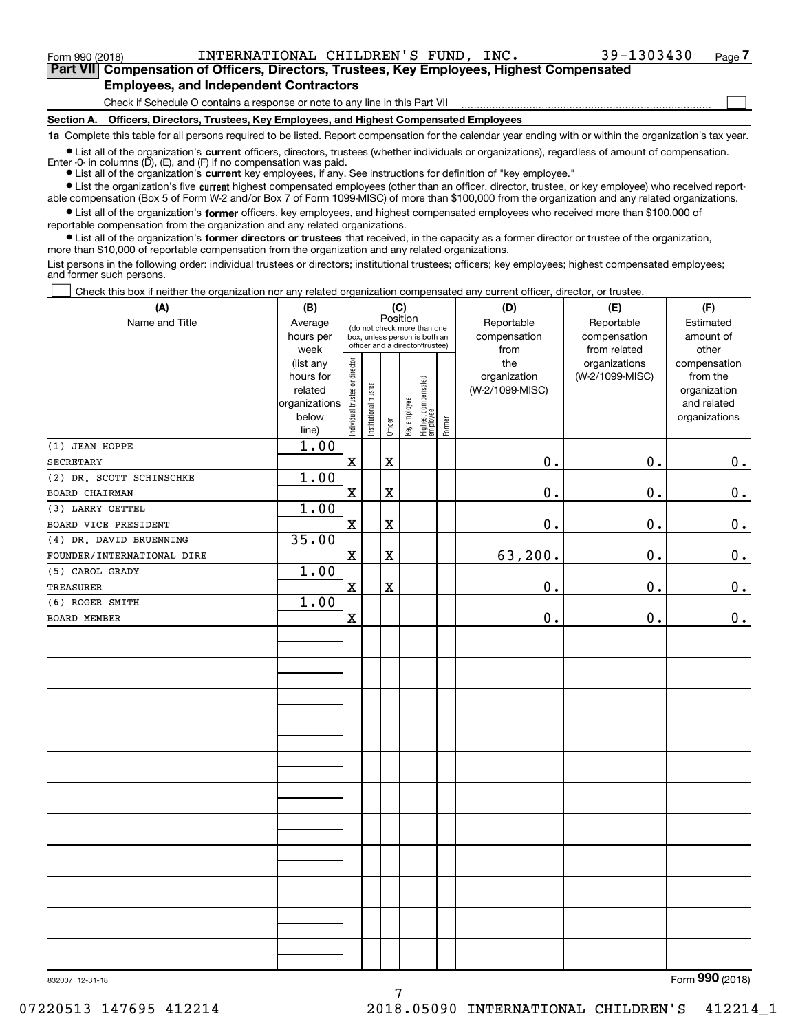<code>Form</code> 990 (2018) INTERNATIONAL CHILDREN'S FUND, INC.  $39-1303430$   $_\mathrm{Page}$ 

 $\mathcal{L}^{\text{max}}$ 

**7Part VII Compensation of Officers, Directors, Trustees, Key Employees, Highest Compensated Employees, and Independent Contractors**

Check if Schedule O contains a response or note to any line in this Part VII

**Section A. Officers, Directors, Trustees, Key Employees, and Highest Compensated Employees**

**1a**  Complete this table for all persons required to be listed. Report compensation for the calendar year ending with or within the organization's tax year.

**•** List all of the organization's current officers, directors, trustees (whether individuals or organizations), regardless of amount of compensation. Enter -0- in columns  $(D)$ ,  $(E)$ , and  $(F)$  if no compensation was paid.

● List all of the organization's **current** key employees, if any. See instructions for definition of "key employee."

**•** List the organization's five current highest compensated employees (other than an officer, director, trustee, or key employee) who received report-

 $\bullet$  List all of the organization's **former** officers, key employees, and highest compensated employees who received more than \$100,000 of able compensation (Box 5 of Form W-2 and/or Box 7 of Form 1099-MISC) of more than \$100,000 from the organization and any related organizations. reportable compensation from the organization and any related organizations.

**•** List all of the organization's former directors or trustees that received, in the capacity as a former director or trustee of the organization, more than \$10,000 of reportable compensation from the organization and any related organizations.

List persons in the following order: individual trustees or directors; institutional trustees; officers; key employees; highest compensated employees; and former such persons.

Check this box if neither the organization nor any related organization compensated any current officer, director, or trustee.  $\mathcal{L}^{\text{max}}$ 

| (A)                        | (B)                                                                          |                                |                       | (C)         |              |                                                                        |        | (D)                                            | (E)                                              | (F)                                                                               |  |  |  |
|----------------------------|------------------------------------------------------------------------------|--------------------------------|-----------------------|-------------|--------------|------------------------------------------------------------------------|--------|------------------------------------------------|--------------------------------------------------|-----------------------------------------------------------------------------------|--|--|--|
| Name and Title             | Average<br>hours per                                                         |                                |                       | Position    |              | (do not check more than one<br>box, unless person is both an           |        | Reportable<br>compensation                     | Reportable<br>compensation                       | Estimated<br>amount of                                                            |  |  |  |
|                            | week<br>(list any<br>hours for<br>related<br>organizations<br>below<br>line) | Individual trustee or director | Institutional trustee | Officer     | Key employee | officer and a director/trustee)<br>  Highest compensated<br>  employee | Former | from<br>the<br>organization<br>(W-2/1099-MISC) | from related<br>organizations<br>(W-2/1099-MISC) | other<br>compensation<br>from the<br>organization<br>and related<br>organizations |  |  |  |
| (1) JEAN HOPPE             | 1.00                                                                         |                                |                       |             |              |                                                                        |        |                                                |                                                  |                                                                                   |  |  |  |
| <b>SECRETARY</b>           |                                                                              | $\rm X$                        |                       | X           |              |                                                                        |        | 0.                                             | 0.                                               | $0_{\bullet}$                                                                     |  |  |  |
| (2) DR. SCOTT SCHINSCHKE   | 1.00                                                                         |                                |                       |             |              |                                                                        |        |                                                |                                                  |                                                                                   |  |  |  |
| BOARD CHAIRMAN             |                                                                              | $\mathbf X$                    |                       | X           |              |                                                                        |        | 0.                                             | $0$ .                                            | $0_{.}$                                                                           |  |  |  |
| (3) LARRY OETTEL           | 1.00                                                                         |                                |                       |             |              |                                                                        |        |                                                |                                                  |                                                                                   |  |  |  |
| BOARD VICE PRESIDENT       |                                                                              | $\mathbf X$                    |                       | $\mathbf X$ |              |                                                                        |        | $0$ .                                          | $0$ .                                            | $0_{\cdot}$                                                                       |  |  |  |
| (4) DR. DAVID BRUENNING    | 35.00                                                                        |                                |                       |             |              |                                                                        |        |                                                |                                                  |                                                                                   |  |  |  |
| FOUNDER/INTERNATIONAL DIRE |                                                                              | $\mathbf X$                    |                       | $\mathbf X$ |              |                                                                        |        | 63,200.                                        | $0$ .                                            | 0.                                                                                |  |  |  |
| (5) CAROL GRADY            | 1.00                                                                         |                                |                       |             |              |                                                                        |        |                                                |                                                  |                                                                                   |  |  |  |
| <b>TREASURER</b>           |                                                                              | $\mathbf x$                    |                       | $\mathbf X$ |              |                                                                        |        | 0.                                             | $0$ .                                            | $\mathbf 0$ .                                                                     |  |  |  |
| (6) ROGER SMITH            | 1.00                                                                         |                                |                       |             |              |                                                                        |        |                                                |                                                  |                                                                                   |  |  |  |
| <b>BOARD MEMBER</b>        |                                                                              | $\mathbf X$                    |                       |             |              |                                                                        |        | $\mathbf 0$ .                                  | $0$ .                                            | $0_{.}$                                                                           |  |  |  |
|                            |                                                                              |                                |                       |             |              |                                                                        |        |                                                |                                                  |                                                                                   |  |  |  |
|                            |                                                                              |                                |                       |             |              |                                                                        |        |                                                |                                                  |                                                                                   |  |  |  |
|                            |                                                                              |                                |                       |             |              |                                                                        |        |                                                |                                                  |                                                                                   |  |  |  |
|                            |                                                                              |                                |                       |             |              |                                                                        |        |                                                |                                                  |                                                                                   |  |  |  |
|                            |                                                                              |                                |                       |             |              |                                                                        |        |                                                |                                                  |                                                                                   |  |  |  |
|                            |                                                                              |                                |                       |             |              |                                                                        |        |                                                |                                                  |                                                                                   |  |  |  |
|                            |                                                                              |                                |                       |             |              |                                                                        |        |                                                |                                                  |                                                                                   |  |  |  |
|                            |                                                                              |                                |                       |             |              |                                                                        |        |                                                |                                                  |                                                                                   |  |  |  |
|                            |                                                                              |                                |                       |             |              |                                                                        |        |                                                |                                                  |                                                                                   |  |  |  |
|                            |                                                                              |                                |                       |             |              |                                                                        |        |                                                |                                                  |                                                                                   |  |  |  |

7

832007 12-31-18

Form (2018) **990**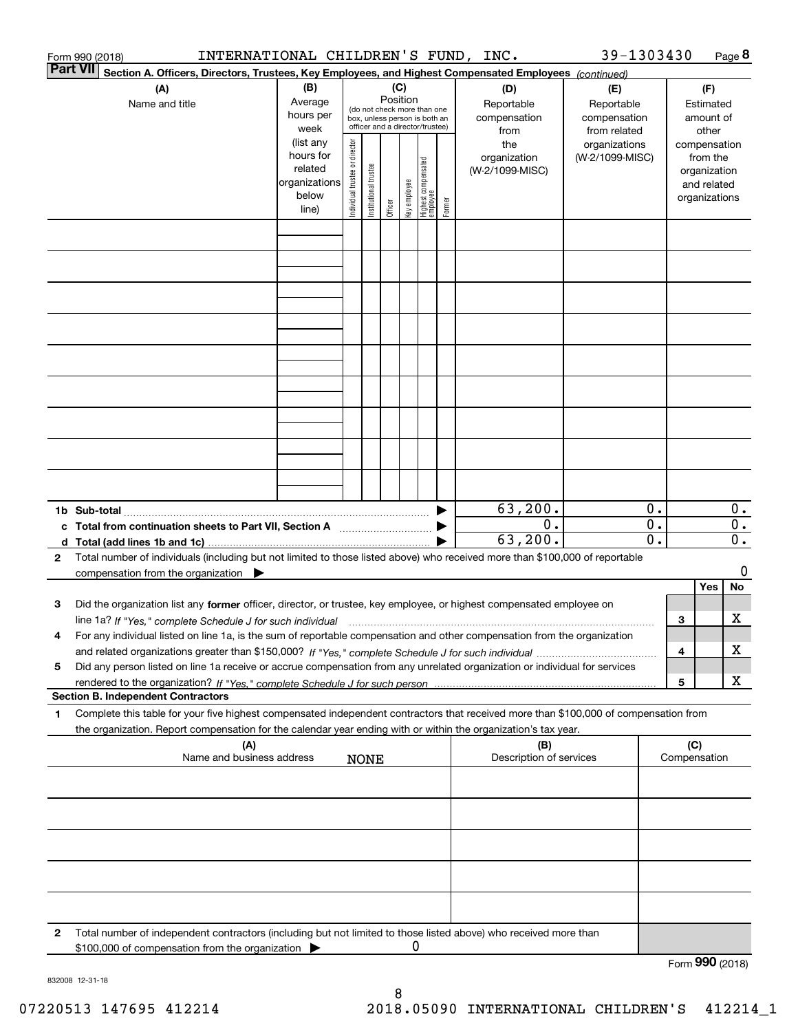|                 | INTERNATIONAL CHILDREN'S FUND, INC.<br>Form 990 (2018)                                                                                          |                          |                                |                       |          |              |                                         |        |                         | 39-1303430      |                  |                 |                              | Page 8           |
|-----------------|-------------------------------------------------------------------------------------------------------------------------------------------------|--------------------------|--------------------------------|-----------------------|----------|--------------|-----------------------------------------|--------|-------------------------|-----------------|------------------|-----------------|------------------------------|------------------|
| <b>Part VII</b> | Section A. Officers, Directors, Trustees, Key Employees, and Highest Compensated Employees (continued)                                          |                          |                                |                       |          |              |                                         |        |                         |                 |                  |                 |                              |                  |
|                 | (A)                                                                                                                                             | (B)                      | (C)                            |                       |          |              |                                         |        | (D)                     | (E)             |                  |                 | (F)                          |                  |
|                 | Name and title                                                                                                                                  | Average                  |                                |                       | Position |              | (do not check more than one             |        | Reportable              | Reportable      |                  |                 | Estimated                    |                  |
|                 |                                                                                                                                                 | hours per                |                                |                       |          |              | box, unless person is both an           |        | compensation            | compensation    |                  |                 | amount of                    |                  |
|                 |                                                                                                                                                 | week                     |                                |                       |          |              | officer and a director/trustee)         |        | from                    | from related    |                  |                 | other                        |                  |
|                 |                                                                                                                                                 | (list any                |                                |                       |          |              |                                         |        | the                     | organizations   |                  |                 | compensation                 |                  |
|                 |                                                                                                                                                 | hours for                |                                |                       |          |              |                                         |        | organization            | (W-2/1099-MISC) |                  |                 | from the                     |                  |
|                 |                                                                                                                                                 | related<br>organizations |                                |                       |          |              |                                         |        | (W-2/1099-MISC)         |                 |                  |                 | organization                 |                  |
|                 |                                                                                                                                                 | below                    |                                |                       |          |              |                                         |        |                         |                 |                  |                 | and related<br>organizations |                  |
|                 |                                                                                                                                                 | line)                    | Individual trustee or director | Institutional trustee | Officer  | Key employee | <br>  Highest compensated<br>  employee | Former |                         |                 |                  |                 |                              |                  |
|                 |                                                                                                                                                 |                          |                                |                       |          |              |                                         |        |                         |                 |                  |                 |                              |                  |
|                 |                                                                                                                                                 |                          |                                |                       |          |              |                                         |        |                         |                 |                  |                 |                              |                  |
|                 |                                                                                                                                                 |                          |                                |                       |          |              |                                         |        |                         |                 |                  |                 |                              |                  |
|                 |                                                                                                                                                 |                          |                                |                       |          |              |                                         |        |                         |                 |                  |                 |                              |                  |
|                 |                                                                                                                                                 |                          |                                |                       |          |              |                                         |        |                         |                 |                  |                 |                              |                  |
|                 |                                                                                                                                                 |                          |                                |                       |          |              |                                         |        |                         |                 |                  |                 |                              |                  |
|                 |                                                                                                                                                 |                          |                                |                       |          |              |                                         |        |                         |                 |                  |                 |                              |                  |
|                 |                                                                                                                                                 |                          |                                |                       |          |              |                                         |        |                         |                 |                  |                 |                              |                  |
|                 |                                                                                                                                                 |                          |                                |                       |          |              |                                         |        |                         |                 |                  |                 |                              |                  |
|                 |                                                                                                                                                 |                          |                                |                       |          |              |                                         |        |                         |                 |                  |                 |                              |                  |
|                 |                                                                                                                                                 |                          |                                |                       |          |              |                                         |        |                         |                 |                  |                 |                              |                  |
|                 |                                                                                                                                                 |                          |                                |                       |          |              |                                         |        |                         |                 |                  |                 |                              |                  |
|                 |                                                                                                                                                 |                          |                                |                       |          |              |                                         |        |                         |                 |                  |                 |                              |                  |
|                 |                                                                                                                                                 |                          |                                |                       |          |              |                                         |        |                         |                 |                  |                 |                              |                  |
|                 |                                                                                                                                                 |                          |                                |                       |          |              |                                         |        |                         |                 |                  |                 |                              |                  |
|                 |                                                                                                                                                 |                          |                                |                       |          |              |                                         |        |                         |                 |                  |                 |                              |                  |
|                 |                                                                                                                                                 |                          |                                |                       |          |              |                                         |        | 63, 200.                |                 | 0.               |                 |                              | 0.               |
|                 |                                                                                                                                                 |                          |                                |                       |          |              |                                         |        | 0.                      |                 | $\overline{0}$ . |                 |                              | $\overline{0}$ . |
|                 | c Total from continuation sheets to Part VII, Section A <b>manual</b> Testion Structure 1                                                       |                          |                                |                       |          |              |                                         |        | 63, 200.                |                 | 0.               |                 |                              | $\overline{0}$ . |
| $\mathbf{2}$    | Total number of individuals (including but not limited to those listed above) who received more than \$100,000 of reportable                    |                          |                                |                       |          |              |                                         |        |                         |                 |                  |                 |                              |                  |
|                 | compensation from the organization $\blacktriangleright$                                                                                        |                          |                                |                       |          |              |                                         |        |                         |                 |                  |                 |                              | 0                |
|                 |                                                                                                                                                 |                          |                                |                       |          |              |                                         |        |                         |                 |                  |                 | Yes                          | No               |
| 3               | Did the organization list any former officer, director, or trustee, key employee, or highest compensated employee on                            |                          |                                |                       |          |              |                                         |        |                         |                 |                  |                 |                              |                  |
|                 | line 1a? If "Yes," complete Schedule J for such individual manufactured contained and the 1a? If "Yes," complete Schedule J for such individual |                          |                                |                       |          |              |                                         |        |                         |                 |                  | З               |                              | х                |
|                 | For any individual listed on line 1a, is the sum of reportable compensation and other compensation from the organization                        |                          |                                |                       |          |              |                                         |        |                         |                 |                  |                 |                              |                  |
|                 |                                                                                                                                                 |                          |                                |                       |          |              |                                         |        |                         |                 |                  | 4               |                              | х                |
| 5               | Did any person listed on line 1a receive or accrue compensation from any unrelated organization or individual for services                      |                          |                                |                       |          |              |                                         |        |                         |                 |                  |                 |                              |                  |
|                 |                                                                                                                                                 |                          |                                |                       |          |              |                                         |        |                         |                 |                  | 5               |                              | х                |
|                 | <b>Section B. Independent Contractors</b>                                                                                                       |                          |                                |                       |          |              |                                         |        |                         |                 |                  |                 |                              |                  |
| 1               | Complete this table for your five highest compensated independent contractors that received more than \$100,000 of compensation from            |                          |                                |                       |          |              |                                         |        |                         |                 |                  |                 |                              |                  |
|                 | the organization. Report compensation for the calendar year ending with or within the organization's tax year.                                  |                          |                                |                       |          |              |                                         |        |                         |                 |                  |                 |                              |                  |
|                 | (A)                                                                                                                                             |                          |                                |                       |          |              |                                         |        | (B)                     |                 |                  | (C)             |                              |                  |
|                 | Name and business address                                                                                                                       |                          |                                | <b>NONE</b>           |          |              |                                         |        | Description of services |                 |                  | Compensation    |                              |                  |
|                 |                                                                                                                                                 |                          |                                |                       |          |              |                                         |        |                         |                 |                  |                 |                              |                  |
|                 |                                                                                                                                                 |                          |                                |                       |          |              |                                         |        |                         |                 |                  |                 |                              |                  |
|                 |                                                                                                                                                 |                          |                                |                       |          |              |                                         |        |                         |                 |                  |                 |                              |                  |
|                 |                                                                                                                                                 |                          |                                |                       |          |              |                                         |        |                         |                 |                  |                 |                              |                  |
|                 |                                                                                                                                                 |                          |                                |                       |          |              |                                         |        |                         |                 |                  |                 |                              |                  |
|                 |                                                                                                                                                 |                          |                                |                       |          |              |                                         |        |                         |                 |                  |                 |                              |                  |
|                 |                                                                                                                                                 |                          |                                |                       |          |              |                                         |        |                         |                 |                  |                 |                              |                  |
|                 |                                                                                                                                                 |                          |                                |                       |          |              |                                         |        |                         |                 |                  |                 |                              |                  |
| 2               | Total number of independent contractors (including but not limited to those listed above) who received more than                                |                          |                                |                       |          |              |                                         |        |                         |                 |                  |                 |                              |                  |
|                 | \$100,000 of compensation from the organization                                                                                                 |                          |                                |                       |          | 0            |                                         |        |                         |                 |                  |                 |                              |                  |
|                 |                                                                                                                                                 |                          |                                |                       |          |              |                                         |        |                         |                 |                  | Form 990 (2018) |                              |                  |

832008 12-31-18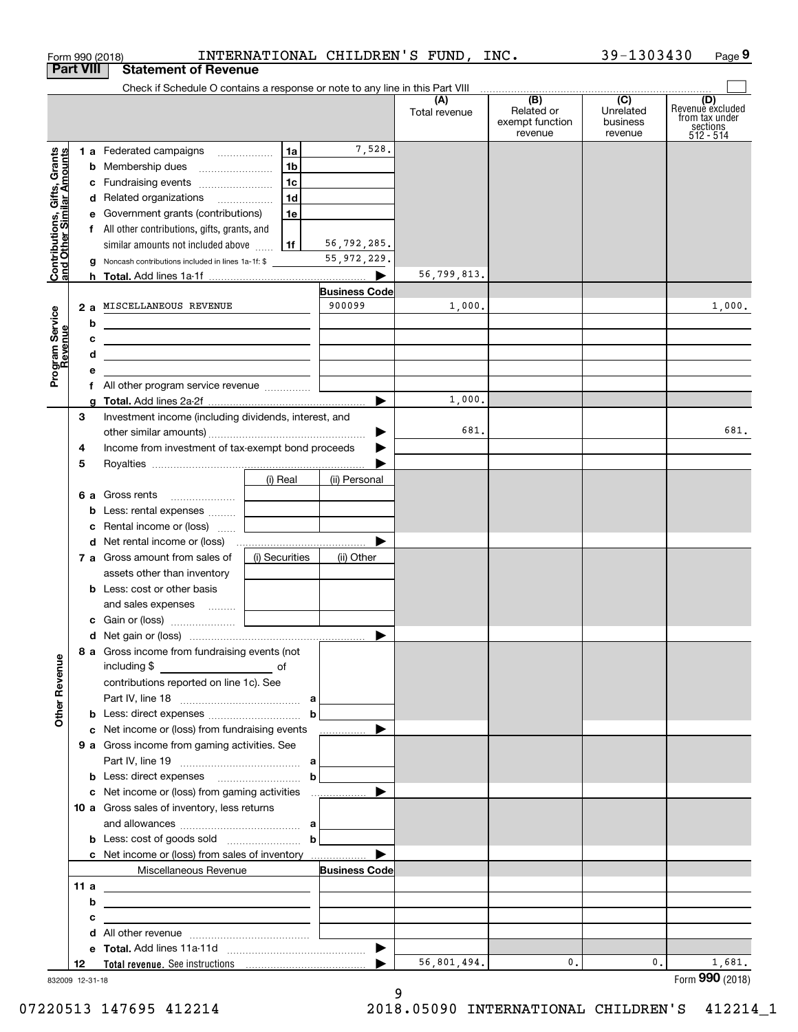|                                                           |                       | Form 990 (2018)                                                                                                                                                                                                                     |                |                                | INTERNATIONAL CHILDREN'S FUND, INC. |                                                 | 39-1303430                              | Page 9                                                             |
|-----------------------------------------------------------|-----------------------|-------------------------------------------------------------------------------------------------------------------------------------------------------------------------------------------------------------------------------------|----------------|--------------------------------|-------------------------------------|-------------------------------------------------|-----------------------------------------|--------------------------------------------------------------------|
| <b>Part VIII</b>                                          |                       | <b>Statement of Revenue</b>                                                                                                                                                                                                         |                |                                |                                     |                                                 |                                         |                                                                    |
|                                                           |                       | Check if Schedule O contains a response or note to any line in this Part VIII                                                                                                                                                       |                |                                |                                     | . <u>.</u>                                      |                                         |                                                                    |
|                                                           |                       |                                                                                                                                                                                                                                     |                |                                | (A)<br>Total revenue                | (B)<br>Related or<br>exempt function<br>revenue | (C)<br>Unrelated<br>business<br>revenue | (D)<br>Revenuè excluded<br>from tax under<br>sections<br>512 - 514 |
|                                                           |                       | 1 a Federated campaigns                                                                                                                                                                                                             | 1a             | 7,528.                         |                                     |                                                 |                                         |                                                                    |
|                                                           |                       |                                                                                                                                                                                                                                     | 1b             |                                |                                     |                                                 |                                         |                                                                    |
|                                                           |                       | c Fundraising events                                                                                                                                                                                                                | 1 <sub>c</sub> |                                |                                     |                                                 |                                         |                                                                    |
|                                                           |                       | d Related organizations                                                                                                                                                                                                             | 1d             |                                |                                     |                                                 |                                         |                                                                    |
| Contributions, Gifts, Grants<br>and Other Similar Amounts |                       | e Government grants (contributions)                                                                                                                                                                                                 | 1e             |                                |                                     |                                                 |                                         |                                                                    |
|                                                           |                       | f All other contributions, gifts, grants, and                                                                                                                                                                                       |                |                                |                                     |                                                 |                                         |                                                                    |
|                                                           |                       | similar amounts not included above                                                                                                                                                                                                  | 1f             | 56,792,285.                    |                                     |                                                 |                                         |                                                                    |
|                                                           |                       | g Noncash contributions included in lines 1a-1f: \$                                                                                                                                                                                 |                | 55, 972, 229.                  |                                     |                                                 |                                         |                                                                    |
|                                                           |                       |                                                                                                                                                                                                                                     |                | ▶                              | 56,799,813.                         |                                                 |                                         |                                                                    |
|                                                           |                       | 2 a MISCELLANEOUS REVENUE                                                                                                                                                                                                           |                | <b>Business Code</b><br>900099 | 1,000.                              |                                                 |                                         | 1,000.                                                             |
|                                                           |                       |                                                                                                                                                                                                                                     |                |                                |                                     |                                                 |                                         |                                                                    |
|                                                           | b<br>с                |                                                                                                                                                                                                                                     |                |                                |                                     |                                                 |                                         |                                                                    |
|                                                           | d                     | <u> 1980 - Jan Stein, amerikansk politik (</u><br><u> 1989 - Johann Barbara, martxa alemaniar arg</u>                                                                                                                               |                |                                |                                     |                                                 |                                         |                                                                    |
| Program Service<br>Revenue                                | е                     |                                                                                                                                                                                                                                     |                |                                |                                     |                                                 |                                         |                                                                    |
|                                                           | f                     | All other program service revenue                                                                                                                                                                                                   |                |                                |                                     |                                                 |                                         |                                                                    |
|                                                           |                       |                                                                                                                                                                                                                                     |                | $\blacktriangleright$          | 1,000.                              |                                                 |                                         |                                                                    |
|                                                           | з                     | Investment income (including dividends, interest, and                                                                                                                                                                               |                |                                |                                     |                                                 |                                         |                                                                    |
|                                                           |                       |                                                                                                                                                                                                                                     |                | ▶                              | 681.                                |                                                 |                                         | 681.                                                               |
|                                                           | 4                     | Income from investment of tax-exempt bond proceeds                                                                                                                                                                                  |                | ▶                              |                                     |                                                 |                                         |                                                                    |
|                                                           | 5                     |                                                                                                                                                                                                                                     |                |                                |                                     |                                                 |                                         |                                                                    |
|                                                           |                       |                                                                                                                                                                                                                                     | (i) Real       | (ii) Personal                  |                                     |                                                 |                                         |                                                                    |
|                                                           |                       | 6 a Gross rents                                                                                                                                                                                                                     |                |                                |                                     |                                                 |                                         |                                                                    |
|                                                           |                       | <b>b</b> Less: rental expenses<br>c Rental income or (loss)                                                                                                                                                                         |                |                                |                                     |                                                 |                                         |                                                                    |
|                                                           |                       | <b>d</b> Net rental income or (loss)                                                                                                                                                                                                |                |                                |                                     |                                                 |                                         |                                                                    |
|                                                           |                       | 7 a Gross amount from sales of                                                                                                                                                                                                      | (i) Securities | (ii) Other                     |                                     |                                                 |                                         |                                                                    |
|                                                           |                       | assets other than inventory                                                                                                                                                                                                         |                |                                |                                     |                                                 |                                         |                                                                    |
|                                                           |                       | <b>b</b> Less: cost or other basis                                                                                                                                                                                                  |                |                                |                                     |                                                 |                                         |                                                                    |
|                                                           |                       | and sales expenses                                                                                                                                                                                                                  |                |                                |                                     |                                                 |                                         |                                                                    |
|                                                           |                       | c Gain or (loss)                                                                                                                                                                                                                    |                |                                |                                     |                                                 |                                         |                                                                    |
|                                                           |                       |                                                                                                                                                                                                                                     |                |                                |                                     |                                                 |                                         |                                                                    |
| <b>Other Revenue</b>                                      |                       | 8 a Gross income from fundraising events (not                                                                                                                                                                                       |                |                                |                                     |                                                 |                                         |                                                                    |
|                                                           |                       | contributions reported on line 1c). See                                                                                                                                                                                             |                |                                |                                     |                                                 |                                         |                                                                    |
|                                                           |                       |                                                                                                                                                                                                                                     |                |                                |                                     |                                                 |                                         |                                                                    |
|                                                           |                       |                                                                                                                                                                                                                                     | $\mathbf b$    |                                |                                     |                                                 |                                         |                                                                    |
|                                                           |                       | c Net income or (loss) from fundraising events                                                                                                                                                                                      |                | ▶<br>.                         |                                     |                                                 |                                         |                                                                    |
|                                                           |                       | 9 a Gross income from gaming activities. See                                                                                                                                                                                        |                |                                |                                     |                                                 |                                         |                                                                    |
|                                                           |                       |                                                                                                                                                                                                                                     |                |                                |                                     |                                                 |                                         |                                                                    |
|                                                           |                       |                                                                                                                                                                                                                                     | b              | ▶                              |                                     |                                                 |                                         |                                                                    |
|                                                           |                       | c Net income or (loss) from gaming activities<br>10 a Gross sales of inventory, less returns                                                                                                                                        |                |                                |                                     |                                                 |                                         |                                                                    |
|                                                           |                       |                                                                                                                                                                                                                                     |                |                                |                                     |                                                 |                                         |                                                                    |
|                                                           |                       | <b>b</b> Less: cost of goods sold $\ldots$ <b>b</b>                                                                                                                                                                                 |                |                                |                                     |                                                 |                                         |                                                                    |
|                                                           |                       | c Net income or (loss) from sales of inventory                                                                                                                                                                                      |                |                                |                                     |                                                 |                                         |                                                                    |
|                                                           |                       | Miscellaneous Revenue                                                                                                                                                                                                               |                | <b>Business Code</b>           |                                     |                                                 |                                         |                                                                    |
|                                                           | 11 a                  | <u>experience</u> and the control of the control of the control of the control of the control of the control of the control of the control of the control of the control of the control of the control of the control of the contro |                |                                |                                     |                                                 |                                         |                                                                    |
|                                                           | b                     | the control of the control of the control of the control of the control of the control of                                                                                                                                           |                |                                |                                     |                                                 |                                         |                                                                    |
|                                                           | с                     |                                                                                                                                                                                                                                     |                |                                |                                     |                                                 |                                         |                                                                    |
|                                                           | d                     |                                                                                                                                                                                                                                     |                |                                |                                     |                                                 |                                         |                                                                    |
|                                                           |                       |                                                                                                                                                                                                                                     |                | ▶                              |                                     |                                                 |                                         |                                                                    |
|                                                           | 12<br>832009 12-31-18 |                                                                                                                                                                                                                                     |                |                                | 56,801,494.                         | $\mathbf{0}$ .                                  | 0.                                      | 1,681.<br>Form 990 (2018)                                          |

832009 12-31-18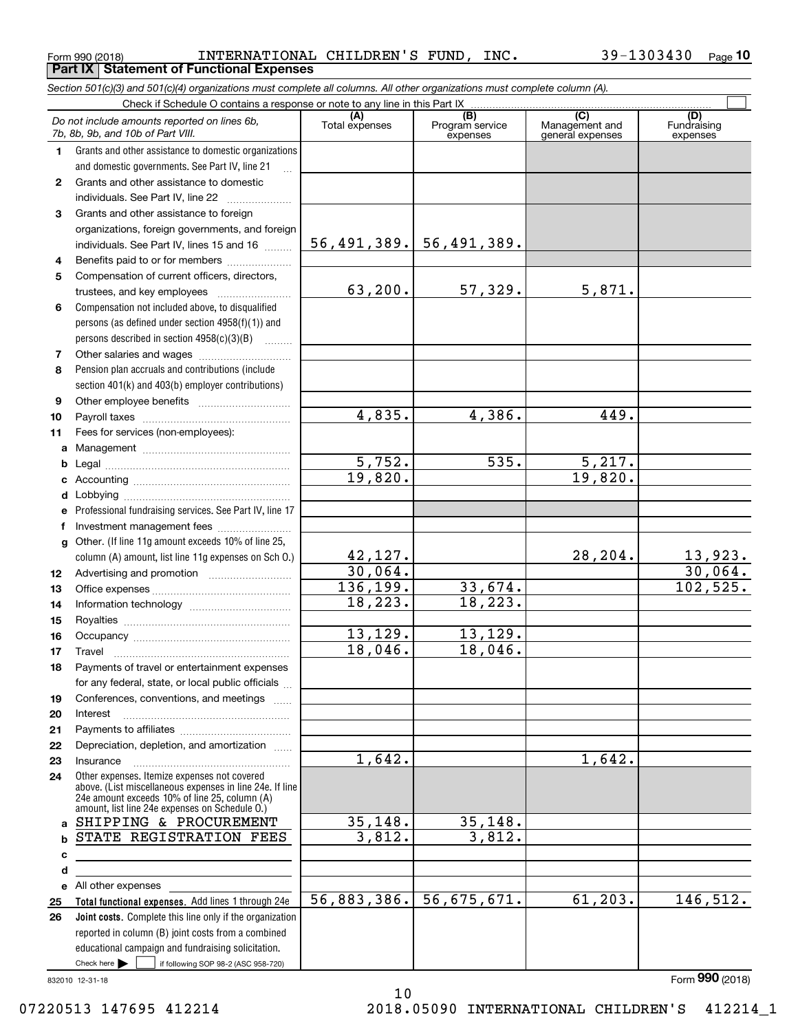Form 990 (2018) Page **Part IX Statement of Functional Expenses** INTERNATIONAL CHILDREN'S FUND, INC. 39-1303430

*Section 501(c)(3) and 501(c)(4) organizations must complete all columns. All other organizations must complete column (A).*

|              | Do not include amounts reported on lines 6b.<br>7b, 8b, 9b, and 10b of Part VIII.               | (A)<br>Total expenses | (B)<br>Program service<br>expenses | (C)<br>Management and<br>general expenses | (D)<br>Fundraising<br>expenses |  |  |  |
|--------------|-------------------------------------------------------------------------------------------------|-----------------------|------------------------------------|-------------------------------------------|--------------------------------|--|--|--|
| 1.           | Grants and other assistance to domestic organizations                                           |                       |                                    |                                           |                                |  |  |  |
|              | and domestic governments. See Part IV, line 21                                                  |                       |                                    |                                           |                                |  |  |  |
| 2            | Grants and other assistance to domestic                                                         |                       |                                    |                                           |                                |  |  |  |
|              | individuals. See Part IV, line 22                                                               |                       |                                    |                                           |                                |  |  |  |
| 3            | Grants and other assistance to foreign                                                          |                       |                                    |                                           |                                |  |  |  |
|              | organizations, foreign governments, and foreign                                                 |                       |                                    |                                           |                                |  |  |  |
|              | individuals. See Part IV, lines 15 and 16                                                       |                       | $56, 491, 389.$ 56, 491, 389.      |                                           |                                |  |  |  |
| 4            | Benefits paid to or for members                                                                 |                       |                                    |                                           |                                |  |  |  |
| 5            | Compensation of current officers, directors,                                                    |                       |                                    |                                           |                                |  |  |  |
|              | trustees, and key employees                                                                     | 63,200.               | 57,329.                            | 5,871.                                    |                                |  |  |  |
| 6            | Compensation not included above, to disqualified                                                |                       |                                    |                                           |                                |  |  |  |
|              | persons (as defined under section 4958(f)(1)) and                                               |                       |                                    |                                           |                                |  |  |  |
|              | persons described in section 4958(c)(3)(B)                                                      |                       |                                    |                                           |                                |  |  |  |
| 7            |                                                                                                 |                       |                                    |                                           |                                |  |  |  |
| 8            | Pension plan accruals and contributions (include                                                |                       |                                    |                                           |                                |  |  |  |
|              | section 401(k) and 403(b) employer contributions)                                               |                       |                                    |                                           |                                |  |  |  |
| 9            |                                                                                                 |                       |                                    |                                           |                                |  |  |  |
| 10           |                                                                                                 | 4,835.                | 4,386.                             | 449.                                      |                                |  |  |  |
| 11           | Fees for services (non-employees):                                                              |                       |                                    |                                           |                                |  |  |  |
| a            |                                                                                                 |                       |                                    |                                           |                                |  |  |  |
| b            |                                                                                                 | 5,752.                | 535.                               | 5,217.                                    |                                |  |  |  |
| c            |                                                                                                 | 19,820.               |                                    | 19,820.                                   |                                |  |  |  |
| d            |                                                                                                 |                       |                                    |                                           |                                |  |  |  |
| е            | Professional fundraising services. See Part IV, line 17                                         |                       |                                    |                                           |                                |  |  |  |
| f            | Investment management fees                                                                      |                       |                                    |                                           |                                |  |  |  |
| $\mathbf{q}$ | Other. (If line 11g amount exceeds 10% of line 25,                                              |                       |                                    |                                           |                                |  |  |  |
|              | column (A) amount, list line 11g expenses on Sch O.)                                            | 42,127.               |                                    | 28,204.                                   | $\frac{13,923}{30,064}$        |  |  |  |
| 12           |                                                                                                 | 30,064.               |                                    |                                           |                                |  |  |  |
| 13           |                                                                                                 | 136, 199.             | 33,674.                            |                                           | 102,525.                       |  |  |  |
| 14           |                                                                                                 | 18,223.               | 18, 223.                           |                                           |                                |  |  |  |
| 15           |                                                                                                 |                       | 13, 129.                           |                                           |                                |  |  |  |
| 16           |                                                                                                 | 13,129.<br>18,046.    | 18,046.                            |                                           |                                |  |  |  |
| 17           |                                                                                                 |                       |                                    |                                           |                                |  |  |  |
| 18           | Payments of travel or entertainment expenses                                                    |                       |                                    |                                           |                                |  |  |  |
|              | for any federal, state, or local public officials                                               |                       |                                    |                                           |                                |  |  |  |
| 19           | Conferences, conventions, and meetings                                                          |                       |                                    |                                           |                                |  |  |  |
| 20           | Interest                                                                                        |                       |                                    |                                           |                                |  |  |  |
| 21           | Depreciation, depletion, and amortization                                                       |                       |                                    |                                           |                                |  |  |  |
| 22<br>23     | Insurance                                                                                       | 1,642.                |                                    | 1,642.                                    |                                |  |  |  |
|              | Other expenses. Itemize expenses not covered                                                    |                       |                                    |                                           |                                |  |  |  |
| 24           | above. (List miscellaneous expenses in line 24e. If line                                        |                       |                                    |                                           |                                |  |  |  |
|              | 24e amount exceeds 10% of line 25, column (A)<br>amount, list line 24e expenses on Schedule O.) |                       |                                    |                                           |                                |  |  |  |
| a            | SHIPPING & PROCUREMENT                                                                          | 35,148.               | 35,148.                            |                                           |                                |  |  |  |
| b            | STATE REGISTRATION FEES                                                                         | 3,812.                | 3,812.                             |                                           |                                |  |  |  |
| с            |                                                                                                 |                       |                                    |                                           |                                |  |  |  |
| d            | <u> 1989 - Johann Stein, mars an de Brasilia (b. 1989)</u>                                      |                       |                                    |                                           |                                |  |  |  |
|              | e All other expenses                                                                            |                       |                                    |                                           |                                |  |  |  |
| 25           | Total functional expenses. Add lines 1 through 24e                                              | 56,883,386.           | 56,675,671.                        | 61, 203.                                  | 146, 512.                      |  |  |  |
| 26           | Joint costs. Complete this line only if the organization                                        |                       |                                    |                                           |                                |  |  |  |
|              | reported in column (B) joint costs from a combined                                              |                       |                                    |                                           |                                |  |  |  |
|              | educational campaign and fundraising solicitation.                                              |                       |                                    |                                           |                                |  |  |  |
|              | Check here         if following SOP 98-2 (ASC 958-720)                                          |                       |                                    |                                           |                                |  |  |  |

832010 12-31-18

10 07220513 147695 412214 2018.05090 INTERNATIONAL CHILDREN'S 412214\_1

Form (2018) **990**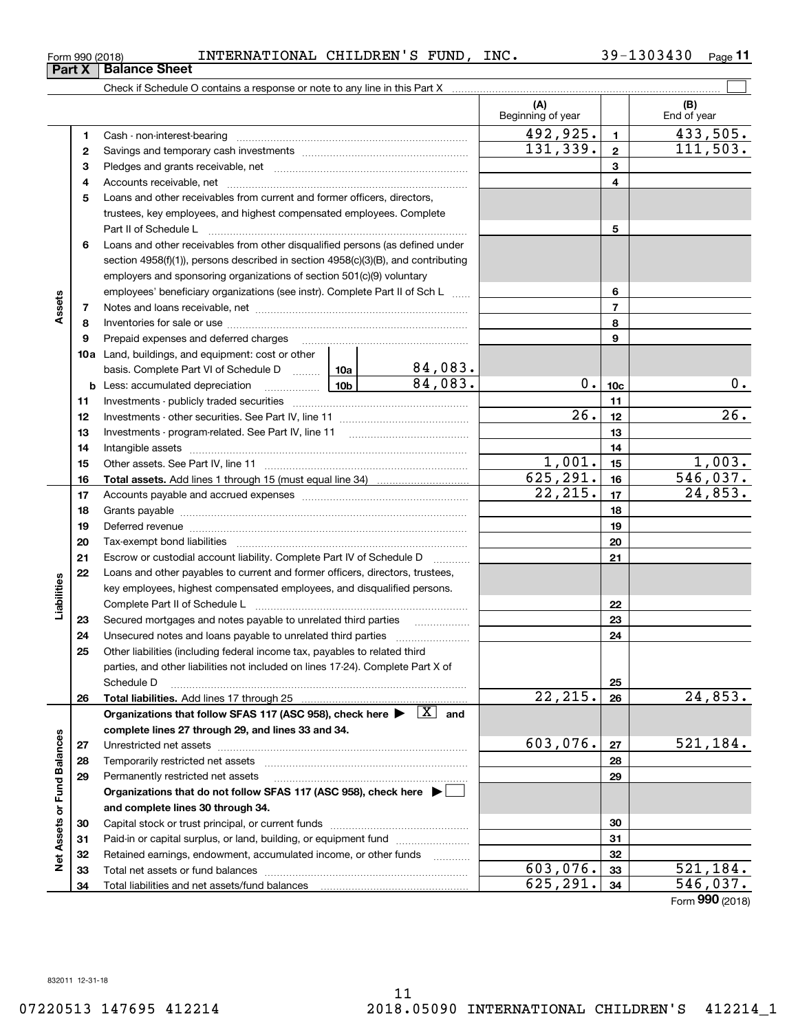<code>Form</code> 990 (2018) INTERNATIONAL CHILDREN'S FUND, INC.  $39-1303430$  <code>Page</code>

**11**

|                             |    |                                                                                                                                                                                                                                |          |         | (A)<br>Beginning of year |                 | (B)<br>End of year |
|-----------------------------|----|--------------------------------------------------------------------------------------------------------------------------------------------------------------------------------------------------------------------------------|----------|---------|--------------------------|-----------------|--------------------|
|                             | 1  |                                                                                                                                                                                                                                |          |         | 492,925.                 | $\mathbf{1}$    | 433,505.           |
|                             | 2  |                                                                                                                                                                                                                                |          |         | 131, 339.                | $\mathbf{2}$    | 111,503.           |
|                             | 3  |                                                                                                                                                                                                                                |          | 3       |                          |                 |                    |
|                             | 4  |                                                                                                                                                                                                                                |          | 4       |                          |                 |                    |
|                             | 5  | Loans and other receivables from current and former officers, directors,                                                                                                                                                       |          |         |                          |                 |                    |
|                             |    | trustees, key employees, and highest compensated employees. Complete                                                                                                                                                           |          |         |                          |                 |                    |
|                             |    |                                                                                                                                                                                                                                |          |         |                          | 5               |                    |
|                             | 6  | Loans and other receivables from other disqualified persons (as defined under                                                                                                                                                  |          |         |                          |                 |                    |
|                             |    | section 4958(f)(1)), persons described in section 4958(c)(3)(B), and contributing                                                                                                                                              |          |         |                          |                 |                    |
|                             |    | employers and sponsoring organizations of section 501(c)(9) voluntary                                                                                                                                                          |          |         |                          |                 |                    |
|                             |    | employees' beneficiary organizations (see instr). Complete Part II of Sch L                                                                                                                                                    |          |         |                          | 6               |                    |
| Assets                      | 7  |                                                                                                                                                                                                                                |          |         |                          | $\overline{7}$  |                    |
|                             | 8  |                                                                                                                                                                                                                                |          |         |                          | 8               |                    |
|                             | 9  |                                                                                                                                                                                                                                |          |         | 9                        |                 |                    |
|                             |    | <b>10a</b> Land, buildings, and equipment: cost or other                                                                                                                                                                       |          |         |                          |                 |                    |
|                             |    | basis. Complete Part VI of Schedule D  10a                                                                                                                                                                                     |          | 84,083. |                          |                 |                    |
|                             |    | □ <u>10b</u><br><b>b</b> Less: accumulated depreciation                                                                                                                                                                        |          | 84,083. | $0$ .                    | 10 <sub>c</sub> | $0$ .              |
|                             | 11 |                                                                                                                                                                                                                                |          |         |                          | 11              |                    |
|                             | 12 |                                                                                                                                                                                                                                |          |         | $\overline{26}$ .        | 12              | 26.                |
|                             | 13 |                                                                                                                                                                                                                                |          |         |                          | 13              |                    |
|                             | 14 |                                                                                                                                                                                                                                |          |         |                          | 14              |                    |
|                             | 15 |                                                                                                                                                                                                                                | 1,001.   | 15      | 1,003.                   |                 |                    |
|                             | 16 |                                                                                                                                                                                                                                |          |         | 625, 291.                | 16              | 546,037.           |
|                             | 17 |                                                                                                                                                                                                                                | 22, 215. | 17      | 24,853.                  |                 |                    |
|                             | 18 |                                                                                                                                                                                                                                |          |         | 18                       |                 |                    |
|                             | 19 | Deferred revenue manual contracts and contracts are all the manual contracts and contracts are contracted and contracts are contracted and contract are contracted and contract are contracted and contract are contracted and |          |         |                          | 19              |                    |
|                             | 20 |                                                                                                                                                                                                                                |          |         |                          | 20              |                    |
|                             | 21 | Escrow or custodial account liability. Complete Part IV of Schedule D                                                                                                                                                          |          |         |                          | 21              |                    |
|                             | 22 | Loans and other payables to current and former officers, directors, trustees,                                                                                                                                                  |          |         |                          |                 |                    |
| Liabilities                 |    | key employees, highest compensated employees, and disqualified persons.                                                                                                                                                        |          |         |                          |                 |                    |
|                             |    |                                                                                                                                                                                                                                |          |         |                          | 22              |                    |
|                             | 23 | Secured mortgages and notes payable to unrelated third parties                                                                                                                                                                 |          |         |                          | 23              |                    |
|                             | 24 |                                                                                                                                                                                                                                |          |         |                          | 24              |                    |
|                             | 25 | Other liabilities (including federal income tax, payables to related third                                                                                                                                                     |          |         |                          |                 |                    |
|                             |    | parties, and other liabilities not included on lines 17-24). Complete Part X of                                                                                                                                                |          |         |                          |                 |                    |
|                             |    | Schedule D                                                                                                                                                                                                                     |          |         |                          | 25              |                    |
|                             | 26 |                                                                                                                                                                                                                                |          |         | 22, 215.                 | 26              | 24,853.            |
|                             |    | Organizations that follow SFAS 117 (ASC 958), check here $\blacktriangleright \begin{array}{c} \boxed{X} \end{array}$ and                                                                                                      |          |         |                          |                 |                    |
|                             |    | complete lines 27 through 29, and lines 33 and 34.                                                                                                                                                                             |          |         |                          |                 |                    |
|                             | 27 |                                                                                                                                                                                                                                |          |         | 603,076.                 | 27              | 521, 184.          |
|                             | 28 |                                                                                                                                                                                                                                |          |         |                          | 28              |                    |
|                             | 29 | Permanently restricted net assets                                                                                                                                                                                              |          |         |                          | 29              |                    |
|                             |    | Organizations that do not follow SFAS 117 (ASC 958), check here ▶ │                                                                                                                                                            |          |         |                          |                 |                    |
| Net Assets or Fund Balances |    | and complete lines 30 through 34.                                                                                                                                                                                              |          |         |                          |                 |                    |
|                             | 30 |                                                                                                                                                                                                                                |          |         |                          | 30              |                    |
|                             | 31 | Paid-in or capital surplus, or land, building, or equipment fund                                                                                                                                                               |          |         |                          | 31              |                    |
|                             | 32 | Retained earnings, endowment, accumulated income, or other funds                                                                                                                                                               |          |         | 603,076.                 | 32              | 521,184.           |
|                             | 33 |                                                                                                                                                                                                                                |          |         | 625,291.                 | 33<br>34        | 546,037.           |
|                             | 34 |                                                                                                                                                                                                                                |          |         |                          |                 | Form 990 (2018)    |

**Part X Balance Sheet**<br>**Part X Balance Sheet**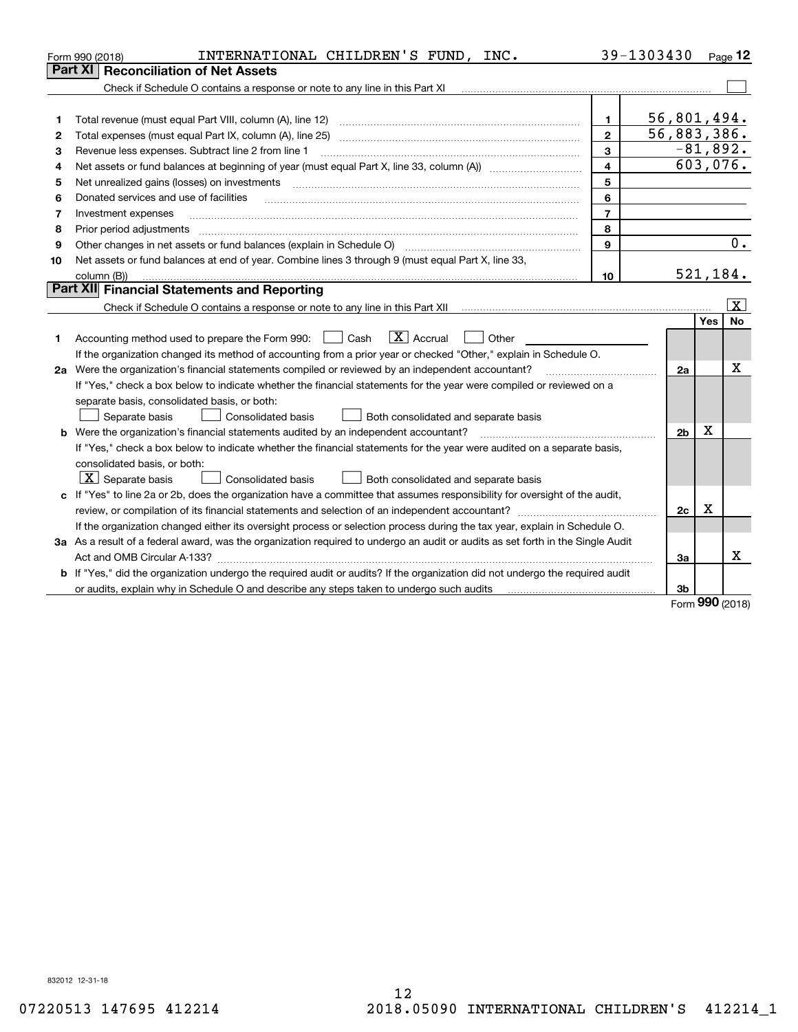|    | INTERNATIONAL CHILDREN'S FUND, INC.<br>Form 990 (2018)                                                                                                                       |                         | 39-1303430     |             | Page 12                 |
|----|------------------------------------------------------------------------------------------------------------------------------------------------------------------------------|-------------------------|----------------|-------------|-------------------------|
|    | <b>Reconciliation of Net Assets</b><br>Part XI                                                                                                                               |                         |                |             |                         |
|    | Check if Schedule O contains a response or note to any line in this Part XI                                                                                                  |                         |                |             |                         |
|    |                                                                                                                                                                              |                         |                |             |                         |
| 1  | Total revenue (must equal Part VIII, column (A), line 12)                                                                                                                    | 1                       | 56,801,494.    |             |                         |
| 2  |                                                                                                                                                                              | $\mathbf{2}$            | 56,883,386.    |             |                         |
| з  | Revenue less expenses. Subtract line 2 from line 1                                                                                                                           | 3                       |                |             | $-81,892.$              |
| 4  |                                                                                                                                                                              | $\overline{\mathbf{4}}$ |                |             | 603,076.                |
| 5  | Net unrealized gains (losses) on investments                                                                                                                                 | 5                       |                |             |                         |
| 6  | Donated services and use of facilities                                                                                                                                       | 6                       |                |             |                         |
| 7  | Investment expenses                                                                                                                                                          | $\overline{7}$          |                |             |                         |
| 8  | Prior period adjustments                                                                                                                                                     | 8                       |                |             |                         |
| 9  | Other changes in net assets or fund balances (explain in Schedule O) [11] [12] contraction contraction of the changes in net assets or fund balances (explain in Schedule O) | 9                       |                |             | 0.                      |
| 10 | Net assets or fund balances at end of year. Combine lines 3 through 9 (must equal Part X, line 33,                                                                           |                         |                |             |                         |
|    | column (B))                                                                                                                                                                  | 10                      |                |             | 521,184.                |
|    | Part XII Financial Statements and Reporting                                                                                                                                  |                         |                |             |                         |
|    | Check if Schedule O contains a response or note to any line in this Part XII munder contains an example of the                                                               |                         |                |             | $\overline{\mathbf{x}}$ |
|    |                                                                                                                                                                              |                         |                | Yes         | No                      |
| 1  | $\boxed{\mathbf{X}}$ Accrual<br>Accounting method used to prepare the Form 990: <u>June</u> Cash<br>Other                                                                    |                         |                |             |                         |
|    | If the organization changed its method of accounting from a prior year or checked "Other," explain in Schedule O.                                                            |                         |                |             |                         |
|    | 2a Were the organization's financial statements compiled or reviewed by an independent accountant?                                                                           |                         | 2a             |             | X                       |
|    | If "Yes," check a box below to indicate whether the financial statements for the year were compiled or reviewed on a                                                         |                         |                |             |                         |
|    | separate basis, consolidated basis, or both:                                                                                                                                 |                         |                |             |                         |
|    | Separate basis<br><b>Consolidated basis</b><br>Both consolidated and separate basis                                                                                          |                         |                |             |                         |
|    | <b>b</b> Were the organization's financial statements audited by an independent accountant?                                                                                  |                         | 2 <sub>b</sub> | Χ           |                         |
|    | If "Yes," check a box below to indicate whether the financial statements for the year were audited on a separate basis,                                                      |                         |                |             |                         |
|    | consolidated basis, or both:                                                                                                                                                 |                         |                |             |                         |
|    | $X$ Separate basis<br><b>Consolidated basis</b><br>Both consolidated and separate basis                                                                                      |                         |                |             |                         |
|    | c If "Yes" to line 2a or 2b, does the organization have a committee that assumes responsibility for oversight of the audit,                                                  |                         |                |             |                         |
|    |                                                                                                                                                                              |                         | 2c             | $\mathbf X$ |                         |
|    | If the organization changed either its oversight process or selection process during the tax year, explain in Schedule O.                                                    |                         |                |             |                         |
|    | 3a As a result of a federal award, was the organization required to undergo an audit or audits as set forth in the Single Audit                                              |                         |                |             |                         |
|    |                                                                                                                                                                              |                         | 3a             |             | x                       |
|    | b If "Yes," did the organization undergo the required audit or audits? If the organization did not undergo the required audit                                                |                         |                |             |                         |
|    | or audits, explain why in Schedule O and describe any steps taken to undergo such audits                                                                                     |                         | 3b             | nnn.        |                         |

Form (2018) **990**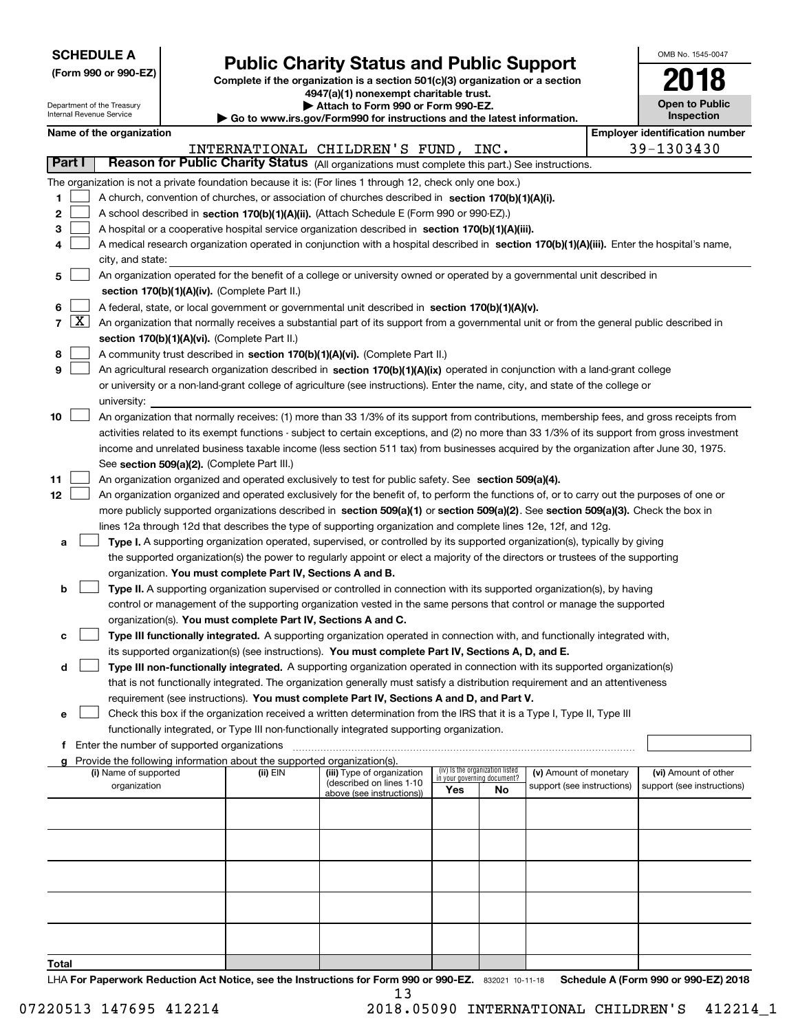| <b>SCHEDULE A</b> |
|-------------------|
|-------------------|

Department of the Treasury

**(Form 990 or 990-EZ)**

### **Public Charity Status and Public Support**

**Complete if the organization is a section 501(c)(3) organization or a section 4947(a)(1) nonexempt charitable trust. | Attach to Form 990 or Form 990-EZ.** 

| OMB No. 1545-0047                   |
|-------------------------------------|
| 2018                                |
| <b>Open to Public</b><br>Inenaction |

|                | Internal Revenue Service<br>Inspection<br>Go to www.irs.gov/Form990 for instructions and the latest information. |                                       |                                               |                                                                        |                                                                                                                                               |                                 |    |                                                      |  |                                       |                                                    |  |
|----------------|------------------------------------------------------------------------------------------------------------------|---------------------------------------|-----------------------------------------------|------------------------------------------------------------------------|-----------------------------------------------------------------------------------------------------------------------------------------------|---------------------------------|----|------------------------------------------------------|--|---------------------------------------|----------------------------------------------------|--|
|                |                                                                                                                  | Name of the organization              |                                               |                                                                        |                                                                                                                                               |                                 |    |                                                      |  | <b>Employer identification number</b> |                                                    |  |
|                |                                                                                                                  |                                       |                                               |                                                                        | INTERNATIONAL CHILDREN'S FUND, INC.                                                                                                           |                                 |    |                                                      |  |                                       | 39-1303430                                         |  |
|                | Reason for Public Charity Status (All organizations must complete this part.) See instructions.<br>Part I        |                                       |                                               |                                                                        |                                                                                                                                               |                                 |    |                                                      |  |                                       |                                                    |  |
|                |                                                                                                                  |                                       |                                               |                                                                        | The organization is not a private foundation because it is: (For lines 1 through 12, check only one box.)                                     |                                 |    |                                                      |  |                                       |                                                    |  |
| 1.             |                                                                                                                  |                                       |                                               |                                                                        | A church, convention of churches, or association of churches described in section $170(b)(1)(A)(i)$ .                                         |                                 |    |                                                      |  |                                       |                                                    |  |
| $\mathbf{2}$   |                                                                                                                  |                                       |                                               |                                                                        | A school described in section 170(b)(1)(A)(ii). (Attach Schedule E (Form 990 or 990-EZ).)                                                     |                                 |    |                                                      |  |                                       |                                                    |  |
| 3              |                                                                                                                  |                                       |                                               |                                                                        | A hospital or a cooperative hospital service organization described in section 170(b)(1)(A)(iii).                                             |                                 |    |                                                      |  |                                       |                                                    |  |
| 4              |                                                                                                                  |                                       |                                               |                                                                        | A medical research organization operated in conjunction with a hospital described in section 170(b)(1)(A)(iii). Enter the hospital's name,    |                                 |    |                                                      |  |                                       |                                                    |  |
|                |                                                                                                                  | city, and state:                      |                                               |                                                                        |                                                                                                                                               |                                 |    |                                                      |  |                                       |                                                    |  |
| 5.             |                                                                                                                  |                                       |                                               |                                                                        | An organization operated for the benefit of a college or university owned or operated by a governmental unit described in                     |                                 |    |                                                      |  |                                       |                                                    |  |
|                |                                                                                                                  |                                       |                                               | section 170(b)(1)(A)(iv). (Complete Part II.)                          |                                                                                                                                               |                                 |    |                                                      |  |                                       |                                                    |  |
| 6              |                                                                                                                  |                                       |                                               |                                                                        | A federal, state, or local government or governmental unit described in section 170(b)(1)(A)(v).                                              |                                 |    |                                                      |  |                                       |                                                    |  |
| $\overline{7}$ | $\lfloor x \rfloor$                                                                                              |                                       |                                               |                                                                        | An organization that normally receives a substantial part of its support from a governmental unit or from the general public described in     |                                 |    |                                                      |  |                                       |                                                    |  |
|                |                                                                                                                  |                                       |                                               | section 170(b)(1)(A)(vi). (Complete Part II.)                          |                                                                                                                                               |                                 |    |                                                      |  |                                       |                                                    |  |
| 8              |                                                                                                                  |                                       |                                               |                                                                        | A community trust described in section 170(b)(1)(A)(vi). (Complete Part II.)                                                                  |                                 |    |                                                      |  |                                       |                                                    |  |
| 9              |                                                                                                                  |                                       |                                               |                                                                        | An agricultural research organization described in section 170(b)(1)(A)(ix) operated in conjunction with a land-grant college                 |                                 |    |                                                      |  |                                       |                                                    |  |
|                |                                                                                                                  |                                       |                                               |                                                                        | or university or a non-land-grant college of agriculture (see instructions). Enter the name, city, and state of the college or                |                                 |    |                                                      |  |                                       |                                                    |  |
|                |                                                                                                                  | university:                           |                                               |                                                                        |                                                                                                                                               |                                 |    |                                                      |  |                                       |                                                    |  |
| 10             |                                                                                                                  |                                       |                                               |                                                                        | An organization that normally receives: (1) more than 33 1/3% of its support from contributions, membership fees, and gross receipts from     |                                 |    |                                                      |  |                                       |                                                    |  |
|                |                                                                                                                  |                                       |                                               |                                                                        | activities related to its exempt functions - subject to certain exceptions, and (2) no more than 33 1/3% of its support from gross investment |                                 |    |                                                      |  |                                       |                                                    |  |
|                |                                                                                                                  |                                       |                                               |                                                                        | income and unrelated business taxable income (less section 511 tax) from businesses acquired by the organization after June 30, 1975.         |                                 |    |                                                      |  |                                       |                                                    |  |
|                |                                                                                                                  |                                       |                                               | See section 509(a)(2). (Complete Part III.)                            |                                                                                                                                               |                                 |    |                                                      |  |                                       |                                                    |  |
| 11             |                                                                                                                  |                                       |                                               |                                                                        | An organization organized and operated exclusively to test for public safety. See section 509(a)(4).                                          |                                 |    |                                                      |  |                                       |                                                    |  |
| 12             |                                                                                                                  |                                       |                                               |                                                                        | An organization organized and operated exclusively for the benefit of, to perform the functions of, or to carry out the purposes of one or    |                                 |    |                                                      |  |                                       |                                                    |  |
|                |                                                                                                                  |                                       |                                               |                                                                        | more publicly supported organizations described in section 509(a)(1) or section 509(a)(2). See section 509(a)(3). Check the box in            |                                 |    |                                                      |  |                                       |                                                    |  |
|                |                                                                                                                  |                                       |                                               |                                                                        | lines 12a through 12d that describes the type of supporting organization and complete lines 12e, 12f, and 12g.                                |                                 |    |                                                      |  |                                       |                                                    |  |
| а              |                                                                                                                  |                                       |                                               |                                                                        | Type I. A supporting organization operated, supervised, or controlled by its supported organization(s), typically by giving                   |                                 |    |                                                      |  |                                       |                                                    |  |
|                |                                                                                                                  |                                       |                                               |                                                                        | the supported organization(s) the power to regularly appoint or elect a majority of the directors or trustees of the supporting               |                                 |    |                                                      |  |                                       |                                                    |  |
|                |                                                                                                                  |                                       |                                               | organization. You must complete Part IV, Sections A and B.             |                                                                                                                                               |                                 |    |                                                      |  |                                       |                                                    |  |
| b              |                                                                                                                  |                                       |                                               |                                                                        | Type II. A supporting organization supervised or controlled in connection with its supported organization(s), by having                       |                                 |    |                                                      |  |                                       |                                                    |  |
|                |                                                                                                                  |                                       |                                               |                                                                        | control or management of the supporting organization vested in the same persons that control or manage the supported                          |                                 |    |                                                      |  |                                       |                                                    |  |
|                |                                                                                                                  |                                       |                                               | organization(s). You must complete Part IV, Sections A and C.          |                                                                                                                                               |                                 |    |                                                      |  |                                       |                                                    |  |
| с              |                                                                                                                  |                                       |                                               |                                                                        | Type III functionally integrated. A supporting organization operated in connection with, and functionally integrated with,                    |                                 |    |                                                      |  |                                       |                                                    |  |
|                |                                                                                                                  |                                       |                                               |                                                                        | its supported organization(s) (see instructions). You must complete Part IV, Sections A, D, and E.                                            |                                 |    |                                                      |  |                                       |                                                    |  |
| d              |                                                                                                                  |                                       |                                               |                                                                        | Type III non-functionally integrated. A supporting organization operated in connection with its supported organization(s)                     |                                 |    |                                                      |  |                                       |                                                    |  |
|                |                                                                                                                  |                                       |                                               |                                                                        | that is not functionally integrated. The organization generally must satisfy a distribution requirement and an attentiveness                  |                                 |    |                                                      |  |                                       |                                                    |  |
|                |                                                                                                                  |                                       |                                               |                                                                        | requirement (see instructions). You must complete Part IV, Sections A and D, and Part V.                                                      |                                 |    |                                                      |  |                                       |                                                    |  |
| е              |                                                                                                                  |                                       |                                               |                                                                        | Check this box if the organization received a written determination from the IRS that it is a Type I, Type II, Type III                       |                                 |    |                                                      |  |                                       |                                                    |  |
|                |                                                                                                                  |                                       |                                               |                                                                        | functionally integrated, or Type III non-functionally integrated supporting organization.                                                     |                                 |    |                                                      |  |                                       |                                                    |  |
|                |                                                                                                                  |                                       | f Enter the number of supported organizations |                                                                        |                                                                                                                                               |                                 |    |                                                      |  |                                       |                                                    |  |
|                |                                                                                                                  |                                       |                                               | Provide the following information about the supported organization(s). |                                                                                                                                               | (iv) Is the organization listed |    |                                                      |  |                                       |                                                    |  |
|                |                                                                                                                  | (i) Name of supported<br>organization |                                               | (ii) EIN                                                               | (iii) Type of organization<br>(described on lines 1-10                                                                                        | in your governing document?     |    | (v) Amount of monetary<br>support (see instructions) |  |                                       | (vi) Amount of other<br>support (see instructions) |  |
|                |                                                                                                                  |                                       |                                               |                                                                        | above (see instructions))                                                                                                                     | Yes                             | No |                                                      |  |                                       |                                                    |  |
|                |                                                                                                                  |                                       |                                               |                                                                        |                                                                                                                                               |                                 |    |                                                      |  |                                       |                                                    |  |
|                |                                                                                                                  |                                       |                                               |                                                                        |                                                                                                                                               |                                 |    |                                                      |  |                                       |                                                    |  |
|                |                                                                                                                  |                                       |                                               |                                                                        |                                                                                                                                               |                                 |    |                                                      |  |                                       |                                                    |  |
|                |                                                                                                                  |                                       |                                               |                                                                        |                                                                                                                                               |                                 |    |                                                      |  |                                       |                                                    |  |
|                |                                                                                                                  |                                       |                                               |                                                                        |                                                                                                                                               |                                 |    |                                                      |  |                                       |                                                    |  |
|                |                                                                                                                  |                                       |                                               |                                                                        |                                                                                                                                               |                                 |    |                                                      |  |                                       |                                                    |  |
|                |                                                                                                                  |                                       |                                               |                                                                        |                                                                                                                                               |                                 |    |                                                      |  |                                       |                                                    |  |
|                |                                                                                                                  |                                       |                                               |                                                                        |                                                                                                                                               |                                 |    |                                                      |  |                                       |                                                    |  |
|                |                                                                                                                  |                                       |                                               |                                                                        |                                                                                                                                               |                                 |    |                                                      |  |                                       |                                                    |  |
|                |                                                                                                                  |                                       |                                               |                                                                        |                                                                                                                                               |                                 |    |                                                      |  |                                       |                                                    |  |
| Total          |                                                                                                                  |                                       |                                               |                                                                        |                                                                                                                                               |                                 |    |                                                      |  |                                       |                                                    |  |

LHA For Paperwork Reduction Act Notice, see the Instructions for Form 990 or 990-EZ. 832021 10-11-18 Schedule A (Form 990 or 990-EZ) 2018 13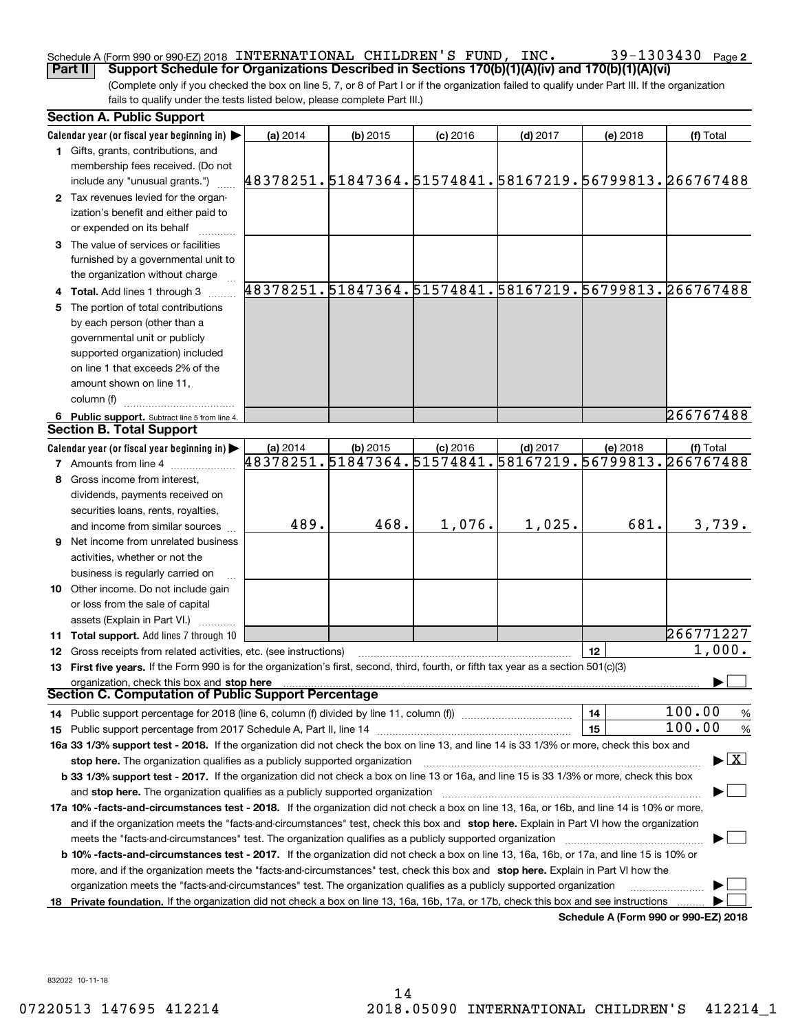#### Schedule A (Form 990 or 990-EZ) 2018 Page INTERNATIONAL CHILDREN'S FUND, INC. 39-1303430 **Part II Support Schedule for Organizations Described in Sections 170(b)(1)(A)(iv) and 170(b)(1)(A)(vi)**

(Complete only if you checked the box on line 5, 7, or 8 of Part I or if the organization failed to qualify under Part III. If the organization fails to qualify under the tests listed below, please complete Part III.)

| <b>Section A. Public Support</b>                                                                                                               |                                                        |            |            |            |                                         |                                                        |
|------------------------------------------------------------------------------------------------------------------------------------------------|--------------------------------------------------------|------------|------------|------------|-----------------------------------------|--------------------------------------------------------|
| Calendar year (or fiscal year beginning in) $\blacktriangleright$                                                                              | (a) 2014                                               | (b) 2015   | $(c)$ 2016 | $(d)$ 2017 | (e) 2018                                | (f) Total                                              |
| 1 Gifts, grants, contributions, and                                                                                                            |                                                        |            |            |            |                                         |                                                        |
| membership fees received. (Do not                                                                                                              |                                                        |            |            |            |                                         |                                                        |
| include any "unusual grants.")                                                                                                                 | 48378251.51847364.51574841.58167219.56799813.266767488 |            |            |            |                                         |                                                        |
| 2 Tax revenues levied for the organ-                                                                                                           |                                                        |            |            |            |                                         |                                                        |
| ization's benefit and either paid to                                                                                                           |                                                        |            |            |            |                                         |                                                        |
| or expended on its behalf                                                                                                                      |                                                        |            |            |            |                                         |                                                        |
| 3 The value of services or facilities                                                                                                          |                                                        |            |            |            |                                         |                                                        |
| furnished by a governmental unit to                                                                                                            |                                                        |            |            |            |                                         |                                                        |
| the organization without charge                                                                                                                |                                                        |            |            |            |                                         |                                                        |
| 4 Total. Add lines 1 through 3                                                                                                                 |                                                        |            |            |            |                                         | 48378251.51847364.51574841.58167219.56799813.266767488 |
| 5 The portion of total contributions                                                                                                           |                                                        |            |            |            |                                         |                                                        |
| by each person (other than a                                                                                                                   |                                                        |            |            |            |                                         |                                                        |
| governmental unit or publicly                                                                                                                  |                                                        |            |            |            |                                         |                                                        |
| supported organization) included                                                                                                               |                                                        |            |            |            |                                         |                                                        |
| on line 1 that exceeds 2% of the                                                                                                               |                                                        |            |            |            |                                         |                                                        |
| amount shown on line 11,                                                                                                                       |                                                        |            |            |            |                                         |                                                        |
| column (f)                                                                                                                                     |                                                        |            |            |            |                                         |                                                        |
|                                                                                                                                                |                                                        |            |            |            |                                         | 266767488                                              |
| 6 Public support. Subtract line 5 from line 4.<br><b>Section B. Total Support</b>                                                              |                                                        |            |            |            |                                         |                                                        |
|                                                                                                                                                |                                                        |            |            |            |                                         |                                                        |
| Calendar year (or fiscal year beginning in)                                                                                                    | (a) 2014<br>48378251.51847364.51574841.                | $(b)$ 2015 | $(c)$ 2016 | $(d)$ 2017 | (e) 2018<br>58167219.56799813.266767488 | (f) Total                                              |
| <b>7</b> Amounts from line 4                                                                                                                   |                                                        |            |            |            |                                         |                                                        |
| 8 Gross income from interest.                                                                                                                  |                                                        |            |            |            |                                         |                                                        |
| dividends, payments received on                                                                                                                |                                                        |            |            |            |                                         |                                                        |
| securities loans, rents, royalties,                                                                                                            |                                                        |            |            |            |                                         |                                                        |
| and income from similar sources                                                                                                                | 489.                                                   | 468.       | 1,076.     | 1,025.     | 681.                                    | 3,739.                                                 |
| <b>9</b> Net income from unrelated business                                                                                                    |                                                        |            |            |            |                                         |                                                        |
| activities, whether or not the                                                                                                                 |                                                        |            |            |            |                                         |                                                        |
| business is regularly carried on                                                                                                               |                                                        |            |            |            |                                         |                                                        |
| 10 Other income. Do not include gain                                                                                                           |                                                        |            |            |            |                                         |                                                        |
| or loss from the sale of capital                                                                                                               |                                                        |            |            |            |                                         |                                                        |
| assets (Explain in Part VI.)                                                                                                                   |                                                        |            |            |            |                                         |                                                        |
| 11 Total support. Add lines 7 through 10                                                                                                       |                                                        |            |            |            |                                         | 266771227                                              |
| 12 Gross receipts from related activities, etc. (see instructions)                                                                             |                                                        |            |            |            | 12                                      | 1,000.                                                 |
| 13 First five years. If the Form 990 is for the organization's first, second, third, fourth, or fifth tax year as a section 501(c)(3)          |                                                        |            |            |            |                                         |                                                        |
| organization, check this box and stop here                                                                                                     |                                                        |            |            |            |                                         |                                                        |
| <b>Section C. Computation of Public Support Percentage</b>                                                                                     |                                                        |            |            |            |                                         |                                                        |
| 14 Public support percentage for 2018 (line 6, column (f) divided by line 11, column (f) <i>manumanomeron</i>                                  |                                                        |            |            |            | 14                                      | 100.00<br>%                                            |
| 15 Public support percentage from 2017 Schedule A, Part II, line 14                                                                            |                                                        |            |            |            | 15                                      | 100.00<br>%                                            |
| 16a 33 1/3% support test - 2018. If the organization did not check the box on line 13, and line 14 is 33 1/3% or more, check this box and      |                                                        |            |            |            |                                         |                                                        |
| stop here. The organization qualifies as a publicly supported organization                                                                     |                                                        |            |            |            |                                         | $\blacktriangleright$ $\vert$ X $\vert$                |
| b 33 1/3% support test - 2017. If the organization did not check a box on line 13 or 16a, and line 15 is 33 1/3% or more, check this box       |                                                        |            |            |            |                                         |                                                        |
| and stop here. The organization qualifies as a publicly supported organization                                                                 |                                                        |            |            |            |                                         |                                                        |
| 17a 10% -facts-and-circumstances test - 2018. If the organization did not check a box on line 13, 16a, or 16b, and line 14 is 10% or more,     |                                                        |            |            |            |                                         |                                                        |
| and if the organization meets the "facts-and-circumstances" test, check this box and stop here. Explain in Part VI how the organization        |                                                        |            |            |            |                                         |                                                        |
| meets the "facts-and-circumstances" test. The organization qualifies as a publicly supported organization                                      |                                                        |            |            |            |                                         |                                                        |
| <b>b 10% -facts-and-circumstances test - 2017.</b> If the organization did not check a box on line 13, 16a, 16b, or 17a, and line 15 is 10% or |                                                        |            |            |            |                                         |                                                        |
| more, and if the organization meets the "facts-and-circumstances" test, check this box and stop here. Explain in Part VI how the               |                                                        |            |            |            |                                         |                                                        |
| organization meets the "facts-and-circumstances" test. The organization qualifies as a publicly supported organization                         |                                                        |            |            |            |                                         |                                                        |
| 18 Private foundation. If the organization did not check a box on line 13, 16a, 16b, 17a, or 17b, check this box and see instructions          |                                                        |            |            |            |                                         |                                                        |
|                                                                                                                                                |                                                        |            |            |            |                                         |                                                        |

**Schedule A (Form 990 or 990-EZ) 2018**

832022 10-11-18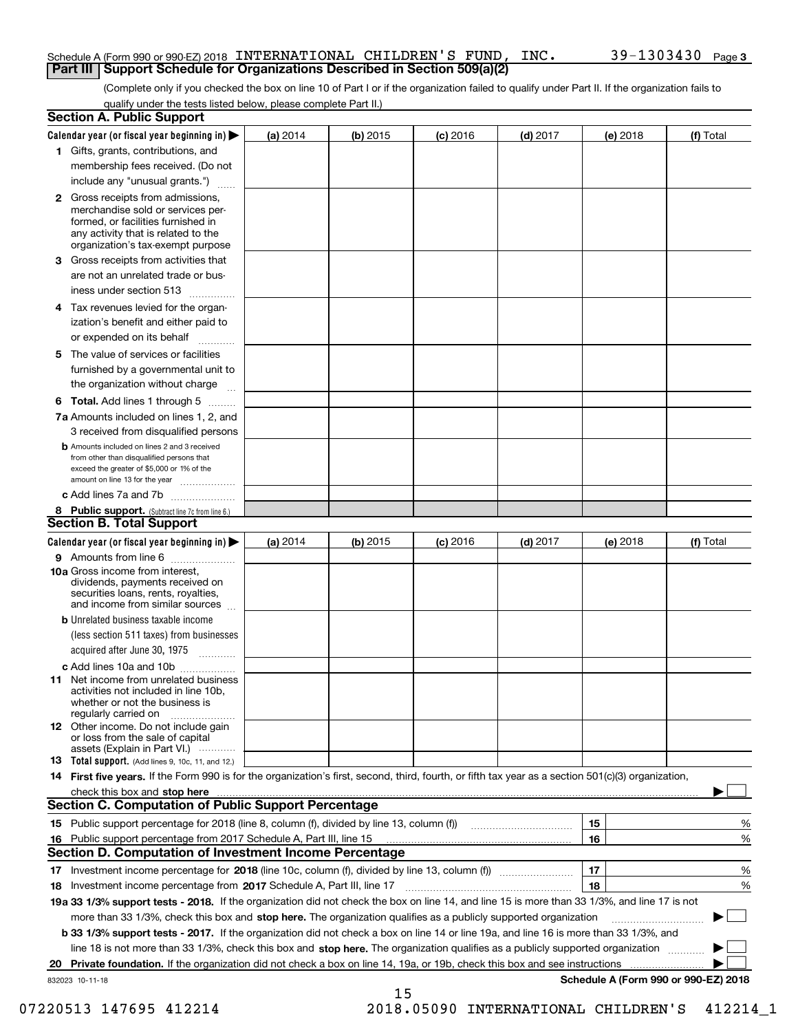#### Schedule A (Form 990 or 990-EZ) 2018 Page INTERNATIONAL CHILDREN'S FUND, INC. 39-1303430 **Part III | Support Schedule for Organizations Described in Section 509(a)(2)**

(Complete only if you checked the box on line 10 of Part I or if the organization failed to qualify under Part II. If the organization fails to qualify under the tests listed below, please complete Part II.)

|     | <b>Section A. Public Support</b>                                                                                                                                                                                                                                   |          |          |            |            |          |                                           |
|-----|--------------------------------------------------------------------------------------------------------------------------------------------------------------------------------------------------------------------------------------------------------------------|----------|----------|------------|------------|----------|-------------------------------------------|
|     | Calendar year (or fiscal year beginning in) $\blacktriangleright$                                                                                                                                                                                                  | (a) 2014 | (b) 2015 | $(c)$ 2016 | $(d)$ 2017 | (e) 2018 | (f) Total                                 |
|     | 1 Gifts, grants, contributions, and                                                                                                                                                                                                                                |          |          |            |            |          |                                           |
|     | membership fees received. (Do not                                                                                                                                                                                                                                  |          |          |            |            |          |                                           |
|     | include any "unusual grants.")                                                                                                                                                                                                                                     |          |          |            |            |          |                                           |
|     | <b>2</b> Gross receipts from admissions,<br>merchandise sold or services per-<br>formed, or facilities furnished in<br>any activity that is related to the<br>organization's tax-exempt purpose                                                                    |          |          |            |            |          |                                           |
|     | 3 Gross receipts from activities that<br>are not an unrelated trade or bus-                                                                                                                                                                                        |          |          |            |            |          |                                           |
|     | iness under section 513                                                                                                                                                                                                                                            |          |          |            |            |          |                                           |
|     | 4 Tax revenues levied for the organ-<br>ization's benefit and either paid to                                                                                                                                                                                       |          |          |            |            |          |                                           |
|     | or expended on its behalf                                                                                                                                                                                                                                          |          |          |            |            |          |                                           |
|     | 5 The value of services or facilities<br>furnished by a governmental unit to                                                                                                                                                                                       |          |          |            |            |          |                                           |
|     | the organization without charge                                                                                                                                                                                                                                    |          |          |            |            |          |                                           |
|     | <b>6 Total.</b> Add lines 1 through 5                                                                                                                                                                                                                              |          |          |            |            |          |                                           |
|     | 7a Amounts included on lines 1, 2, and<br>3 received from disqualified persons                                                                                                                                                                                     |          |          |            |            |          |                                           |
|     | <b>b</b> Amounts included on lines 2 and 3 received<br>from other than disqualified persons that<br>exceed the greater of \$5,000 or 1% of the<br>amount on line 13 for the year                                                                                   |          |          |            |            |          |                                           |
|     | c Add lines 7a and 7b                                                                                                                                                                                                                                              |          |          |            |            |          |                                           |
|     | 8 Public support. (Subtract line 7c from line 6.)<br><b>Section B. Total Support</b>                                                                                                                                                                               |          |          |            |            |          |                                           |
|     | Calendar year (or fiscal year beginning in)                                                                                                                                                                                                                        | (a) 2014 | (b) 2015 | $(c)$ 2016 | $(d)$ 2017 | (e) 2018 | (f) Total                                 |
|     | 9 Amounts from line 6                                                                                                                                                                                                                                              |          |          |            |            |          |                                           |
|     | <b>10a</b> Gross income from interest,<br>dividends, payments received on<br>securities loans, rents, royalties,<br>and income from similar sources                                                                                                                |          |          |            |            |          |                                           |
|     | <b>b</b> Unrelated business taxable income<br>(less section 511 taxes) from businesses                                                                                                                                                                             |          |          |            |            |          |                                           |
|     | acquired after June 30, 1975                                                                                                                                                                                                                                       |          |          |            |            |          |                                           |
|     | c Add lines 10a and 10b                                                                                                                                                                                                                                            |          |          |            |            |          |                                           |
|     | 11 Net income from unrelated business<br>activities not included in line 10b,<br>whether or not the business is<br>regularly carried on                                                                                                                            |          |          |            |            |          |                                           |
|     | <b>12</b> Other income. Do not include gain<br>or loss from the sale of capital<br>assets (Explain in Part VI.)                                                                                                                                                    |          |          |            |            |          |                                           |
|     | 13 Total support. (Add lines 9, 10c, 11, and 12.)                                                                                                                                                                                                                  |          |          |            |            |          |                                           |
|     | 14 First five years. If the Form 990 is for the organization's first, second, third, fourth, or fifth tax year as a section 501(c)(3) organization,                                                                                                                |          |          |            |            |          |                                           |
|     | check this box and stop here measurements and contact the contract of the contract of the contract of the contract of the contract of the contract of the contract of the contract of the contract of the contract of the cont                                     |          |          |            |            |          |                                           |
|     | <b>Section C. Computation of Public Support Percentage</b>                                                                                                                                                                                                         |          |          |            |            |          |                                           |
|     |                                                                                                                                                                                                                                                                    |          |          |            |            | 15       | %                                         |
| 16. | Public support percentage from 2017 Schedule A, Part III, line 15                                                                                                                                                                                                  |          |          |            |            | 16       | %                                         |
|     | <b>Section D. Computation of Investment Income Percentage</b>                                                                                                                                                                                                      |          |          |            |            |          |                                           |
|     | 17 Investment income percentage for 2018 (line 10c, column (f), divided by line 13, column (f))                                                                                                                                                                    |          |          |            |            | 17<br>18 | %                                         |
|     | 18 Investment income percentage from 2017 Schedule A, Part III, line 17<br>19a 33 1/3% support tests - 2018. If the organization did not check the box on line 14, and line 15 is more than 33 1/3%, and line 17 is not                                            |          |          |            |            |          | %                                         |
|     |                                                                                                                                                                                                                                                                    |          |          |            |            |          |                                           |
|     | more than 33 1/3%, check this box and stop here. The organization qualifies as a publicly supported organization                                                                                                                                                   |          |          |            |            |          |                                           |
|     | <b>b 33 1/3% support tests - 2017.</b> If the organization did not check a box on line 14 or line 19a, and line 16 is more than 33 1/3%, and                                                                                                                       |          |          |            |            |          |                                           |
|     | line 18 is not more than 33 1/3%, check this box and stop here. The organization qualifies as a publicly supported organization<br><b>Private foundation.</b> If the organization did not check a box on line 14, 19a, or 19b, check this box and see instructions |          |          |            |            |          |                                           |
| 20  | 832023 10-11-18                                                                                                                                                                                                                                                    |          |          |            |            |          | .<br>Schedule A (Form 990 or 990-EZ) 2018 |
|     |                                                                                                                                                                                                                                                                    |          | 15       |            |            |          |                                           |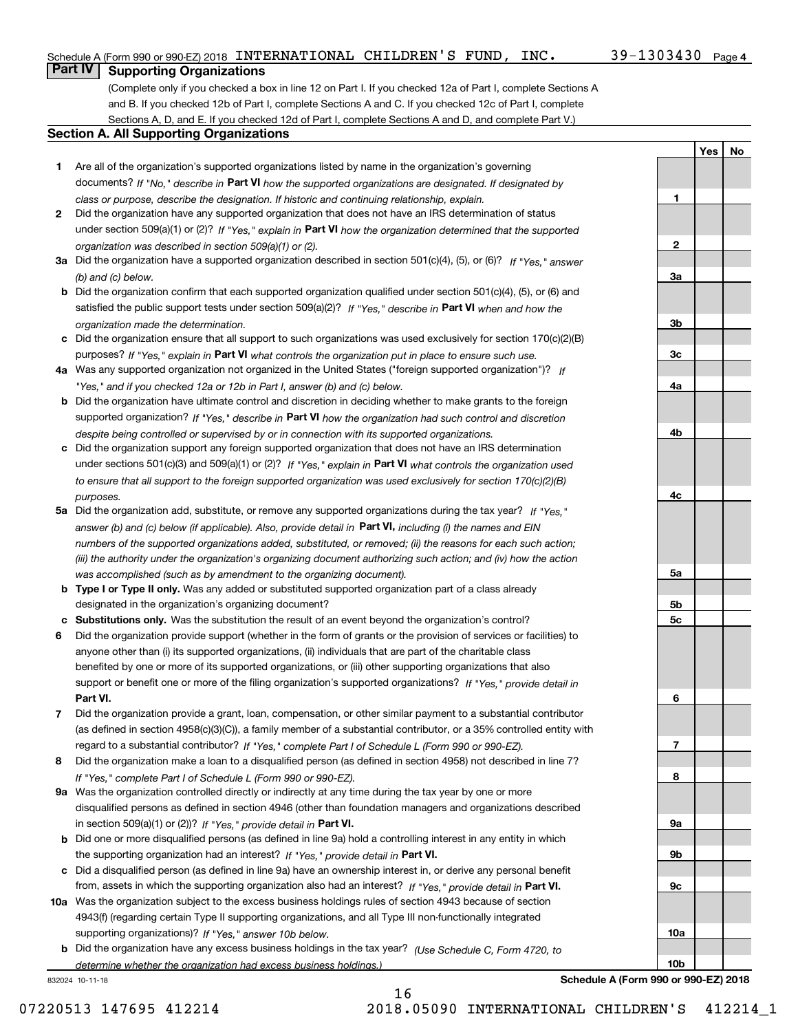**1**

**2**

**3a**

**3b**

**3c**

**4a**

**4b**

**4c**

**5a**

**5b5c** **YesNo**

### **Part IV Supporting Organizations**

(Complete only if you checked a box in line 12 on Part I. If you checked 12a of Part I, complete Sections A and B. If you checked 12b of Part I, complete Sections A and C. If you checked 12c of Part I, complete Sections A, D, and E. If you checked 12d of Part I, complete Sections A and D, and complete Part V.)

#### **Section A. All Supporting Organizations**

- **1** Are all of the organization's supported organizations listed by name in the organization's governing documents? If "No," describe in **Part VI** how the supported organizations are designated. If designated by *class or purpose, describe the designation. If historic and continuing relationship, explain.*
- **2** Did the organization have any supported organization that does not have an IRS determination of status under section 509(a)(1) or (2)? If "Yes," explain in Part VI how the organization determined that the supported *organization was described in section 509(a)(1) or (2).*
- **3a** Did the organization have a supported organization described in section 501(c)(4), (5), or (6)? If "Yes," answer *(b) and (c) below.*
- **b** Did the organization confirm that each supported organization qualified under section 501(c)(4), (5), or (6) and satisfied the public support tests under section 509(a)(2)? If "Yes," describe in **Part VI** when and how the *organization made the determination.*
- **c**Did the organization ensure that all support to such organizations was used exclusively for section 170(c)(2)(B) purposes? If "Yes," explain in **Part VI** what controls the organization put in place to ensure such use.
- **4a***If* Was any supported organization not organized in the United States ("foreign supported organization")? *"Yes," and if you checked 12a or 12b in Part I, answer (b) and (c) below.*
- **b** Did the organization have ultimate control and discretion in deciding whether to make grants to the foreign supported organization? If "Yes," describe in **Part VI** how the organization had such control and discretion *despite being controlled or supervised by or in connection with its supported organizations.*
- **c** Did the organization support any foreign supported organization that does not have an IRS determination under sections 501(c)(3) and 509(a)(1) or (2)? If "Yes," explain in **Part VI** what controls the organization used *to ensure that all support to the foreign supported organization was used exclusively for section 170(c)(2)(B) purposes.*
- **5a** Did the organization add, substitute, or remove any supported organizations during the tax year? If "Yes," answer (b) and (c) below (if applicable). Also, provide detail in **Part VI,** including (i) the names and EIN *numbers of the supported organizations added, substituted, or removed; (ii) the reasons for each such action; (iii) the authority under the organization's organizing document authorizing such action; and (iv) how the action was accomplished (such as by amendment to the organizing document).*
- **b** Type I or Type II only. Was any added or substituted supported organization part of a class already designated in the organization's organizing document?
- **cSubstitutions only.**  Was the substitution the result of an event beyond the organization's control?
- **6** Did the organization provide support (whether in the form of grants or the provision of services or facilities) to **Part VI.** *If "Yes," provide detail in* support or benefit one or more of the filing organization's supported organizations? anyone other than (i) its supported organizations, (ii) individuals that are part of the charitable class benefited by one or more of its supported organizations, or (iii) other supporting organizations that also
- **7**Did the organization provide a grant, loan, compensation, or other similar payment to a substantial contributor *If "Yes," complete Part I of Schedule L (Form 990 or 990-EZ).* regard to a substantial contributor? (as defined in section 4958(c)(3)(C)), a family member of a substantial contributor, or a 35% controlled entity with
- **8** Did the organization make a loan to a disqualified person (as defined in section 4958) not described in line 7? *If "Yes," complete Part I of Schedule L (Form 990 or 990-EZ).*
- **9a** Was the organization controlled directly or indirectly at any time during the tax year by one or more in section 509(a)(1) or (2))? If "Yes," *provide detail in* <code>Part VI.</code> disqualified persons as defined in section 4946 (other than foundation managers and organizations described
- **b** Did one or more disqualified persons (as defined in line 9a) hold a controlling interest in any entity in which the supporting organization had an interest? If "Yes," provide detail in P**art VI**.
- **c**Did a disqualified person (as defined in line 9a) have an ownership interest in, or derive any personal benefit from, assets in which the supporting organization also had an interest? If "Yes," provide detail in P**art VI.**
- **10a** Was the organization subject to the excess business holdings rules of section 4943 because of section supporting organizations)? If "Yes," answer 10b below. 4943(f) (regarding certain Type II supporting organizations, and all Type III non-functionally integrated
- **b** Did the organization have any excess business holdings in the tax year? (Use Schedule C, Form 4720, to *determine whether the organization had excess business holdings.)*

832024 10-11-18



**Schedule A (Form 990 or 990-EZ) 2018**

16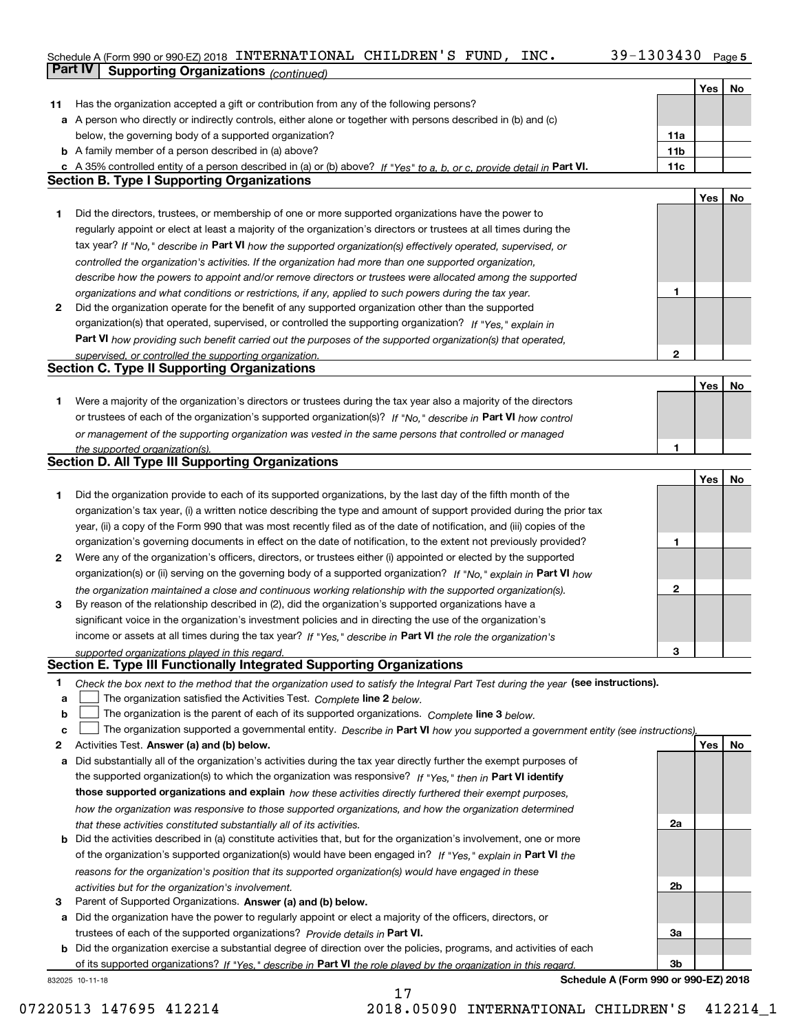#### Schedule A (Form 990 or 990-EZ) 2018 INTERNATIONAL CHILDREN S FUND,INC。 39-I303430 Page 5 INTERNATIONAL CHILDREN'S FUND, INC. 39-1303430

|    | <b>Part IV</b><br><b>Supporting Organizations (continued)</b>                                                                     |                 |     |    |
|----|-----------------------------------------------------------------------------------------------------------------------------------|-----------------|-----|----|
|    |                                                                                                                                   |                 | Yes | No |
| 11 | Has the organization accepted a gift or contribution from any of the following persons?                                           |                 |     |    |
| а  | A person who directly or indirectly controls, either alone or together with persons described in (b) and (c)                      |                 |     |    |
|    | below, the governing body of a supported organization?                                                                            | 11a             |     |    |
|    | <b>b</b> A family member of a person described in (a) above?                                                                      | 11 <sub>b</sub> |     |    |
|    | c A 35% controlled entity of a person described in (a) or (b) above? If "Yes" to a, b, or c, provide detail in Part VI.           | 11c             |     |    |
|    | <b>Section B. Type I Supporting Organizations</b>                                                                                 |                 |     |    |
|    |                                                                                                                                   |                 | Yes | No |
| 1  | Did the directors, trustees, or membership of one or more supported organizations have the power to                               |                 |     |    |
|    | regularly appoint or elect at least a majority of the organization's directors or trustees at all times during the                |                 |     |    |
|    | tax year? If "No," describe in Part VI how the supported organization(s) effectively operated, supervised, or                     |                 |     |    |
|    | controlled the organization's activities. If the organization had more than one supported organization,                           |                 |     |    |
|    | describe how the powers to appoint and/or remove directors or trustees were allocated among the supported                         |                 |     |    |
|    | organizations and what conditions or restrictions, if any, applied to such powers during the tax year.                            | 1               |     |    |
| 2  | Did the organization operate for the benefit of any supported organization other than the supported                               |                 |     |    |
|    | organization(s) that operated, supervised, or controlled the supporting organization? If "Yes," explain in                        |                 |     |    |
|    | Part VI how providing such benefit carried out the purposes of the supported organization(s) that operated,                       |                 |     |    |
|    | supervised, or controlled the supporting organization.<br><b>Section C. Type II Supporting Organizations</b>                      | 2               |     |    |
|    |                                                                                                                                   |                 |     |    |
|    |                                                                                                                                   |                 | Yes | No |
| 1  | Were a majority of the organization's directors or trustees during the tax year also a majority of the directors                  |                 |     |    |
|    | or trustees of each of the organization's supported organization(s)? If "No," describe in Part VI how control                     |                 |     |    |
|    | or management of the supporting organization was vested in the same persons that controlled or managed                            | 1               |     |    |
|    | the supported organization(s).<br><b>Section D. All Type III Supporting Organizations</b>                                         |                 |     |    |
|    |                                                                                                                                   |                 | Yes | No |
| 1  | Did the organization provide to each of its supported organizations, by the last day of the fifth month of the                    |                 |     |    |
|    | organization's tax year, (i) a written notice describing the type and amount of support provided during the prior tax             |                 |     |    |
|    | year, (ii) a copy of the Form 990 that was most recently filed as of the date of notification, and (iii) copies of the            |                 |     |    |
|    | organization's governing documents in effect on the date of notification, to the extent not previously provided?                  | 1               |     |    |
| 2  | Were any of the organization's officers, directors, or trustees either (i) appointed or elected by the supported                  |                 |     |    |
|    | organization(s) or (ii) serving on the governing body of a supported organization? If "No," explain in Part VI how                |                 |     |    |
|    | the organization maintained a close and continuous working relationship with the supported organization(s).                       | $\mathbf{2}$    |     |    |
| з  | By reason of the relationship described in (2), did the organization's supported organizations have a                             |                 |     |    |
|    | significant voice in the organization's investment policies and in directing the use of the organization's                        |                 |     |    |
|    | income or assets at all times during the tax year? If "Yes," describe in Part VI the role the organization's                      |                 |     |    |
|    | supported organizations played in this regard.                                                                                    | 3               |     |    |
|    | Section E. Type III Functionally Integrated Supporting Organizations                                                              |                 |     |    |
| 1  | Check the box next to the method that the organization used to satisfy the Integral Part Test during the year (see instructions). |                 |     |    |
| a  | The organization satisfied the Activities Test. Complete line 2 below.                                                            |                 |     |    |
| b  | The organization is the parent of each of its supported organizations. Complete line 3 below.                                     |                 |     |    |
| c  | The organization supported a governmental entity. Describe in Part VI how you supported a government entity (see instructions),   |                 |     |    |
| 2  | Activities Test. Answer (a) and (b) below.                                                                                        |                 | Yes | No |
| а  | Did substantially all of the organization's activities during the tax year directly further the exempt purposes of                |                 |     |    |
|    | the supported organization(s) to which the organization was responsive? If "Yes," then in Part VI identify                        |                 |     |    |
|    | those supported organizations and explain how these activities directly furthered their exempt purposes,                          |                 |     |    |
|    | how the organization was responsive to those supported organizations, and how the organization determined                         |                 |     |    |
|    | that these activities constituted substantially all of its activities.                                                            | 2a              |     |    |
| b  | Did the activities described in (a) constitute activities that, but for the organization's involvement, one or more               |                 |     |    |
|    | of the organization's supported organization(s) would have been engaged in? If "Yes," explain in Part VI the                      |                 |     |    |
|    | reasons for the organization's position that its supported organization(s) would have engaged in these                            |                 |     |    |
|    | activities but for the organization's involvement.                                                                                | 2b              |     |    |
| з  | Parent of Supported Organizations. Answer (a) and (b) below.                                                                      |                 |     |    |
| а  | Did the organization have the power to regularly appoint or elect a majority of the officers, directors, or                       |                 |     |    |
|    | trustees of each of the supported organizations? Provide details in Part VI.                                                      | За              |     |    |
| b  | Did the organization exercise a substantial degree of direction over the policies, programs, and activities of each               |                 |     |    |
|    | of its supported organizations? If "Yes," describe in Part VI the role played by the organization in this regard.                 | Зb              |     |    |

17

832025 10-11-18

**Schedule A (Form 990 or 990-EZ) 2018**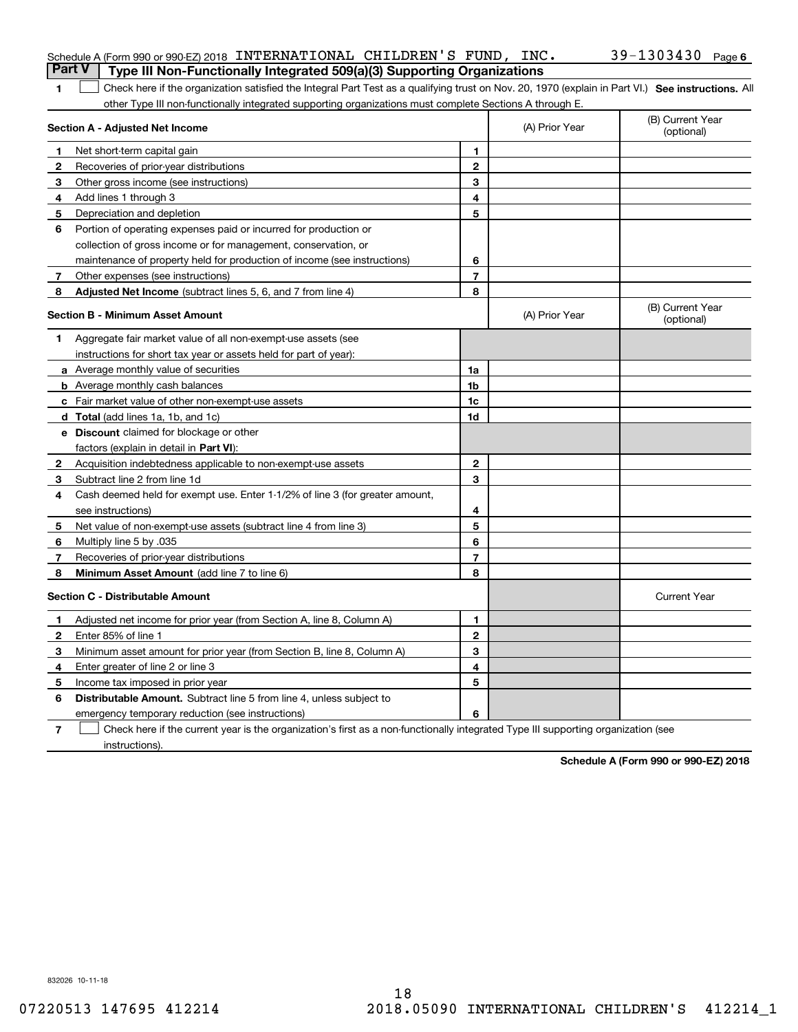| <b>Part V</b> | Schedule A (Form 990 or 990-EZ) 2018 INTERNATIONAL CHILDREN'S FUND, INC.                                                                                                                                                                                      |                |                | 39-1303430 Page 6              |
|---------------|---------------------------------------------------------------------------------------------------------------------------------------------------------------------------------------------------------------------------------------------------------------|----------------|----------------|--------------------------------|
|               | Type III Non-Functionally Integrated 509(a)(3) Supporting Organizations                                                                                                                                                                                       |                |                |                                |
| 1             | Check here if the organization satisfied the Integral Part Test as a qualifying trust on Nov. 20, 1970 (explain in Part VI.) See instructions. All<br>other Type III non-functionally integrated supporting organizations must complete Sections A through E. |                |                |                                |
|               | Section A - Adjusted Net Income                                                                                                                                                                                                                               |                | (A) Prior Year | (B) Current Year<br>(optional) |
| 1             | Net short-term capital gain                                                                                                                                                                                                                                   | 1.             |                |                                |
| 2             | Recoveries of prior-year distributions                                                                                                                                                                                                                        | $\mathbf{2}$   |                |                                |
| З             | Other gross income (see instructions)                                                                                                                                                                                                                         | 3              |                |                                |
| 4             | Add lines 1 through 3                                                                                                                                                                                                                                         | 4              |                |                                |
| 5             | Depreciation and depletion                                                                                                                                                                                                                                    | 5              |                |                                |
| 6             | Portion of operating expenses paid or incurred for production or                                                                                                                                                                                              |                |                |                                |
|               | collection of gross income or for management, conservation, or                                                                                                                                                                                                |                |                |                                |
|               | maintenance of property held for production of income (see instructions)                                                                                                                                                                                      | 6              |                |                                |
| 7             | Other expenses (see instructions)                                                                                                                                                                                                                             | $\overline{7}$ |                |                                |
| 8             | Adjusted Net Income (subtract lines 5, 6, and 7 from line 4)                                                                                                                                                                                                  | 8              |                |                                |
|               | <b>Section B - Minimum Asset Amount</b>                                                                                                                                                                                                                       |                | (A) Prior Year | (B) Current Year<br>(optional) |
| 1             | Aggregate fair market value of all non-exempt-use assets (see                                                                                                                                                                                                 |                |                |                                |
|               | instructions for short tax year or assets held for part of year):                                                                                                                                                                                             |                |                |                                |
|               | a Average monthly value of securities                                                                                                                                                                                                                         | 1a             |                |                                |
|               | <b>b</b> Average monthly cash balances                                                                                                                                                                                                                        | 1b             |                |                                |
|               | c Fair market value of other non-exempt-use assets                                                                                                                                                                                                            | 1c             |                |                                |
|               | d Total (add lines 1a, 1b, and 1c)                                                                                                                                                                                                                            | 1d             |                |                                |
|               | <b>e</b> Discount claimed for blockage or other                                                                                                                                                                                                               |                |                |                                |
|               | factors (explain in detail in Part VI):                                                                                                                                                                                                                       |                |                |                                |
| 2             | Acquisition indebtedness applicable to non-exempt-use assets                                                                                                                                                                                                  | $\mathbf{2}$   |                |                                |
| З             | Subtract line 2 from line 1d                                                                                                                                                                                                                                  | 3              |                |                                |
| 4             | Cash deemed held for exempt use. Enter 1-1/2% of line 3 (for greater amount,                                                                                                                                                                                  |                |                |                                |
|               | see instructions)                                                                                                                                                                                                                                             | 4              |                |                                |
| 5             | Net value of non-exempt-use assets (subtract line 4 from line 3)                                                                                                                                                                                              | 5              |                |                                |
| 6             | Multiply line 5 by .035                                                                                                                                                                                                                                       | 6              |                |                                |
| 7             | Recoveries of prior-year distributions                                                                                                                                                                                                                        | $\overline{7}$ |                |                                |
| 8             | Minimum Asset Amount (add line 7 to line 6)                                                                                                                                                                                                                   | 8              |                |                                |
|               | <b>Section C - Distributable Amount</b>                                                                                                                                                                                                                       |                |                | <b>Current Year</b>            |
|               | Adjusted net income for prior year (from Section A, line 8, Column A)                                                                                                                                                                                         | 1.             |                |                                |
|               | Enter 85% of line 1                                                                                                                                                                                                                                           | 2              |                |                                |
| 3             | Minimum asset amount for prior year (from Section B, line 8, Column A)                                                                                                                                                                                        | 3              |                |                                |
| 4             | Enter greater of line 2 or line 3                                                                                                                                                                                                                             | 4              |                |                                |
|               | 5 Income tax imposed in prior year                                                                                                                                                                                                                            | 5              |                |                                |
| 6             | <b>Distributable Amount.</b> Subtract line 5 from line 4, unless subject to                                                                                                                                                                                   |                |                |                                |
|               | emergency temporary reduction (see instructions)                                                                                                                                                                                                              | 6              |                |                                |
| 7             | Check here if the current year is the organization's first as a non-functionally integrated Type III supporting organization (see                                                                                                                             |                |                |                                |

**Schedule A (Form 990 or 990-EZ) 2018**

832026 10-11-18

instructions).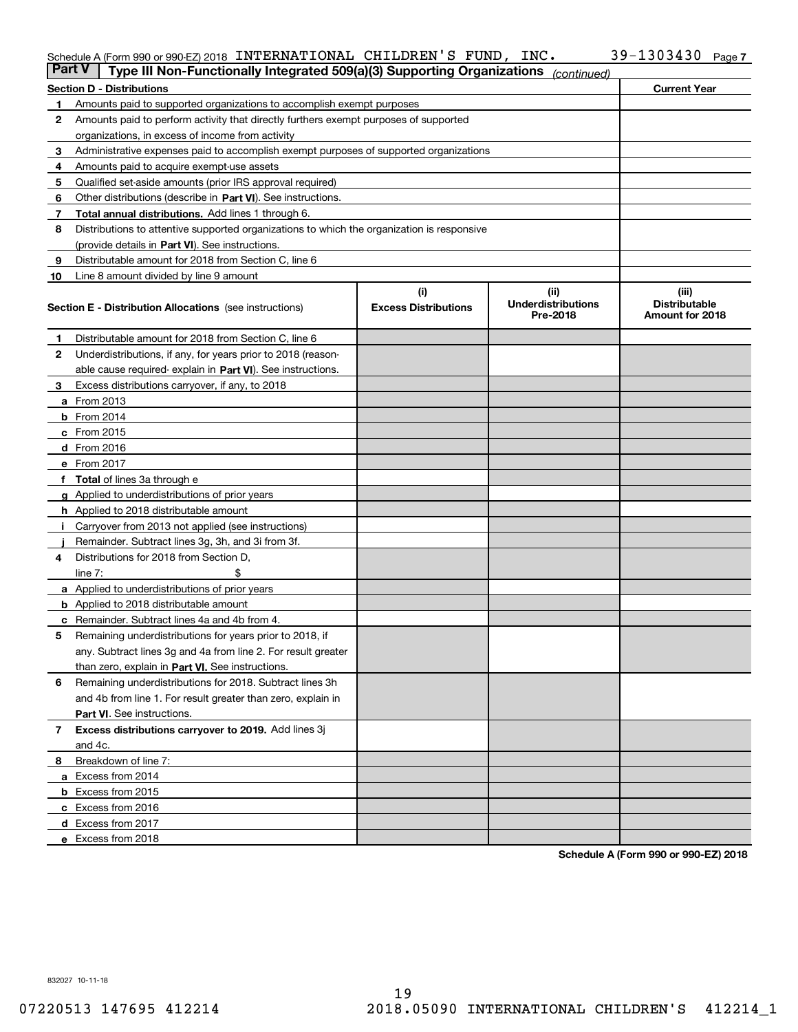#### Schedule A (Form 990 or 990-EZ) 2018 INTERNATIONAL CHILDREN S FUND,INC。 3Y-I3U343U Page INTERNATIONAL CHILDREN'S FUND, INC. 39-1303430

| <b>Part V</b> | Type III Non-Functionally Integrated 509(a)(3) Supporting Organizations                    |                             | (continued)                           |                               |  |  |  |  |
|---------------|--------------------------------------------------------------------------------------------|-----------------------------|---------------------------------------|-------------------------------|--|--|--|--|
|               | <b>Section D - Distributions</b>                                                           |                             |                                       | <b>Current Year</b>           |  |  |  |  |
| 1             | Amounts paid to supported organizations to accomplish exempt purposes                      |                             |                                       |                               |  |  |  |  |
| 2             | Amounts paid to perform activity that directly furthers exempt purposes of supported       |                             |                                       |                               |  |  |  |  |
|               | organizations, in excess of income from activity                                           |                             |                                       |                               |  |  |  |  |
| 3             | Administrative expenses paid to accomplish exempt purposes of supported organizations      |                             |                                       |                               |  |  |  |  |
| 4             | Amounts paid to acquire exempt-use assets                                                  |                             |                                       |                               |  |  |  |  |
| 5             | Qualified set-aside amounts (prior IRS approval required)                                  |                             |                                       |                               |  |  |  |  |
| 6             | Other distributions (describe in Part VI). See instructions.                               |                             |                                       |                               |  |  |  |  |
| 7             | Total annual distributions. Add lines 1 through 6.                                         |                             |                                       |                               |  |  |  |  |
| 8             | Distributions to attentive supported organizations to which the organization is responsive |                             |                                       |                               |  |  |  |  |
|               | (provide details in Part VI). See instructions.                                            |                             |                                       |                               |  |  |  |  |
| 9             | Distributable amount for 2018 from Section C, line 6                                       |                             |                                       |                               |  |  |  |  |
| 10            | Line 8 amount divided by line 9 amount                                                     |                             |                                       |                               |  |  |  |  |
|               |                                                                                            | (i)                         | (iii)                                 | (iii)<br><b>Distributable</b> |  |  |  |  |
|               | <b>Section E - Distribution Allocations</b> (see instructions)                             | <b>Excess Distributions</b> | <b>Underdistributions</b><br>Pre-2018 | Amount for 2018               |  |  |  |  |
| 1.            | Distributable amount for 2018 from Section C, line 6                                       |                             |                                       |                               |  |  |  |  |
| 2             | Underdistributions, if any, for years prior to 2018 (reason-                               |                             |                                       |                               |  |  |  |  |
|               | able cause required-explain in Part VI). See instructions.                                 |                             |                                       |                               |  |  |  |  |
| З             | Excess distributions carryover, if any, to 2018                                            |                             |                                       |                               |  |  |  |  |
|               | <b>a</b> From 2013                                                                         |                             |                                       |                               |  |  |  |  |
|               | <b>b</b> From $2014$                                                                       |                             |                                       |                               |  |  |  |  |
|               | $c$ From 2015                                                                              |                             |                                       |                               |  |  |  |  |
|               | d From 2016                                                                                |                             |                                       |                               |  |  |  |  |
|               | e From 2017                                                                                |                             |                                       |                               |  |  |  |  |
|               | <b>Total</b> of lines 3a through e                                                         |                             |                                       |                               |  |  |  |  |
|               | <b>g</b> Applied to underdistributions of prior years                                      |                             |                                       |                               |  |  |  |  |
|               | <b>h</b> Applied to 2018 distributable amount                                              |                             |                                       |                               |  |  |  |  |
|               | Carryover from 2013 not applied (see instructions)                                         |                             |                                       |                               |  |  |  |  |
|               | Remainder. Subtract lines 3g, 3h, and 3i from 3f.                                          |                             |                                       |                               |  |  |  |  |
| 4             | Distributions for 2018 from Section D,                                                     |                             |                                       |                               |  |  |  |  |
|               | line $7:$                                                                                  |                             |                                       |                               |  |  |  |  |
|               | <b>a</b> Applied to underdistributions of prior years                                      |                             |                                       |                               |  |  |  |  |
|               | <b>b</b> Applied to 2018 distributable amount                                              |                             |                                       |                               |  |  |  |  |
|               | <b>c</b> Remainder. Subtract lines 4a and 4b from 4.                                       |                             |                                       |                               |  |  |  |  |
| 5             | Remaining underdistributions for years prior to 2018, if                                   |                             |                                       |                               |  |  |  |  |
|               | any. Subtract lines 3g and 4a from line 2. For result greater                              |                             |                                       |                               |  |  |  |  |
|               | than zero, explain in Part VI. See instructions.                                           |                             |                                       |                               |  |  |  |  |
| 6             | Remaining underdistributions for 2018. Subtract lines 3h                                   |                             |                                       |                               |  |  |  |  |
|               | and 4b from line 1. For result greater than zero, explain in                               |                             |                                       |                               |  |  |  |  |
|               | Part VI. See instructions.                                                                 |                             |                                       |                               |  |  |  |  |
| 7             | Excess distributions carryover to 2019. Add lines 3j                                       |                             |                                       |                               |  |  |  |  |
|               | and 4c.                                                                                    |                             |                                       |                               |  |  |  |  |
| 8             | Breakdown of line 7:                                                                       |                             |                                       |                               |  |  |  |  |
|               | a Excess from 2014                                                                         |                             |                                       |                               |  |  |  |  |
|               | <b>b</b> Excess from 2015                                                                  |                             |                                       |                               |  |  |  |  |
|               | c Excess from 2016                                                                         |                             |                                       |                               |  |  |  |  |
|               | d Excess from 2017                                                                         |                             |                                       |                               |  |  |  |  |
|               | e Excess from 2018                                                                         |                             |                                       |                               |  |  |  |  |

**Schedule A (Form 990 or 990-EZ) 2018**

832027 10-11-18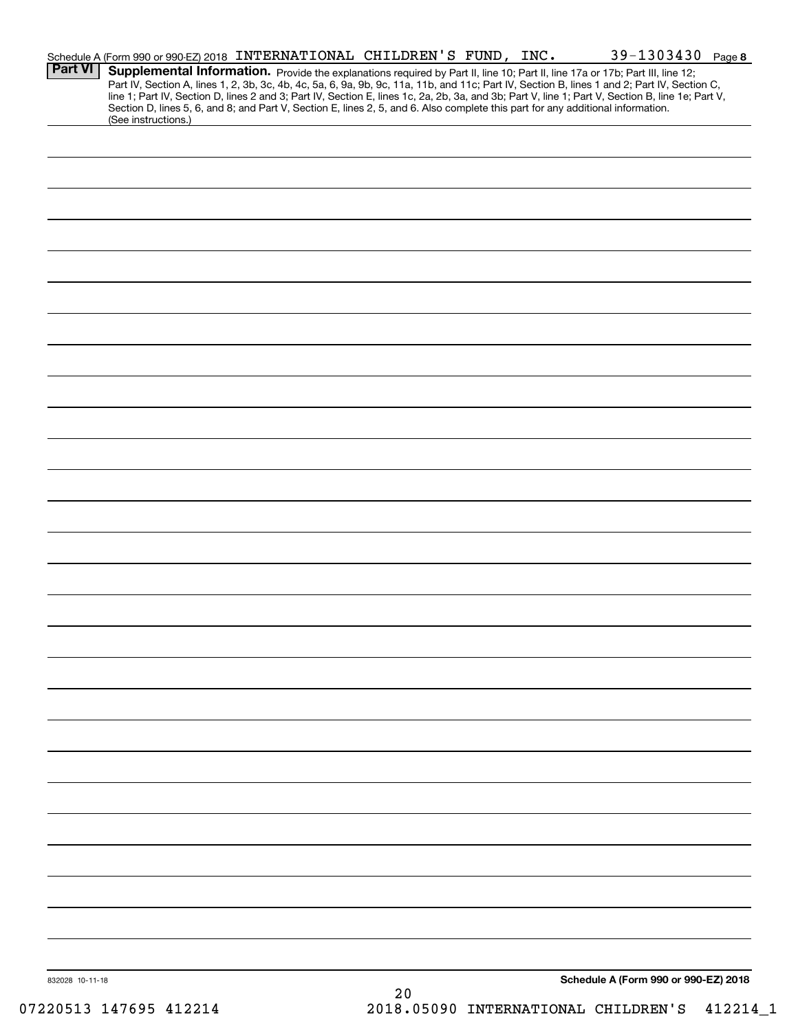|                 | Schedule A (Form 990 or 990-EZ) 2018 INTERNATIONAL CHILDREN'S FUND, INC.                                                                                                                                                                                                                                                                                                                                                          |  |  | 39-1303430 Page 8                    |  |
|-----------------|-----------------------------------------------------------------------------------------------------------------------------------------------------------------------------------------------------------------------------------------------------------------------------------------------------------------------------------------------------------------------------------------------------------------------------------|--|--|--------------------------------------|--|
| <b>Part VI</b>  | Supplemental Information. Provide the explanations required by Part II, line 10; Part II, line 17a or 17b; Part III, line 12;<br>Part IV, Section A, lines 1, 2, 3b, 3c, 4b, 4c, 5a, 6, 9a, 9b, 9c, 11a, 11b, and 11c; Part IV, Section B, lines 1 and 2; Part IV, Section C,<br>line 1; Part IV, Section D, lines 2 and 3; Part IV, Section E, lines 1c, 2a, 2b, 3a, and 3b; Part V, line 1; Part V, Section B, line 1e; Part V, |  |  |                                      |  |
|                 | Section D, lines 5, 6, and 8; and Part V, Section E, lines 2, 5, and 6. Also complete this part for any additional information.<br>(See instructions.)                                                                                                                                                                                                                                                                            |  |  |                                      |  |
|                 |                                                                                                                                                                                                                                                                                                                                                                                                                                   |  |  |                                      |  |
|                 |                                                                                                                                                                                                                                                                                                                                                                                                                                   |  |  |                                      |  |
|                 |                                                                                                                                                                                                                                                                                                                                                                                                                                   |  |  |                                      |  |
|                 |                                                                                                                                                                                                                                                                                                                                                                                                                                   |  |  |                                      |  |
|                 |                                                                                                                                                                                                                                                                                                                                                                                                                                   |  |  |                                      |  |
|                 |                                                                                                                                                                                                                                                                                                                                                                                                                                   |  |  |                                      |  |
|                 |                                                                                                                                                                                                                                                                                                                                                                                                                                   |  |  |                                      |  |
|                 |                                                                                                                                                                                                                                                                                                                                                                                                                                   |  |  |                                      |  |
|                 |                                                                                                                                                                                                                                                                                                                                                                                                                                   |  |  |                                      |  |
|                 |                                                                                                                                                                                                                                                                                                                                                                                                                                   |  |  |                                      |  |
|                 |                                                                                                                                                                                                                                                                                                                                                                                                                                   |  |  |                                      |  |
|                 |                                                                                                                                                                                                                                                                                                                                                                                                                                   |  |  |                                      |  |
|                 |                                                                                                                                                                                                                                                                                                                                                                                                                                   |  |  |                                      |  |
|                 |                                                                                                                                                                                                                                                                                                                                                                                                                                   |  |  |                                      |  |
|                 |                                                                                                                                                                                                                                                                                                                                                                                                                                   |  |  |                                      |  |
|                 |                                                                                                                                                                                                                                                                                                                                                                                                                                   |  |  |                                      |  |
|                 |                                                                                                                                                                                                                                                                                                                                                                                                                                   |  |  |                                      |  |
|                 |                                                                                                                                                                                                                                                                                                                                                                                                                                   |  |  |                                      |  |
|                 |                                                                                                                                                                                                                                                                                                                                                                                                                                   |  |  |                                      |  |
|                 |                                                                                                                                                                                                                                                                                                                                                                                                                                   |  |  |                                      |  |
|                 |                                                                                                                                                                                                                                                                                                                                                                                                                                   |  |  |                                      |  |
|                 |                                                                                                                                                                                                                                                                                                                                                                                                                                   |  |  |                                      |  |
|                 |                                                                                                                                                                                                                                                                                                                                                                                                                                   |  |  |                                      |  |
|                 |                                                                                                                                                                                                                                                                                                                                                                                                                                   |  |  |                                      |  |
|                 |                                                                                                                                                                                                                                                                                                                                                                                                                                   |  |  |                                      |  |
|                 |                                                                                                                                                                                                                                                                                                                                                                                                                                   |  |  |                                      |  |
|                 |                                                                                                                                                                                                                                                                                                                                                                                                                                   |  |  |                                      |  |
|                 |                                                                                                                                                                                                                                                                                                                                                                                                                                   |  |  |                                      |  |
|                 |                                                                                                                                                                                                                                                                                                                                                                                                                                   |  |  |                                      |  |
|                 |                                                                                                                                                                                                                                                                                                                                                                                                                                   |  |  |                                      |  |
|                 |                                                                                                                                                                                                                                                                                                                                                                                                                                   |  |  |                                      |  |
|                 |                                                                                                                                                                                                                                                                                                                                                                                                                                   |  |  |                                      |  |
|                 |                                                                                                                                                                                                                                                                                                                                                                                                                                   |  |  |                                      |  |
|                 |                                                                                                                                                                                                                                                                                                                                                                                                                                   |  |  |                                      |  |
|                 |                                                                                                                                                                                                                                                                                                                                                                                                                                   |  |  |                                      |  |
| 832028 10-11-18 |                                                                                                                                                                                                                                                                                                                                                                                                                                   |  |  | Schedule A (Form 990 or 990-EZ) 2018 |  |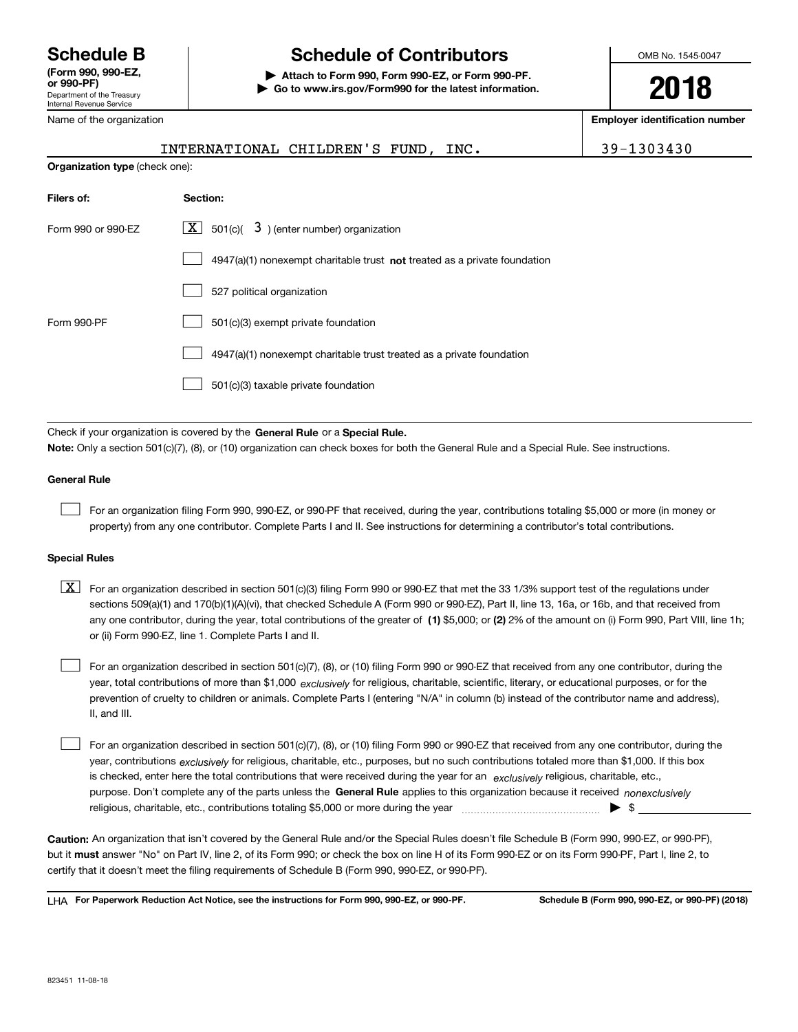Department of the Treasury Internal Revenue Service **(Form 990, 990-EZ, or 990-PF)** Name of the organization

## **Schedule B Schedule of Contributors**

**| Attach to Form 990, Form 990-EZ, or Form 990-PF. | Go to www.irs.gov/Form990 for the latest information.** OMB No. 1545-0047

**2018**

**Employer identification number**

|                                | INTERNATIONAL CHILDREN'S FUND, INC.                                         | 39-1303430 |
|--------------------------------|-----------------------------------------------------------------------------|------------|
| Organization type (check one): |                                                                             |            |
| Filers of:                     | Section:                                                                    |            |
| Form 990 or 990-EZ             | $\boxed{\textbf{X}}$ 501(c)( 3) (enter number) organization                 |            |
|                                | $4947(a)(1)$ nonexempt charitable trust not treated as a private foundation |            |
|                                | 527 political organization                                                  |            |
| Form 990-PF                    | 501(c)(3) exempt private foundation                                         |            |
|                                | 4947(a)(1) nonexempt charitable trust treated as a private foundation       |            |
|                                | 501(c)(3) taxable private foundation                                        |            |

Check if your organization is covered by the **General Rule** or a **Special Rule. Note:**  Only a section 501(c)(7), (8), or (10) organization can check boxes for both the General Rule and a Special Rule. See instructions.

#### **General Rule**

 $\mathcal{L}^{\text{max}}$ 

For an organization filing Form 990, 990-EZ, or 990-PF that received, during the year, contributions totaling \$5,000 or more (in money or property) from any one contributor. Complete Parts I and II. See instructions for determining a contributor's total contributions.

#### **Special Rules**

any one contributor, during the year, total contributions of the greater of  $\,$  (1) \$5,000; or **(2)** 2% of the amount on (i) Form 990, Part VIII, line 1h;  $\boxed{\textbf{X}}$  For an organization described in section 501(c)(3) filing Form 990 or 990-EZ that met the 33 1/3% support test of the regulations under sections 509(a)(1) and 170(b)(1)(A)(vi), that checked Schedule A (Form 990 or 990-EZ), Part II, line 13, 16a, or 16b, and that received from or (ii) Form 990-EZ, line 1. Complete Parts I and II.

year, total contributions of more than \$1,000 *exclusively* for religious, charitable, scientific, literary, or educational purposes, or for the For an organization described in section 501(c)(7), (8), or (10) filing Form 990 or 990-EZ that received from any one contributor, during the prevention of cruelty to children or animals. Complete Parts I (entering "N/A" in column (b) instead of the contributor name and address), II, and III.  $\mathcal{L}^{\text{max}}$ 

purpose. Don't complete any of the parts unless the **General Rule** applies to this organization because it received *nonexclusively* year, contributions <sub>exclusively</sub> for religious, charitable, etc., purposes, but no such contributions totaled more than \$1,000. If this box is checked, enter here the total contributions that were received during the year for an  $\;$ exclusively religious, charitable, etc., For an organization described in section 501(c)(7), (8), or (10) filing Form 990 or 990-EZ that received from any one contributor, during the religious, charitable, etc., contributions totaling \$5,000 or more during the year  $\Box$ — $\Box$   $\Box$  $\mathcal{L}^{\text{max}}$ 

**Caution:**  An organization that isn't covered by the General Rule and/or the Special Rules doesn't file Schedule B (Form 990, 990-EZ, or 990-PF),  **must** but it answer "No" on Part IV, line 2, of its Form 990; or check the box on line H of its Form 990-EZ or on its Form 990-PF, Part I, line 2, to certify that it doesn't meet the filing requirements of Schedule B (Form 990, 990-EZ, or 990-PF).

**For Paperwork Reduction Act Notice, see the instructions for Form 990, 990-EZ, or 990-PF. Schedule B (Form 990, 990-EZ, or 990-PF) (2018)** LHA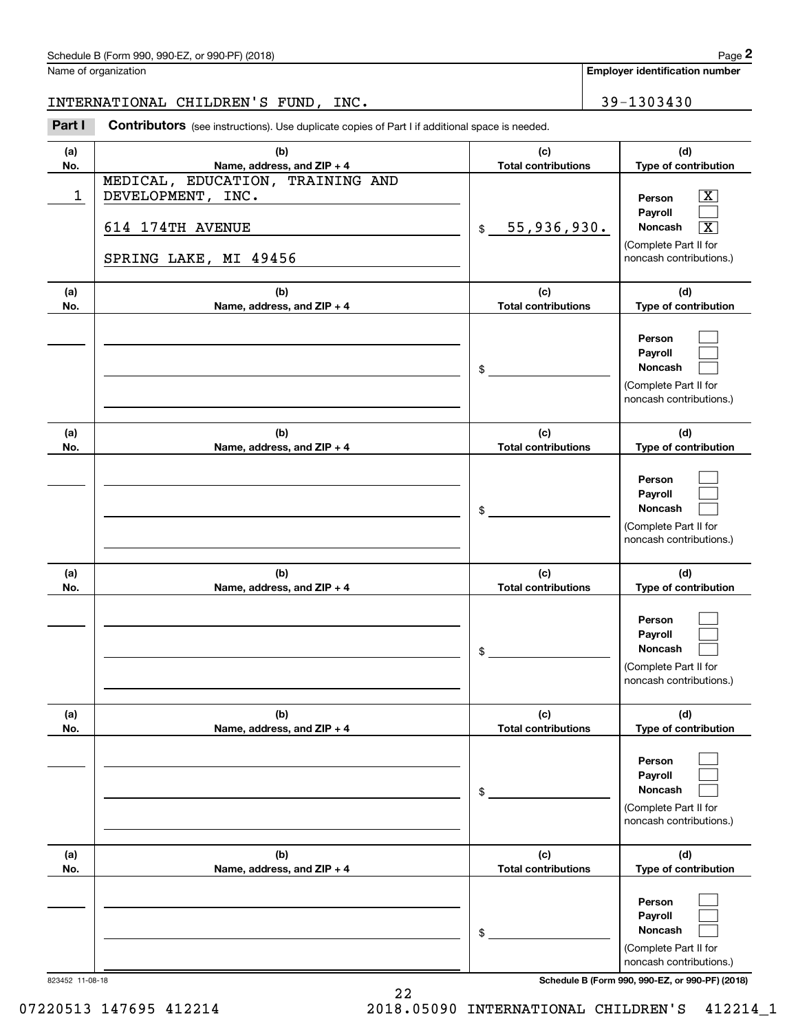### Schedule B (Form 990, 990-EZ, or 990-PF) (2018) Page 2

Name of organization

**Employer identification number**

INTERNATIONAL CHILDREN'S FUND, INC. 39-1303430

(schedule B (Form 990, 990-EZ, or 990-PF) (2018)<br> **2018 Iame of organization**<br> **29 - 1303430**<br> **2Part I Contributors** (see instructions). Use duplicate copies of Part I if additional space is needed.

| (a)<br>No. | (b)<br>Name, address, and ZIP + 4                                                                  | (c)<br><b>Total contributions</b> | (d)<br>Type of contribution                                                                                                            |
|------------|----------------------------------------------------------------------------------------------------|-----------------------------------|----------------------------------------------------------------------------------------------------------------------------------------|
| 1          | MEDICAL, EDUCATION, TRAINING AND<br>DEVELOPMENT, INC.<br>614 174TH AVENUE<br>SPRING LAKE, MI 49456 | 55,936,930.<br>\$                 | $\overline{\textbf{X}}$<br>Person<br>Payroll<br>Noncash<br>$\overline{\texttt{x}}$<br>(Complete Part II for<br>noncash contributions.) |
| (a)<br>No. | (b)<br>Name, address, and ZIP + 4                                                                  | (c)<br><b>Total contributions</b> | (d)<br>Type of contribution                                                                                                            |
|            |                                                                                                    | \$                                | Person<br>Payroll<br>Noncash<br>(Complete Part II for<br>noncash contributions.)                                                       |
| (a)<br>No. | (b)<br>Name, address, and ZIP + 4                                                                  | (c)<br><b>Total contributions</b> | (d)<br>Type of contribution                                                                                                            |
|            |                                                                                                    | \$                                | Person<br>Payroll<br><b>Noncash</b><br>(Complete Part II for<br>noncash contributions.)                                                |
| (a)<br>No. | (b)<br>Name, address, and ZIP + 4                                                                  | (c)<br><b>Total contributions</b> | (d)<br>Type of contribution                                                                                                            |
|            |                                                                                                    | \$                                | Person<br>Payroll<br>Noncash<br>(Complete Part II for<br>noncash contributions.)                                                       |
| (a)<br>No. | (b)<br>Name, address, and ZIP + 4                                                                  | (c)<br><b>Total contributions</b> | (d)<br>Type of contribution                                                                                                            |
|            |                                                                                                    | \$                                | Person<br>Payroll<br>Noncash<br>(Complete Part II for<br>noncash contributions.)                                                       |
| (a)<br>No. | (b)<br>Name, address, and ZIP + 4                                                                  | (c)<br><b>Total contributions</b> | (d)<br>Type of contribution                                                                                                            |
|            |                                                                                                    | \$                                | Person<br>Payroll<br>Noncash<br>(Complete Part II for<br>noncash contributions.)                                                       |

823452 11-08-18 **Schedule B (Form 990, 990-EZ, or 990-PF) (2018)**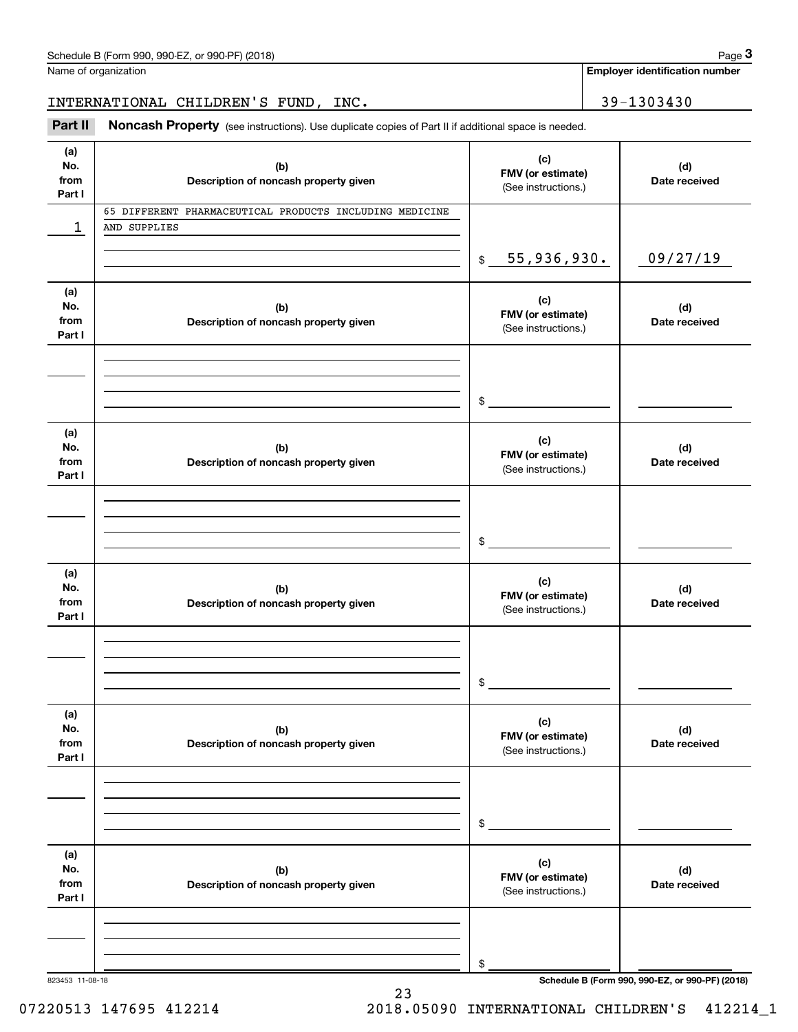**Employer identification number**

INTERNATIONAL CHILDREN'S FUND, INC. 39-1303430

(see instructions). Use duplicate copies of Part II if additional space is needed.<br> **29-1303430**<br> **29-1303430**<br> **Part II Noncash Property** (see instructions). Use duplicate copies of Part II if additional space is needed

| (a)<br>No.<br>from<br>Part I | (b)<br>Description of noncash property given                            | (c)<br>FMV (or estimate)<br>(See instructions.) | (d)<br>Date received |
|------------------------------|-------------------------------------------------------------------------|-------------------------------------------------|----------------------|
| ı                            | 65 DIFFERENT PHARMACEUTICAL PRODUCTS INCLUDING MEDICINE<br>AND SUPPLIES |                                                 |                      |
|                              |                                                                         |                                                 |                      |
|                              |                                                                         | 55,936,930.<br>$\frac{1}{2}$                    | 09/27/19             |
| (a)<br>No.<br>from<br>Part I | (b)<br>Description of noncash property given                            | (c)<br>FMV (or estimate)<br>(See instructions.) | (d)<br>Date received |
|                              |                                                                         |                                                 |                      |
|                              |                                                                         |                                                 |                      |
|                              |                                                                         | $\frac{1}{2}$                                   |                      |
| (a)<br>No.<br>from<br>Part I | (b)<br>Description of noncash property given                            | (c)<br>FMV (or estimate)<br>(See instructions.) | (d)<br>Date received |
|                              |                                                                         |                                                 |                      |
|                              |                                                                         |                                                 |                      |
|                              |                                                                         | \$                                              |                      |
| (a)<br>No.<br>from<br>Part I | (b)<br>Description of noncash property given                            | (c)<br>FMV (or estimate)<br>(See instructions.) | (d)<br>Date received |
|                              |                                                                         |                                                 |                      |
|                              |                                                                         |                                                 |                      |
|                              |                                                                         | $\mathsf{\$}$                                   |                      |
| (a)<br>No.<br>from<br>Part I | (b)<br>Description of noncash property given                            | (c)<br>FMV (or estimate)<br>(See instructions.) | (d)<br>Date received |
|                              |                                                                         |                                                 |                      |
|                              |                                                                         |                                                 |                      |
|                              |                                                                         | \$                                              |                      |
| (a)<br>No.<br>from<br>Part I | (b)<br>Description of noncash property given                            | (c)<br>FMV (or estimate)<br>(See instructions.) | (d)<br>Date received |
|                              |                                                                         |                                                 |                      |
|                              |                                                                         |                                                 |                      |
|                              |                                                                         | \$                                              |                      |

23

823453 11-08-18 **Schedule B (Form 990, 990-EZ, or 990-PF) (2018)**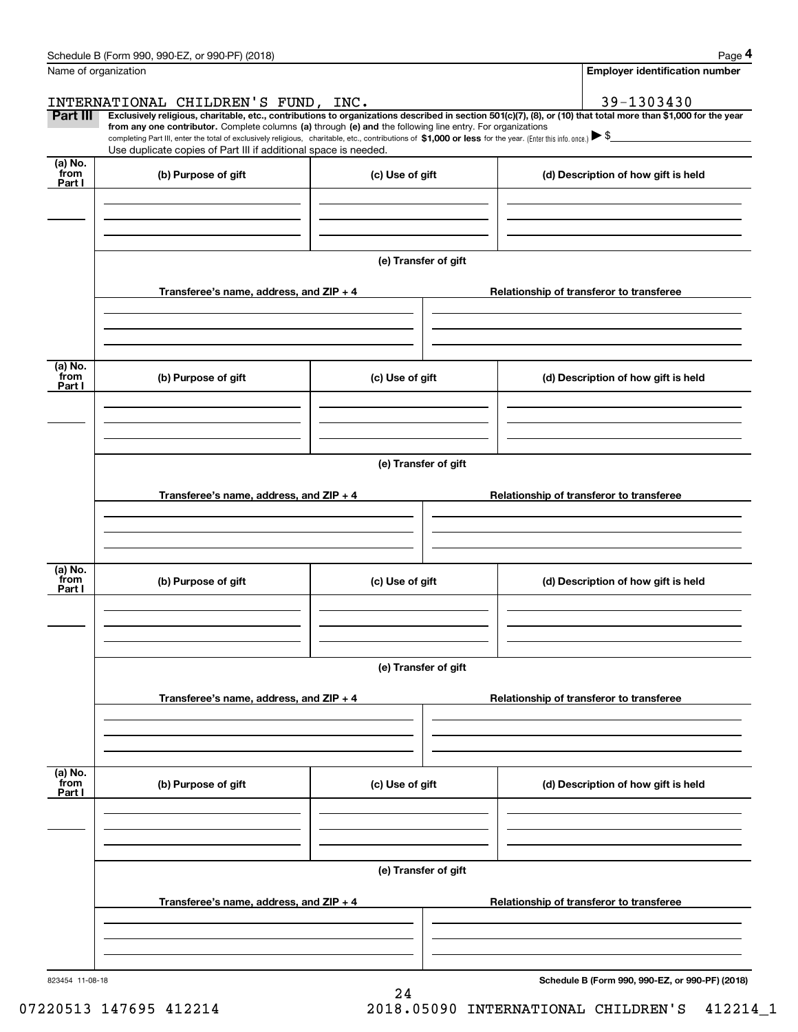|                      | Schedule B (Form 990, 990-EZ, or 990-PF) (2018)                                                                                                                                                                                                                              |                      |                                          | Page 4                                          |  |  |
|----------------------|------------------------------------------------------------------------------------------------------------------------------------------------------------------------------------------------------------------------------------------------------------------------------|----------------------|------------------------------------------|-------------------------------------------------|--|--|
| Name of organization |                                                                                                                                                                                                                                                                              |                      |                                          | <b>Employer identification number</b>           |  |  |
|                      | INTERNATIONAL CHILDREN'S FUND, INC.                                                                                                                                                                                                                                          |                      |                                          | 39-1303430                                      |  |  |
| Part III             | Exclusively religious, charitable, etc., contributions to organizations described in section 501(c)(7), (8), or (10) that total more than \$1,000 for the year<br>from any one contributor. Complete columns (a) through (e) and the following line entry. For organizations |                      |                                          |                                                 |  |  |
|                      | completing Part III, enter the total of exclusively religious, charitable, etc., contributions of \$1,000 or less for the year. (Enter this info. once.) $\blacktriangleright$ \$                                                                                            |                      |                                          |                                                 |  |  |
| (a) No.              | Use duplicate copies of Part III if additional space is needed.                                                                                                                                                                                                              |                      |                                          |                                                 |  |  |
| from<br>Part I       | (b) Purpose of gift                                                                                                                                                                                                                                                          | (c) Use of gift      |                                          | (d) Description of how gift is held             |  |  |
|                      |                                                                                                                                                                                                                                                                              |                      |                                          |                                                 |  |  |
|                      |                                                                                                                                                                                                                                                                              |                      |                                          |                                                 |  |  |
|                      |                                                                                                                                                                                                                                                                              |                      |                                          |                                                 |  |  |
|                      |                                                                                                                                                                                                                                                                              | (e) Transfer of gift |                                          |                                                 |  |  |
|                      | Transferee's name, address, and ZIP + 4                                                                                                                                                                                                                                      |                      |                                          | Relationship of transferor to transferee        |  |  |
|                      |                                                                                                                                                                                                                                                                              |                      |                                          |                                                 |  |  |
|                      |                                                                                                                                                                                                                                                                              |                      |                                          |                                                 |  |  |
|                      |                                                                                                                                                                                                                                                                              |                      |                                          |                                                 |  |  |
| (a) No.<br>from      | (b) Purpose of gift                                                                                                                                                                                                                                                          | (c) Use of gift      |                                          | (d) Description of how gift is held             |  |  |
| Part I               |                                                                                                                                                                                                                                                                              |                      |                                          |                                                 |  |  |
|                      |                                                                                                                                                                                                                                                                              |                      |                                          |                                                 |  |  |
|                      |                                                                                                                                                                                                                                                                              |                      |                                          |                                                 |  |  |
|                      |                                                                                                                                                                                                                                                                              | (e) Transfer of gift |                                          |                                                 |  |  |
|                      |                                                                                                                                                                                                                                                                              |                      |                                          |                                                 |  |  |
|                      | Transferee's name, address, and ZIP + 4                                                                                                                                                                                                                                      |                      |                                          | Relationship of transferor to transferee        |  |  |
|                      |                                                                                                                                                                                                                                                                              |                      |                                          |                                                 |  |  |
|                      |                                                                                                                                                                                                                                                                              |                      |                                          |                                                 |  |  |
| (a) No.<br>from      |                                                                                                                                                                                                                                                                              |                      |                                          |                                                 |  |  |
| Part I               | (b) Purpose of gift                                                                                                                                                                                                                                                          | (c) Use of gift      |                                          | (d) Description of how gift is held             |  |  |
|                      |                                                                                                                                                                                                                                                                              |                      |                                          |                                                 |  |  |
|                      |                                                                                                                                                                                                                                                                              |                      |                                          |                                                 |  |  |
|                      |                                                                                                                                                                                                                                                                              | (e) Transfer of gift |                                          |                                                 |  |  |
|                      |                                                                                                                                                                                                                                                                              |                      |                                          |                                                 |  |  |
|                      | Transferee's name, address, and $ZIP + 4$                                                                                                                                                                                                                                    |                      |                                          | Relationship of transferor to transferee        |  |  |
|                      |                                                                                                                                                                                                                                                                              |                      |                                          |                                                 |  |  |
|                      |                                                                                                                                                                                                                                                                              |                      |                                          |                                                 |  |  |
| (a) No.              |                                                                                                                                                                                                                                                                              |                      |                                          |                                                 |  |  |
| from<br>Part I       | (b) Purpose of gift                                                                                                                                                                                                                                                          | (c) Use of gift      |                                          | (d) Description of how gift is held             |  |  |
|                      |                                                                                                                                                                                                                                                                              |                      |                                          |                                                 |  |  |
|                      |                                                                                                                                                                                                                                                                              |                      |                                          |                                                 |  |  |
|                      |                                                                                                                                                                                                                                                                              |                      |                                          |                                                 |  |  |
|                      | (e) Transfer of gift                                                                                                                                                                                                                                                         |                      |                                          |                                                 |  |  |
|                      | Transferee's name, address, and $ZIP + 4$                                                                                                                                                                                                                                    |                      | Relationship of transferor to transferee |                                                 |  |  |
|                      |                                                                                                                                                                                                                                                                              |                      |                                          |                                                 |  |  |
|                      |                                                                                                                                                                                                                                                                              |                      |                                          |                                                 |  |  |
|                      |                                                                                                                                                                                                                                                                              |                      |                                          |                                                 |  |  |
| 823454 11-08-18      |                                                                                                                                                                                                                                                                              |                      |                                          | Schedule B (Form 990, 990-EZ, or 990-PF) (2018) |  |  |
|                      |                                                                                                                                                                                                                                                                              | 24                   |                                          |                                                 |  |  |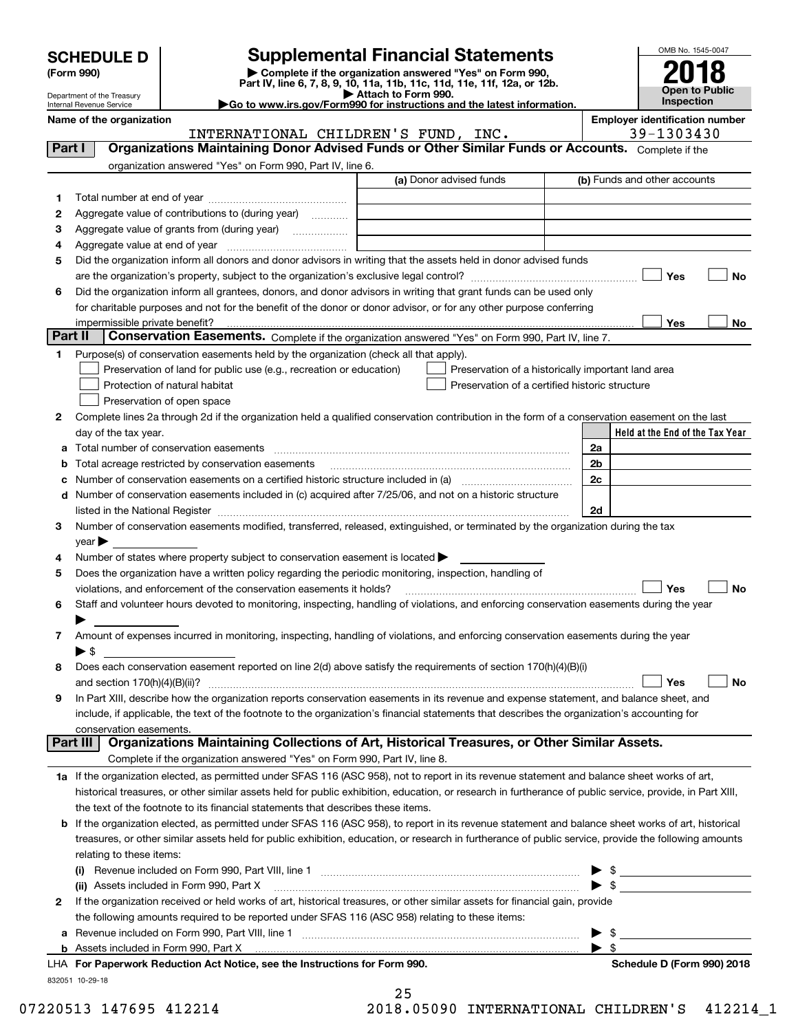| <b>SCHEDULE D</b> |
|-------------------|
|-------------------|

| (Form 990) |  |
|------------|--|
|------------|--|

## **SCHEDULE D Supplemental Financial Statements**

(Form 990)<br>
Pepartment of the Treasury<br>
Department of the Treasury<br>
Department of the Treasury<br>
Department of the Treasury<br> **Co to www.irs.gov/Form990 for instructions and the latest information.**<br> **Co to www.irs.gov/Form9** 



Department of the Treasury Internal Revenue Service **Name of the organization Employer identification Employer identification** number

|         | INTERNATIONAL CHILDREN'S FUND, INC.                                                                                                                                                                                           |                                                | 39-1303430                                         |
|---------|-------------------------------------------------------------------------------------------------------------------------------------------------------------------------------------------------------------------------------|------------------------------------------------|----------------------------------------------------|
| Part I  | Organizations Maintaining Donor Advised Funds or Other Similar Funds or Accounts. Complete if the                                                                                                                             |                                                |                                                    |
|         | organization answered "Yes" on Form 990, Part IV, line 6.                                                                                                                                                                     |                                                |                                                    |
|         |                                                                                                                                                                                                                               | (a) Donor advised funds                        | (b) Funds and other accounts                       |
| 1.      |                                                                                                                                                                                                                               |                                                |                                                    |
| 2       | Aggregate value of contributions to (during year)                                                                                                                                                                             |                                                |                                                    |
| 3       | Aggregate value of grants from (during year)                                                                                                                                                                                  |                                                |                                                    |
| 4       |                                                                                                                                                                                                                               |                                                |                                                    |
| 5       | Did the organization inform all donors and donor advisors in writing that the assets held in donor advised funds                                                                                                              |                                                |                                                    |
|         |                                                                                                                                                                                                                               |                                                | Yes<br>No                                          |
| 6       | Did the organization inform all grantees, donors, and donor advisors in writing that grant funds can be used only                                                                                                             |                                                |                                                    |
|         | for charitable purposes and not for the benefit of the donor or donor advisor, or for any other purpose conferring                                                                                                            |                                                |                                                    |
|         | impermissible private benefit?                                                                                                                                                                                                |                                                | Yes<br>No                                          |
| Part II | Conservation Easements. Complete if the organization answered "Yes" on Form 990, Part IV, line 7.                                                                                                                             |                                                |                                                    |
| 1.      | Purpose(s) of conservation easements held by the organization (check all that apply).                                                                                                                                         |                                                |                                                    |
|         | Preservation of land for public use (e.g., recreation or education)                                                                                                                                                           |                                                | Preservation of a historically important land area |
|         | Protection of natural habitat                                                                                                                                                                                                 | Preservation of a certified historic structure |                                                    |
|         | Preservation of open space                                                                                                                                                                                                    |                                                |                                                    |
| 2       | Complete lines 2a through 2d if the organization held a qualified conservation contribution in the form of a conservation easement on the last                                                                                |                                                |                                                    |
|         | day of the tax year.                                                                                                                                                                                                          |                                                | Held at the End of the Tax Year                    |
| а       |                                                                                                                                                                                                                               |                                                | 2a                                                 |
| b       | Total acreage restricted by conservation easements                                                                                                                                                                            |                                                | 2 <sub>b</sub>                                     |
| с       | Number of conservation easements on a certified historic structure included in (a) manufacture included in (a)                                                                                                                |                                                | 2c                                                 |
| d       | Number of conservation easements included in (c) acquired after 7/25/06, and not on a historic structure                                                                                                                      |                                                |                                                    |
|         | listed in the National Register [111] Marshall Register [11] Marshall Register [11] Marshall Register [11] Marshall Register [11] Marshall Register [11] Marshall Register [11] Marshall Register [11] Marshall Register [11] |                                                | 2d                                                 |
| 3       | Number of conservation easements modified, transferred, released, extinguished, or terminated by the organization during the tax                                                                                              |                                                |                                                    |
|         | $year \blacktriangleright$                                                                                                                                                                                                    |                                                |                                                    |
| 4       | Number of states where property subject to conservation easement is located >                                                                                                                                                 |                                                |                                                    |
| 5       | Does the organization have a written policy regarding the periodic monitoring, inspection, handling of                                                                                                                        |                                                |                                                    |
|         | violations, and enforcement of the conservation easements it holds?                                                                                                                                                           |                                                | Yes<br>No                                          |
| 6       | Staff and volunteer hours devoted to monitoring, inspecting, handling of violations, and enforcing conservation easements during the year                                                                                     |                                                |                                                    |
|         |                                                                                                                                                                                                                               |                                                |                                                    |
| 7       | Amount of expenses incurred in monitoring, inspecting, handling of violations, and enforcing conservation easements during the year                                                                                           |                                                |                                                    |
|         | $\blacktriangleright$ \$                                                                                                                                                                                                      |                                                |                                                    |
| 8       | Does each conservation easement reported on line 2(d) above satisfy the requirements of section 170(h)(4)(B)(i)                                                                                                               |                                                | <b>No</b><br>Yes                                   |
|         | and section $170(h)(4)(B)(ii)?$                                                                                                                                                                                               |                                                |                                                    |
| 9       | In Part XIII, describe how the organization reports conservation easements in its revenue and expense statement, and balance sheet, and                                                                                       |                                                |                                                    |
|         | include, if applicable, the text of the footnote to the organization's financial statements that describes the organization's accounting for<br>conservation easements.                                                       |                                                |                                                    |
|         | Organizations Maintaining Collections of Art, Historical Treasures, or Other Similar Assets.<br>Part III                                                                                                                      |                                                |                                                    |
|         | Complete if the organization answered "Yes" on Form 990, Part IV, line 8.                                                                                                                                                     |                                                |                                                    |
|         | 1a If the organization elected, as permitted under SFAS 116 (ASC 958), not to report in its revenue statement and balance sheet works of art,                                                                                 |                                                |                                                    |
|         | historical treasures, or other similar assets held for public exhibition, education, or research in furtherance of public service, provide, in Part XIII,                                                                     |                                                |                                                    |
|         | the text of the footnote to its financial statements that describes these items.                                                                                                                                              |                                                |                                                    |
| b       | If the organization elected, as permitted under SFAS 116 (ASC 958), to report in its revenue statement and balance sheet works of art, historical                                                                             |                                                |                                                    |
|         | treasures, or other similar assets held for public exhibition, education, or research in furtherance of public service, provide the following amounts                                                                         |                                                |                                                    |
|         | relating to these items:                                                                                                                                                                                                      |                                                |                                                    |
|         |                                                                                                                                                                                                                               |                                                |                                                    |
|         |                                                                                                                                                                                                                               |                                                |                                                    |
| 2       | If the organization received or held works of art, historical treasures, or other similar assets for financial gain, provide                                                                                                  |                                                |                                                    |
|         | the following amounts required to be reported under SFAS 116 (ASC 958) relating to these items:                                                                                                                               |                                                |                                                    |
| а       |                                                                                                                                                                                                                               |                                                | $\frac{1}{2}$                                      |
| b       | Assets included in Form 990, Part X [11, 2008] [2010] Assets included in Form 990, Part X [2010] [2010] [2010                                                                                                                 |                                                | \$                                                 |
|         | LHA $\,$ For Paperwork Reduction Act Notice, see the Instructions for Form 990.                                                                                                                                               |                                                | Schedule D (Form 990) 2018                         |

832051 10-29-18

25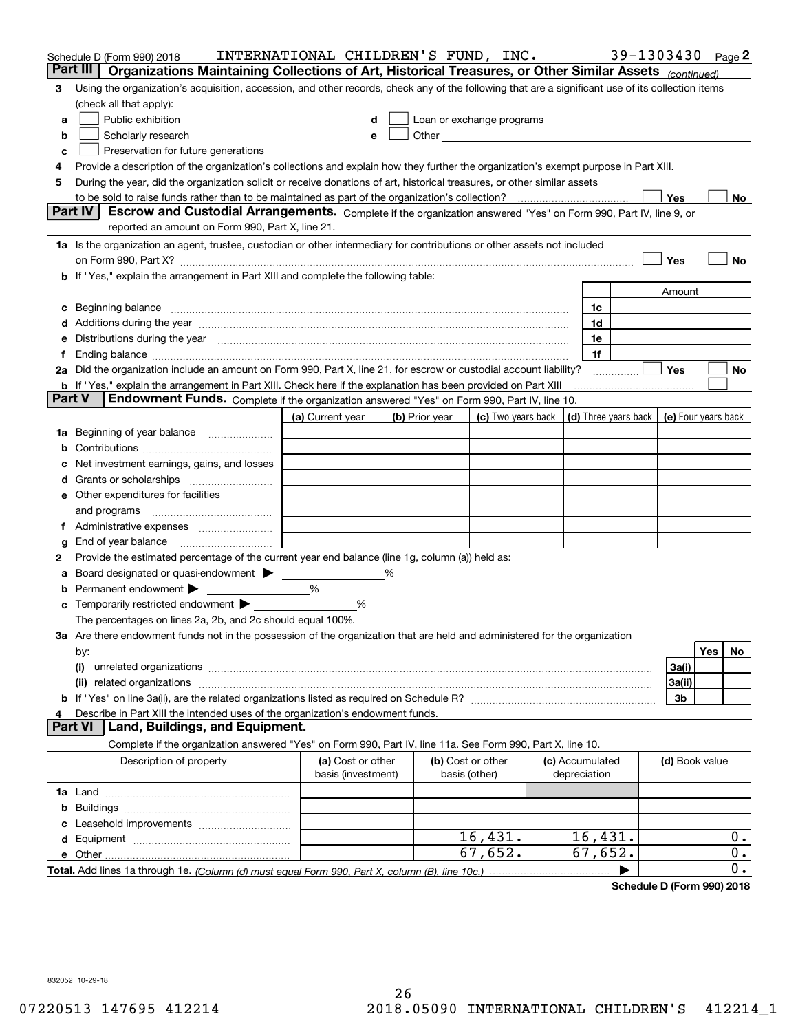|        | Schedule D (Form 990) 2018<br>Part III<br>Organizations Maintaining Collections of Art, Historical Treasures, or Other Similar Assets (continued)                                                                                   | INTERNATIONAL CHILDREN'S FUND, INC.     |   |                |                           |                                 |                      | 39-1303430     | Page 2              |
|--------|-------------------------------------------------------------------------------------------------------------------------------------------------------------------------------------------------------------------------------------|-----------------------------------------|---|----------------|---------------------------|---------------------------------|----------------------|----------------|---------------------|
| 3      | Using the organization's acquisition, accession, and other records, check any of the following that are a significant use of its collection items                                                                                   |                                         |   |                |                           |                                 |                      |                |                     |
|        | (check all that apply):                                                                                                                                                                                                             |                                         |   |                |                           |                                 |                      |                |                     |
| а      | Public exhibition                                                                                                                                                                                                                   | d                                       |   |                | Loan or exchange programs |                                 |                      |                |                     |
| b      | Scholarly research                                                                                                                                                                                                                  | e                                       |   |                |                           |                                 |                      |                |                     |
| с      | Preservation for future generations                                                                                                                                                                                                 |                                         |   |                |                           |                                 |                      |                |                     |
| 4      | Provide a description of the organization's collections and explain how they further the organization's exempt purpose in Part XIII.                                                                                                |                                         |   |                |                           |                                 |                      |                |                     |
| 5      | During the year, did the organization solicit or receive donations of art, historical treasures, or other similar assets                                                                                                            |                                         |   |                |                           |                                 |                      |                |                     |
|        | to be sold to raise funds rather than to be maintained as part of the organization's collection?                                                                                                                                    |                                         |   |                |                           |                                 |                      | Yes            | No                  |
|        | Escrow and Custodial Arrangements. Complete if the organization answered "Yes" on Form 990, Part IV, line 9, or<br><b>Part IV</b>                                                                                                   |                                         |   |                |                           |                                 |                      |                |                     |
|        | reported an amount on Form 990, Part X, line 21.                                                                                                                                                                                    |                                         |   |                |                           |                                 |                      |                |                     |
|        | 1a Is the organization an agent, trustee, custodian or other intermediary for contributions or other assets not included                                                                                                            |                                         |   |                |                           |                                 |                      |                |                     |
|        |                                                                                                                                                                                                                                     |                                         |   |                |                           |                                 |                      | Yes            | No                  |
|        | b If "Yes," explain the arrangement in Part XIII and complete the following table:                                                                                                                                                  |                                         |   |                |                           |                                 |                      |                |                     |
|        |                                                                                                                                                                                                                                     |                                         |   |                |                           |                                 |                      | Amount         |                     |
| c      | Beginning balance <b>contract to the contract of the contract of the contract of the contract of the contract of t</b>                                                                                                              |                                         |   |                |                           | 1c                              |                      |                |                     |
|        | d Additions during the year measurement contains and a state of the year measurement of the year measurement of                                                                                                                     |                                         |   |                |                           | 1d                              |                      |                |                     |
|        | e Distributions during the year manufactured and an according to the distributions during the year manufactured and the state of the state of the state of the state of the state of the state of the state of the state of th      |                                         |   |                |                           | 1e<br>1f                        |                      |                |                     |
|        | 2a Did the organization include an amount on Form 990, Part X, line 21, for escrow or custodial account liability?                                                                                                                  |                                         |   |                |                           |                                 |                      | Yes            | No                  |
|        | <b>b</b> If "Yes," explain the arrangement in Part XIII. Check here if the explanation has been provided on Part XIII                                                                                                               |                                         |   |                |                           |                                 |                      |                |                     |
| Part V | Endowment Funds. Complete if the organization answered "Yes" on Form 990, Part IV, line 10.                                                                                                                                         |                                         |   |                |                           |                                 |                      |                |                     |
|        |                                                                                                                                                                                                                                     | (a) Current year                        |   | (b) Prior year | (c) Two years back        |                                 | (d) Three years back |                | (e) Four years back |
|        | 1a Beginning of year balance                                                                                                                                                                                                        |                                         |   |                |                           |                                 |                      |                |                     |
| b      |                                                                                                                                                                                                                                     |                                         |   |                |                           |                                 |                      |                |                     |
| c      | Net investment earnings, gains, and losses                                                                                                                                                                                          |                                         |   |                |                           |                                 |                      |                |                     |
|        |                                                                                                                                                                                                                                     |                                         |   |                |                           |                                 |                      |                |                     |
|        | e Other expenditures for facilities                                                                                                                                                                                                 |                                         |   |                |                           |                                 |                      |                |                     |
|        | and programs                                                                                                                                                                                                                        |                                         |   |                |                           |                                 |                      |                |                     |
|        |                                                                                                                                                                                                                                     |                                         |   |                |                           |                                 |                      |                |                     |
| g      |                                                                                                                                                                                                                                     |                                         |   |                |                           |                                 |                      |                |                     |
| 2      | Provide the estimated percentage of the current year end balance (line 1g, column (a)) held as:                                                                                                                                     |                                         |   |                |                           |                                 |                      |                |                     |
| а      | Board designated or quasi-endowment > ______                                                                                                                                                                                        |                                         | % |                |                           |                                 |                      |                |                     |
| b      | Permanent endowment                                                                                                                                                                                                                 | %                                       |   |                |                           |                                 |                      |                |                     |
|        | <b>c</b> Temporarily restricted endowment $\blacktriangleright$                                                                                                                                                                     | %                                       |   |                |                           |                                 |                      |                |                     |
|        | The percentages on lines 2a, 2b, and 2c should equal 100%.                                                                                                                                                                          |                                         |   |                |                           |                                 |                      |                |                     |
|        | 3a Are there endowment funds not in the possession of the organization that are held and administered for the organization                                                                                                          |                                         |   |                |                           |                                 |                      |                |                     |
|        | by:                                                                                                                                                                                                                                 |                                         |   |                |                           |                                 |                      |                | Yes<br>No           |
|        | (i)                                                                                                                                                                                                                                 |                                         |   |                |                           |                                 |                      | 3a(i)          |                     |
|        | (ii) related organizations <b>constructions</b> and construction of the construction of the construction of the construction of the construction of the construction of the construction of the construction of the construction of |                                         |   |                |                           |                                 |                      | 3a(ii)<br>3b   |                     |
| 4      | Describe in Part XIII the intended uses of the organization's endowment funds.                                                                                                                                                      |                                         |   |                |                           |                                 |                      |                |                     |
|        | Land, Buildings, and Equipment.<br><b>Part VI</b>                                                                                                                                                                                   |                                         |   |                |                           |                                 |                      |                |                     |
|        | Complete if the organization answered "Yes" on Form 990, Part IV, line 11a. See Form 990, Part X, line 10.                                                                                                                          |                                         |   |                |                           |                                 |                      |                |                     |
|        | Description of property                                                                                                                                                                                                             | (a) Cost or other<br>basis (investment) |   | basis (other)  | (b) Cost or other         | (c) Accumulated<br>depreciation |                      | (d) Book value |                     |
|        |                                                                                                                                                                                                                                     |                                         |   |                |                           |                                 |                      |                |                     |
| b      |                                                                                                                                                                                                                                     |                                         |   |                |                           |                                 |                      |                |                     |
| с      |                                                                                                                                                                                                                                     |                                         |   |                |                           |                                 |                      |                |                     |
|        |                                                                                                                                                                                                                                     |                                         |   |                | 16,431.                   | 16,431.                         |                      |                | 0.                  |
|        |                                                                                                                                                                                                                                     |                                         |   |                |                           |                                 |                      |                | 0.                  |
|        |                                                                                                                                                                                                                                     |                                         |   |                | 67,652.                   | 67,652.                         |                      |                |                     |

**Schedule D (Form 990) 2018**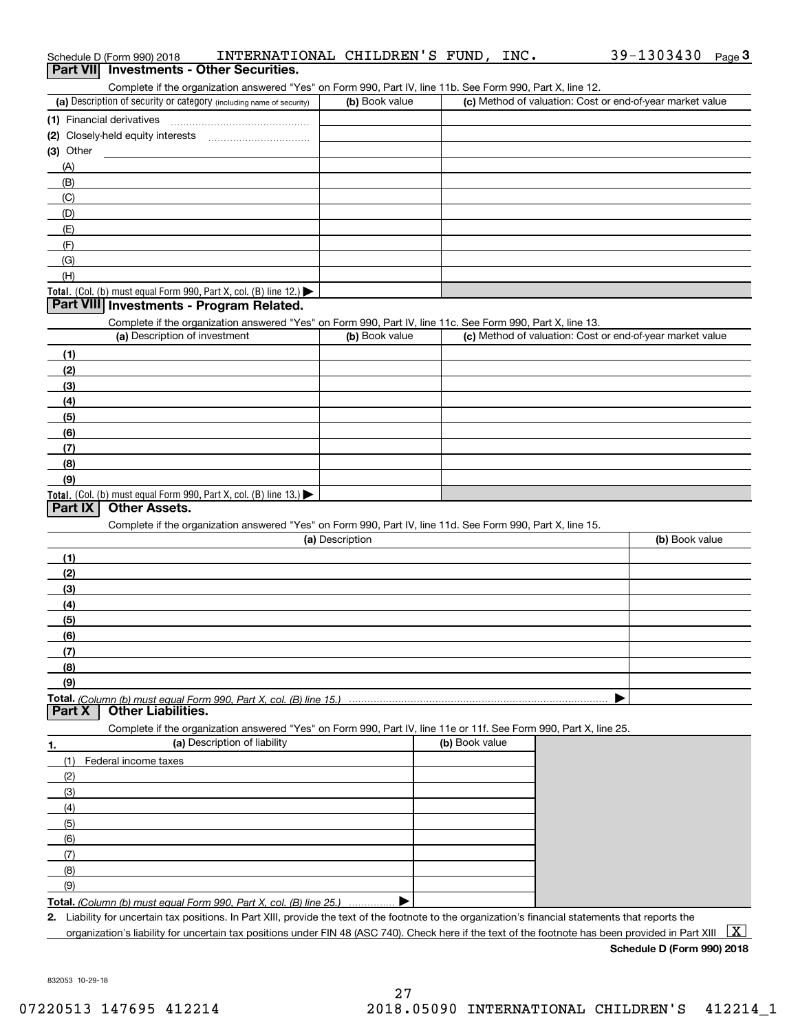|           | Schedule D (Form 990) 2018                                           |                                                                                                                   | INTERNATIONAL CHILDREN'S FUND, INC. |                |  | 39-1303430                                                | Page $3$ |
|-----------|----------------------------------------------------------------------|-------------------------------------------------------------------------------------------------------------------|-------------------------------------|----------------|--|-----------------------------------------------------------|----------|
|           | Part VII Investments - Other Securities.                             |                                                                                                                   |                                     |                |  |                                                           |          |
|           |                                                                      | Complete if the organization answered "Yes" on Form 990, Part IV, line 11b. See Form 990, Part X, line 12.        |                                     |                |  |                                                           |          |
|           | (a) Description of security or category (including name of security) |                                                                                                                   | (b) Book value                      |                |  | (c) Method of valuation: Cost or end-of-year market value |          |
|           |                                                                      |                                                                                                                   |                                     |                |  |                                                           |          |
|           |                                                                      |                                                                                                                   |                                     |                |  |                                                           |          |
| (3) Other |                                                                      |                                                                                                                   |                                     |                |  |                                                           |          |
| (A)       |                                                                      |                                                                                                                   |                                     |                |  |                                                           |          |
| (B)       |                                                                      |                                                                                                                   |                                     |                |  |                                                           |          |
| (C)       |                                                                      |                                                                                                                   |                                     |                |  |                                                           |          |
| (D)       |                                                                      |                                                                                                                   |                                     |                |  |                                                           |          |
| (E)       |                                                                      |                                                                                                                   |                                     |                |  |                                                           |          |
| (F)       |                                                                      |                                                                                                                   |                                     |                |  |                                                           |          |
| (G)       |                                                                      |                                                                                                                   |                                     |                |  |                                                           |          |
| (H)       |                                                                      |                                                                                                                   |                                     |                |  |                                                           |          |
|           | Total. (Col. (b) must equal Form 990, Part X, col. (B) line 12.)     |                                                                                                                   |                                     |                |  |                                                           |          |
|           | Part VIII Investments - Program Related.                             |                                                                                                                   |                                     |                |  |                                                           |          |
|           |                                                                      | Complete if the organization answered "Yes" on Form 990, Part IV, line 11c. See Form 990, Part X, line 13.        |                                     |                |  |                                                           |          |
|           | (a) Description of investment                                        |                                                                                                                   | (b) Book value                      |                |  | (c) Method of valuation: Cost or end-of-year market value |          |
| (1)       |                                                                      |                                                                                                                   |                                     |                |  |                                                           |          |
| (2)       |                                                                      |                                                                                                                   |                                     |                |  |                                                           |          |
| (3)       |                                                                      |                                                                                                                   |                                     |                |  |                                                           |          |
| (4)       |                                                                      |                                                                                                                   |                                     |                |  |                                                           |          |
| (5)       |                                                                      |                                                                                                                   |                                     |                |  |                                                           |          |
| (6)       |                                                                      |                                                                                                                   |                                     |                |  |                                                           |          |
| (7)       |                                                                      |                                                                                                                   |                                     |                |  |                                                           |          |
| (8)       |                                                                      |                                                                                                                   |                                     |                |  |                                                           |          |
|           |                                                                      |                                                                                                                   |                                     |                |  |                                                           |          |
| (9)       |                                                                      |                                                                                                                   |                                     |                |  |                                                           |          |
|           | Total. (Col. (b) must equal Form 990, Part X, col. (B) line 13.)     |                                                                                                                   |                                     |                |  |                                                           |          |
| Part IX   | <b>Other Assets.</b>                                                 |                                                                                                                   |                                     |                |  |                                                           |          |
|           |                                                                      | Complete if the organization answered "Yes" on Form 990, Part IV, line 11d. See Form 990, Part X, line 15.        |                                     |                |  |                                                           |          |
|           |                                                                      |                                                                                                                   | (a) Description                     |                |  | (b) Book value                                            |          |
| (1)       |                                                                      |                                                                                                                   |                                     |                |  |                                                           |          |
| (2)       |                                                                      |                                                                                                                   |                                     |                |  |                                                           |          |
| (3)       |                                                                      |                                                                                                                   |                                     |                |  |                                                           |          |
| (4)       |                                                                      |                                                                                                                   |                                     |                |  |                                                           |          |
| (5)       |                                                                      |                                                                                                                   |                                     |                |  |                                                           |          |
| (6)       |                                                                      |                                                                                                                   |                                     |                |  |                                                           |          |
| (7)       |                                                                      |                                                                                                                   |                                     |                |  |                                                           |          |
| (8)       |                                                                      |                                                                                                                   |                                     |                |  |                                                           |          |
| (9)       |                                                                      |                                                                                                                   |                                     |                |  |                                                           |          |
|           |                                                                      | <b>Total.</b> (Column (b) must equal Form 990. Part X. col. (B) line 15.) $\cdots$                                |                                     |                |  |                                                           |          |
| Part X    | <b>Other Liabilities.</b>                                            |                                                                                                                   |                                     |                |  |                                                           |          |
|           |                                                                      | Complete if the organization answered "Yes" on Form 990, Part IV, line 11e or 11f. See Form 990, Part X, line 25. |                                     |                |  |                                                           |          |
|           |                                                                      | (a) Description of liability                                                                                      |                                     | (b) Book value |  |                                                           |          |
| (1)       | Federal income taxes                                                 |                                                                                                                   |                                     |                |  |                                                           |          |
| (2)       |                                                                      |                                                                                                                   |                                     |                |  |                                                           |          |
| (3)       |                                                                      |                                                                                                                   |                                     |                |  |                                                           |          |
| (4)       |                                                                      |                                                                                                                   |                                     |                |  |                                                           |          |
| (5)       |                                                                      |                                                                                                                   |                                     |                |  |                                                           |          |
| (6)       |                                                                      |                                                                                                                   |                                     |                |  |                                                           |          |
| (7)       |                                                                      |                                                                                                                   |                                     |                |  |                                                           |          |
| 1.<br>(8) |                                                                      |                                                                                                                   |                                     |                |  |                                                           |          |
| (9)       |                                                                      |                                                                                                                   |                                     |                |  |                                                           |          |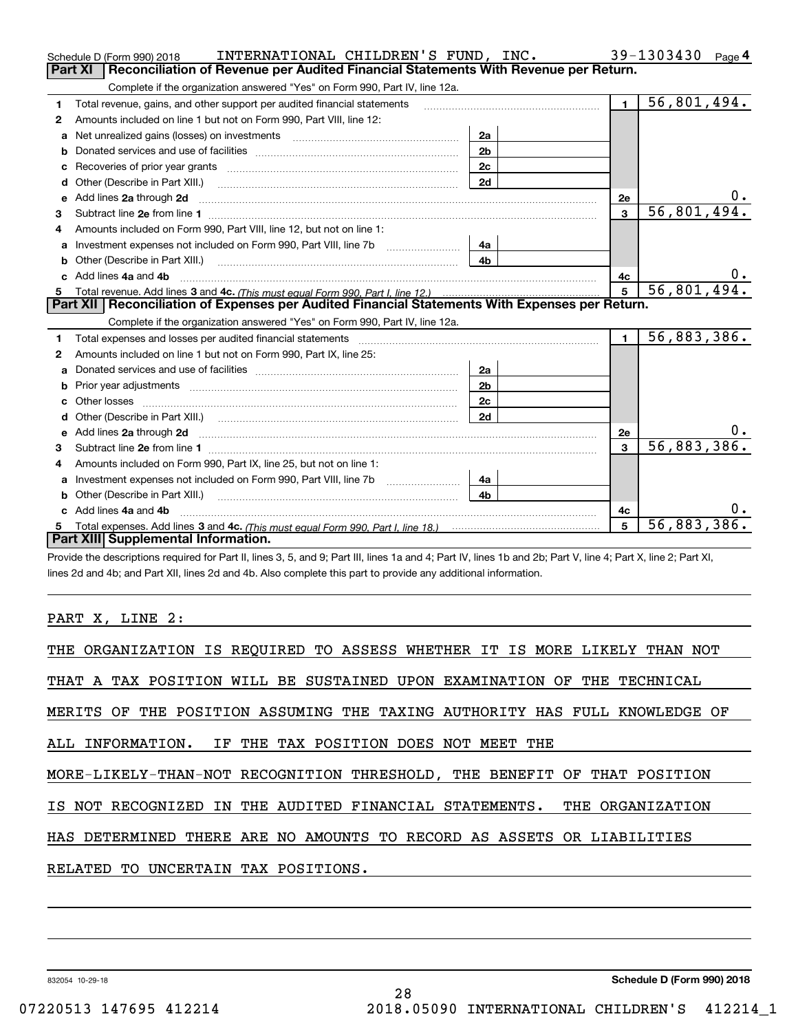|    | INTERNATIONAL CHILDREN'S FUND, INC.<br>Schedule D (Form 990) 2018                                                                                                                                                                                  |                |                | 39-1303430<br>Page 4 |
|----|----------------------------------------------------------------------------------------------------------------------------------------------------------------------------------------------------------------------------------------------------|----------------|----------------|----------------------|
|    | Reconciliation of Revenue per Audited Financial Statements With Revenue per Return.<br><b>Part XI</b>                                                                                                                                              |                |                |                      |
|    | Complete if the organization answered "Yes" on Form 990, Part IV, line 12a.                                                                                                                                                                        |                |                |                      |
| 1  | Total revenue, gains, and other support per audited financial statements                                                                                                                                                                           |                | $\blacksquare$ | 56,801,494.          |
| 2  | Amounts included on line 1 but not on Form 990, Part VIII, line 12:                                                                                                                                                                                |                |                |                      |
| a  |                                                                                                                                                                                                                                                    | 2a             |                |                      |
| b  |                                                                                                                                                                                                                                                    | 2 <sub>b</sub> |                |                      |
|    | Recoveries of prior year grants <i>manual content of the series</i> of prior year grants                                                                                                                                                           | 2c             |                |                      |
| d  | Other (Describe in Part XIII.) <b>Construction Contract Construction</b> Chern Construction Construction Construction                                                                                                                              | 2d             |                |                      |
| е  | Add lines 2a through 2d                                                                                                                                                                                                                            |                | 2e             |                      |
| з  |                                                                                                                                                                                                                                                    |                | 3              | 56,801,494.          |
| 4  | Amounts included on Form 990, Part VIII, line 12, but not on line 1:                                                                                                                                                                               |                |                |                      |
| a  |                                                                                                                                                                                                                                                    | 4а             |                |                      |
|    |                                                                                                                                                                                                                                                    | 4 <sub>b</sub> |                |                      |
|    | c Add lines 4a and 4b                                                                                                                                                                                                                              |                | 4c             | 0.                   |
| 5. |                                                                                                                                                                                                                                                    |                | 5              | 56,801,494.          |
|    | Part XII   Reconciliation of Expenses per Audited Financial Statements With Expenses per Return.                                                                                                                                                   |                |                |                      |
|    | Complete if the organization answered "Yes" on Form 990, Part IV, line 12a.                                                                                                                                                                        |                |                |                      |
| 1  | Total expenses and losses per audited financial statements [11] [12] contain an intervention and contain a statements [13] [13] and the statements [13] [13] and the statements [13] and the statements [13] and the statement                     |                | $\blacksquare$ | 56,883,386.          |
| 2  | Amounts included on line 1 but not on Form 990, Part IX, line 25:                                                                                                                                                                                  |                |                |                      |
| a  |                                                                                                                                                                                                                                                    | 2a             |                |                      |
| b  |                                                                                                                                                                                                                                                    | 2 <sub>b</sub> |                |                      |
|    |                                                                                                                                                                                                                                                    | 2c             |                |                      |
| d  |                                                                                                                                                                                                                                                    | 2d             |                |                      |
|    | e Add lines 2a through 2d <b>[10]</b> [10] <b>All the Contract of Add lines 2a</b> through 2d <b>[10] All the Contract of Add lines</b> 2a through 2d <b>[10] All the Contract of Add lines</b> 2a through 2d <b>[10] All the Contract of Addi</b> |                | 2e             |                      |
| з  |                                                                                                                                                                                                                                                    |                | 3              | 56,883,386.          |
|    | Amounts included on Form 990, Part IX, line 25, but not on line 1:                                                                                                                                                                                 |                |                |                      |
| a  | Investment expenses not included on Form 990, Part VIII, line 7b [1000000000000000000000000000000000                                                                                                                                               | 4a             |                |                      |
| b  | Other (Describe in Part XIII.)                                                                                                                                                                                                                     | 4 <sub>b</sub> |                |                      |
|    | Add lines 4a and 4b                                                                                                                                                                                                                                |                | 4c             | 0.                   |
| 5  |                                                                                                                                                                                                                                                    |                | 5              | 56,883,386.          |
|    |                                                                                                                                                                                                                                                    |                |                |                      |
|    | Part XIII Supplemental Information.                                                                                                                                                                                                                |                |                |                      |

Provide the descriptions required for Part II, lines 3, 5, and 9; Part III, lines 1a and 4; Part IV, lines 1b and 2b; Part V, line 4; Part X, line 2; Part XI, lines 2d and 4b; and Part XII, lines 2d and 4b. Also complete this part to provide any additional information.

PART X, LINE 2:

| THE ORGANIZATION IS REQUIRED TO ASSESS WHETHER IT IS MORE LIKELY THAN NOT  |  |
|----------------------------------------------------------------------------|--|
| THAT A TAX POSITION WILL BE SUSTAINED UPON EXAMINATION OF THE TECHNICAL    |  |
| MERITS OF THE POSITION ASSUMING THE TAXING AUTHORITY HAS FULL KNOWLEDGE OF |  |
| ALL INFORMATION. IF THE TAX POSITION DOES NOT MEET THE                     |  |
| MORE-LIKELY-THAN-NOT RECOGNITION THRESHOLD, THE BENEFIT OF THAT POSITION   |  |
| IS NOT RECOGNIZED IN THE AUDITED FINANCIAL STATEMENTS. THE ORGANIZATION    |  |
| HAS DETERMINED THERE ARE NO AMOUNTS TO RECORD AS ASSETS OR LIABILITIES     |  |
| RELATED<br>UNCERTAIN TAX POSITIONS.<br>TO.                                 |  |

832054 10-29-18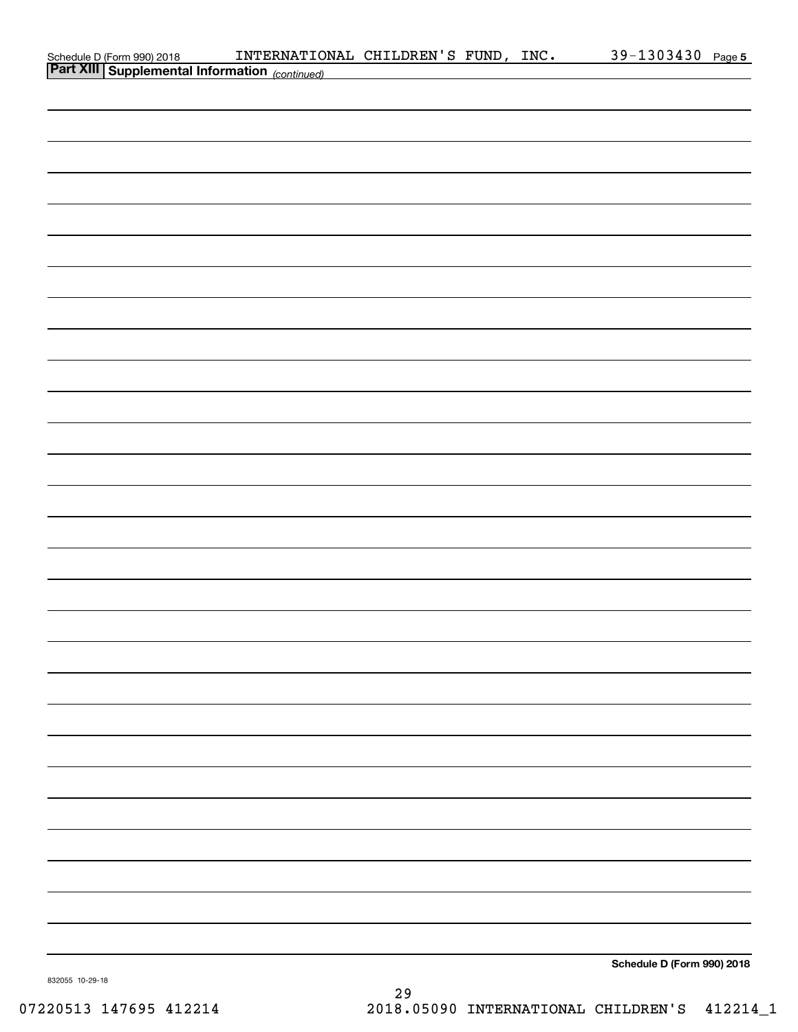| Schedule D (Form 990) 2018 <b>INTERNATION</b><br><b>Part XIII   Supplemental Information</b> (continued) | INTERNATIONAL CHILDREN'S FUND, INC. |                                                              |  | 39-1303430 Page 5          |  |
|----------------------------------------------------------------------------------------------------------|-------------------------------------|--------------------------------------------------------------|--|----------------------------|--|
|                                                                                                          |                                     | <u> 1989 - Johann Barbara, martxa eta idazlea (h. 1989).</u> |  |                            |  |
|                                                                                                          |                                     |                                                              |  |                            |  |
|                                                                                                          |                                     |                                                              |  |                            |  |
|                                                                                                          |                                     |                                                              |  |                            |  |
|                                                                                                          |                                     |                                                              |  |                            |  |
|                                                                                                          |                                     |                                                              |  |                            |  |
|                                                                                                          |                                     |                                                              |  |                            |  |
|                                                                                                          |                                     |                                                              |  |                            |  |
|                                                                                                          |                                     |                                                              |  |                            |  |
|                                                                                                          |                                     |                                                              |  |                            |  |
|                                                                                                          |                                     |                                                              |  |                            |  |
|                                                                                                          |                                     |                                                              |  |                            |  |
|                                                                                                          |                                     |                                                              |  |                            |  |
|                                                                                                          |                                     |                                                              |  |                            |  |
|                                                                                                          |                                     |                                                              |  |                            |  |
|                                                                                                          |                                     |                                                              |  |                            |  |
|                                                                                                          |                                     |                                                              |  |                            |  |
|                                                                                                          |                                     |                                                              |  |                            |  |
|                                                                                                          |                                     |                                                              |  |                            |  |
|                                                                                                          |                                     |                                                              |  |                            |  |
|                                                                                                          |                                     |                                                              |  |                            |  |
|                                                                                                          |                                     |                                                              |  |                            |  |
|                                                                                                          |                                     |                                                              |  |                            |  |
|                                                                                                          |                                     |                                                              |  |                            |  |
|                                                                                                          |                                     |                                                              |  |                            |  |
|                                                                                                          |                                     |                                                              |  |                            |  |
|                                                                                                          |                                     |                                                              |  |                            |  |
|                                                                                                          |                                     |                                                              |  |                            |  |
|                                                                                                          |                                     |                                                              |  |                            |  |
|                                                                                                          |                                     |                                                              |  |                            |  |
|                                                                                                          |                                     |                                                              |  |                            |  |
|                                                                                                          |                                     |                                                              |  |                            |  |
|                                                                                                          |                                     |                                                              |  |                            |  |
|                                                                                                          |                                     |                                                              |  |                            |  |
|                                                                                                          |                                     |                                                              |  |                            |  |
|                                                                                                          |                                     |                                                              |  |                            |  |
|                                                                                                          |                                     |                                                              |  | Schedule D (Form 990) 2018 |  |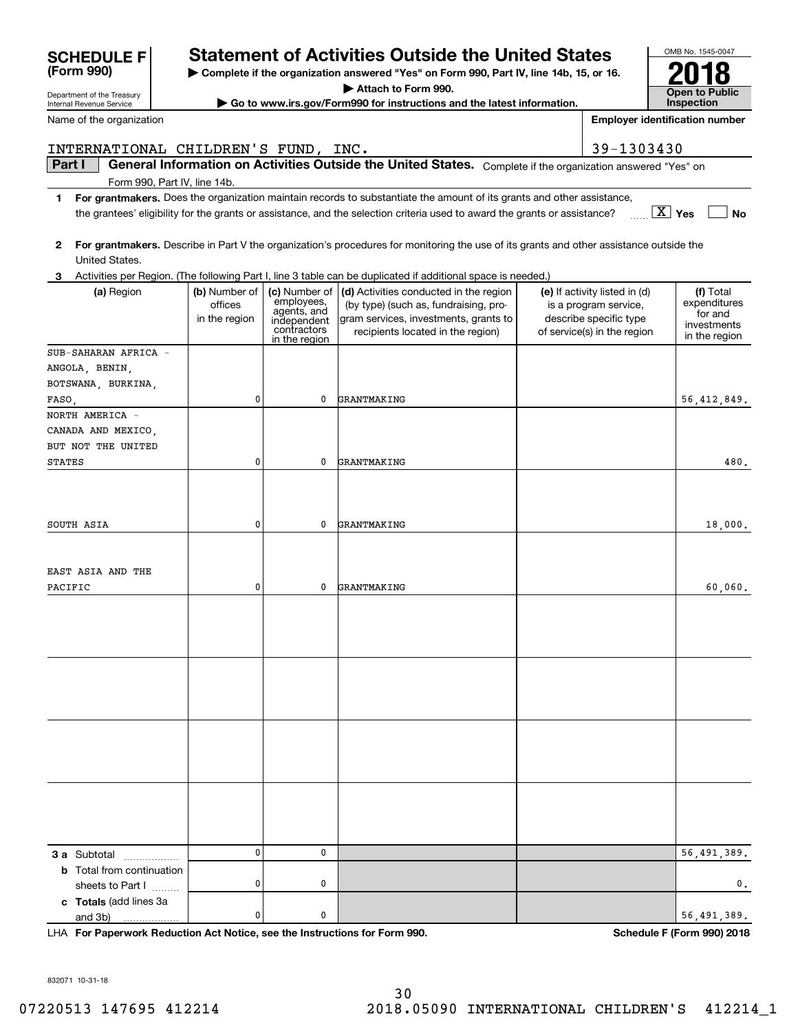| Internal Revenue Service                                |                                           |                                                                                           | Go to www.irs.gov/Form990 for instructions and the latest information.                                                                                        |                                                                                                                 | Inspection                                                           |
|---------------------------------------------------------|-------------------------------------------|-------------------------------------------------------------------------------------------|---------------------------------------------------------------------------------------------------------------------------------------------------------------|-----------------------------------------------------------------------------------------------------------------|----------------------------------------------------------------------|
| Name of the organization                                |                                           |                                                                                           |                                                                                                                                                               |                                                                                                                 | <b>Employer identification number</b>                                |
| INTERNATIONAL CHILDREN'S FUND, INC.                     |                                           |                                                                                           |                                                                                                                                                               | 39-1303430                                                                                                      |                                                                      |
| Part I                                                  |                                           |                                                                                           | General Information on Activities Outside the United States. Complete if the organization answered "Yes" on                                                   |                                                                                                                 |                                                                      |
| Form 990, Part IV, line 14b.                            |                                           |                                                                                           |                                                                                                                                                               |                                                                                                                 |                                                                      |
| 1                                                       |                                           |                                                                                           | For grantmakers. Does the organization maintain records to substantiate the amount of its grants and other assistance,                                        |                                                                                                                 |                                                                      |
|                                                         |                                           |                                                                                           | the grantees' eligibility for the grants or assistance, and the selection criteria used to award the grants or assistance?                                    |                                                                                                                 | $\boxed{\text{X}}$ Yes<br>No                                         |
| 2                                                       |                                           |                                                                                           | For grantmakers. Describe in Part V the organization's procedures for monitoring the use of its grants and other assistance outside the                       |                                                                                                                 |                                                                      |
| United States.                                          |                                           |                                                                                           |                                                                                                                                                               |                                                                                                                 |                                                                      |
| 3                                                       |                                           |                                                                                           | Activities per Region. (The following Part I, line 3 table can be duplicated if additional space is needed.)                                                  |                                                                                                                 |                                                                      |
| (a) Region                                              | (b) Number of<br>offices<br>in the region | (c) Number of<br>employees,<br>agents, and<br>independent<br>contractors<br>in the region | (d) Activities conducted in the region<br>(by type) (such as, fundraising, pro-<br>gram services, investments, grants to<br>recipients located in the region) | (e) If activity listed in (d)<br>is a program service,<br>describe specific type<br>of service(s) in the region | (f) Total<br>expenditures<br>for and<br>investments<br>in the region |
| SUB-SAHARAN AFRICA -                                    |                                           |                                                                                           |                                                                                                                                                               |                                                                                                                 |                                                                      |
| ANGOLA, BENIN,                                          |                                           |                                                                                           |                                                                                                                                                               |                                                                                                                 |                                                                      |
| BOTSWANA, BURKINA,                                      |                                           |                                                                                           |                                                                                                                                                               |                                                                                                                 |                                                                      |
| FASO,                                                   | 0                                         | 0                                                                                         | GRANTMAKING                                                                                                                                                   |                                                                                                                 | 56,412,849.                                                          |
| NORTH AMERICA -                                         |                                           |                                                                                           |                                                                                                                                                               |                                                                                                                 |                                                                      |
| CANADA AND MEXICO,                                      |                                           |                                                                                           |                                                                                                                                                               |                                                                                                                 |                                                                      |
| BUT NOT THE UNITED<br><b>STATES</b>                     | 0                                         | 0                                                                                         | GRANTMAKING                                                                                                                                                   |                                                                                                                 | 480.                                                                 |
|                                                         |                                           |                                                                                           |                                                                                                                                                               |                                                                                                                 |                                                                      |
|                                                         |                                           |                                                                                           |                                                                                                                                                               |                                                                                                                 |                                                                      |
|                                                         |                                           |                                                                                           |                                                                                                                                                               |                                                                                                                 |                                                                      |
| SOUTH ASIA                                              | 0                                         | 0                                                                                         | GRANTMAKING                                                                                                                                                   |                                                                                                                 | 18,000.                                                              |
|                                                         |                                           |                                                                                           |                                                                                                                                                               |                                                                                                                 |                                                                      |
|                                                         |                                           |                                                                                           |                                                                                                                                                               |                                                                                                                 |                                                                      |
| EAST ASIA AND THE                                       |                                           |                                                                                           |                                                                                                                                                               |                                                                                                                 |                                                                      |
| PACIFIC                                                 | 0                                         | 0                                                                                         | GRANTMAKING                                                                                                                                                   |                                                                                                                 | 60,060.                                                              |
|                                                         |                                           |                                                                                           |                                                                                                                                                               |                                                                                                                 |                                                                      |
|                                                         |                                           |                                                                                           |                                                                                                                                                               |                                                                                                                 |                                                                      |
|                                                         |                                           |                                                                                           |                                                                                                                                                               |                                                                                                                 |                                                                      |
|                                                         |                                           |                                                                                           |                                                                                                                                                               |                                                                                                                 |                                                                      |
|                                                         |                                           |                                                                                           |                                                                                                                                                               |                                                                                                                 |                                                                      |
|                                                         |                                           |                                                                                           |                                                                                                                                                               |                                                                                                                 |                                                                      |
|                                                         |                                           |                                                                                           |                                                                                                                                                               |                                                                                                                 |                                                                      |
|                                                         |                                           |                                                                                           |                                                                                                                                                               |                                                                                                                 |                                                                      |
|                                                         |                                           |                                                                                           |                                                                                                                                                               |                                                                                                                 |                                                                      |
|                                                         |                                           |                                                                                           |                                                                                                                                                               |                                                                                                                 |                                                                      |
|                                                         |                                           |                                                                                           |                                                                                                                                                               |                                                                                                                 |                                                                      |
|                                                         |                                           |                                                                                           |                                                                                                                                                               |                                                                                                                 |                                                                      |
|                                                         |                                           |                                                                                           |                                                                                                                                                               |                                                                                                                 |                                                                      |
|                                                         |                                           |                                                                                           |                                                                                                                                                               |                                                                                                                 |                                                                      |
|                                                         | 0                                         | 0                                                                                         |                                                                                                                                                               |                                                                                                                 | 56,491,389.                                                          |
| <b>3 a</b> Subtotal<br><b>b</b> Total from continuation |                                           |                                                                                           |                                                                                                                                                               |                                                                                                                 |                                                                      |
| sheets to Part I                                        | 0                                         | 0                                                                                         |                                                                                                                                                               |                                                                                                                 | 0.                                                                   |
| c Totals (add lines 3a                                  |                                           |                                                                                           |                                                                                                                                                               |                                                                                                                 |                                                                      |
| and 3b)                                                 | 0                                         | 0                                                                                         |                                                                                                                                                               |                                                                                                                 | 56,491,389.                                                          |

**For Paperwork Reduction Act Notice, see the Instructions for Form 990. Schedule F (Form 990) 2018** LHA

832071 10-31-18

Department of the Treasury

**(Form 990)**

# **Statement of Activities Outside the United States**

**| Complete if the organization answered "Yes" on Form 990, Part IV, line 14b, 15, or 16.**

OMB No. 1545-0047

**Open to Public** 

**2018**

**| Attach to Form 990.**

**| Go to www.irs.gov/Form990 for instructions and the latest information.**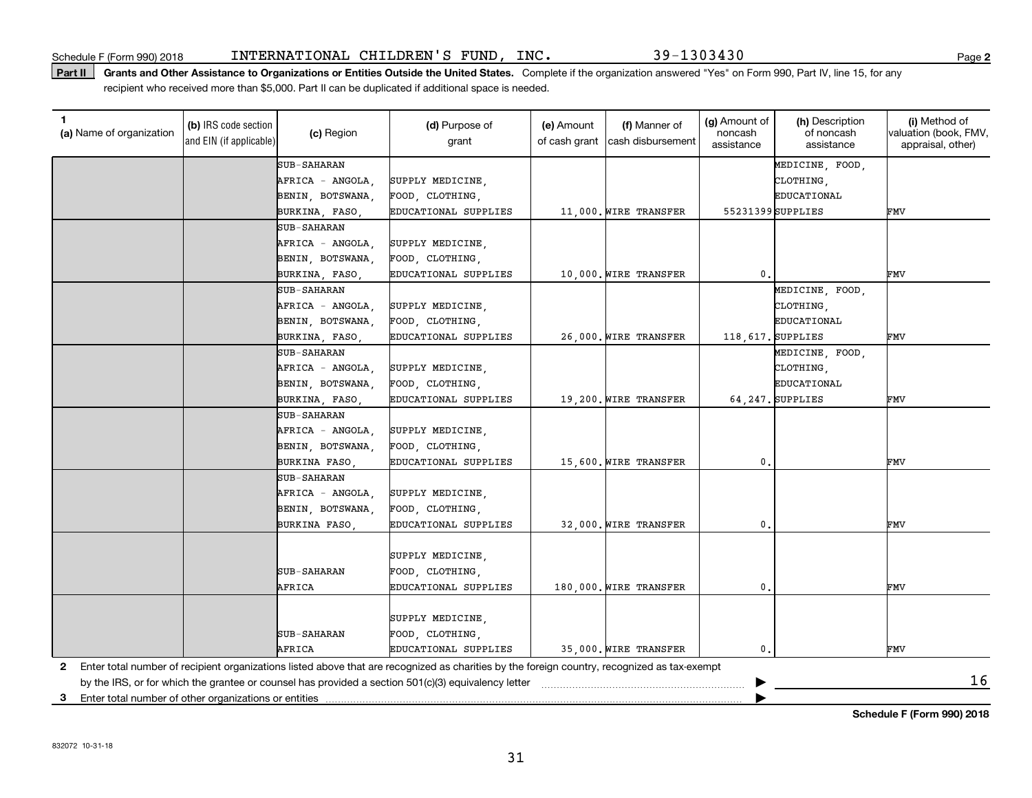#### Part II | Grants and Other Assistance to Organizations or Entities Outside the United States. Complete if the organization answered "Yes" on Form 990, Part IV, line 15, for any recipient who received more than \$5,000. Part II can be duplicated if additional space is needed.

| 1.<br>(a) Name of organization                             | (b) IRS code section<br>and EIN (if applicable) | (c) Region         | (d) Purpose of<br>grant                                                                                                                      | (e) Amount<br>of cash grant | (f) Manner of<br>cash disbursement | (g) Amount of<br>noncash<br>assistance | (h) Description<br>of noncash<br>assistance | (i) Method of<br>valuation (book, FMV,<br>appraisal, other) |
|------------------------------------------------------------|-------------------------------------------------|--------------------|----------------------------------------------------------------------------------------------------------------------------------------------|-----------------------------|------------------------------------|----------------------------------------|---------------------------------------------|-------------------------------------------------------------|
|                                                            |                                                 | <b>SUB-SAHARAN</b> |                                                                                                                                              |                             |                                    |                                        | MEDICINE, FOOD,                             |                                                             |
|                                                            |                                                 | AFRICA - ANGOLA.   | SUPPLY MEDICINE,                                                                                                                             |                             |                                    |                                        | CLOTHING,                                   |                                                             |
|                                                            |                                                 | BENIN, BOTSWANA,   | FOOD, CLOTHING,                                                                                                                              |                             |                                    |                                        | EDUCATIONAL                                 |                                                             |
|                                                            |                                                 | BURKINA, FASO,     | EDUCATIONAL SUPPLIES                                                                                                                         |                             | 11,000. WIRE TRANSFER              |                                        | 55231399SUPPLIES                            | FMV                                                         |
|                                                            |                                                 | <b>SUB-SAHARAN</b> |                                                                                                                                              |                             |                                    |                                        |                                             |                                                             |
|                                                            |                                                 | AFRICA - ANGOLA,   | SUPPLY MEDICINE,                                                                                                                             |                             |                                    |                                        |                                             |                                                             |
|                                                            |                                                 | BENIN, BOTSWANA,   | FOOD, CLOTHING,                                                                                                                              |                             |                                    |                                        |                                             |                                                             |
|                                                            |                                                 | BURKINA, FASO,     | EDUCATIONAL SUPPLIES                                                                                                                         |                             | 10,000. WIRE TRANSFER              | $\mathbf{0}$ .                         |                                             | FMV                                                         |
|                                                            |                                                 | <b>SUB-SAHARAN</b> |                                                                                                                                              |                             |                                    |                                        | MEDICINE, FOOD,                             |                                                             |
|                                                            |                                                 | AFRICA - ANGOLA,   | SUPPLY MEDICINE,                                                                                                                             |                             |                                    |                                        | CLOTHING,                                   |                                                             |
|                                                            |                                                 | BENIN, BOTSWANA,   | FOOD, CLOTHING,                                                                                                                              |                             |                                    |                                        | EDUCATIONAL                                 |                                                             |
|                                                            |                                                 | BURKINA, FASO,     | EDUCATIONAL SUPPLIES                                                                                                                         |                             | 26,000. WIRE TRANSFER              |                                        | 118, 617. SUPPLIES                          | FMV                                                         |
|                                                            |                                                 | <b>SUB-SAHARAN</b> |                                                                                                                                              |                             |                                    |                                        | MEDICINE, FOOD,                             |                                                             |
|                                                            |                                                 | AFRICA - ANGOLA,   | SUPPLY MEDICINE,                                                                                                                             |                             |                                    |                                        | CLOTHING,                                   |                                                             |
|                                                            |                                                 | BENIN, BOTSWANA,   | FOOD, CLOTHING,                                                                                                                              |                             |                                    |                                        | EDUCATIONAL                                 |                                                             |
|                                                            |                                                 | BURKINA, FASO,     | EDUCATIONAL SUPPLIES                                                                                                                         |                             | 19,200. WIRE TRANSFER              |                                        | 64, 247. SUPPLIES                           | FMV                                                         |
|                                                            |                                                 | <b>SUB-SAHARAN</b> |                                                                                                                                              |                             |                                    |                                        |                                             |                                                             |
|                                                            |                                                 | AFRICA - ANGOLA,   | SUPPLY MEDICINE,                                                                                                                             |                             |                                    |                                        |                                             |                                                             |
|                                                            |                                                 | BENIN, BOTSWANA,   | FOOD, CLOTHING,                                                                                                                              |                             |                                    |                                        |                                             |                                                             |
|                                                            |                                                 | BURKINA FASO,      | EDUCATIONAL SUPPLIES                                                                                                                         |                             | 15,600. WIRE TRANSFER              | 0.                                     |                                             | FMV                                                         |
|                                                            |                                                 | <b>SUB-SAHARAN</b> |                                                                                                                                              |                             |                                    |                                        |                                             |                                                             |
|                                                            |                                                 | AFRICA - ANGOLA.   | SUPPLY MEDICINE,                                                                                                                             |                             |                                    |                                        |                                             |                                                             |
|                                                            |                                                 | BENIN, BOTSWANA,   | FOOD, CLOTHING,                                                                                                                              |                             |                                    |                                        |                                             |                                                             |
|                                                            |                                                 | BURKINA FASO.      | EDUCATIONAL SUPPLIES                                                                                                                         |                             | 32.000. WIRE TRANSFER              | 0.                                     |                                             | FMV                                                         |
|                                                            |                                                 |                    |                                                                                                                                              |                             |                                    |                                        |                                             |                                                             |
|                                                            |                                                 |                    | SUPPLY MEDICINE,                                                                                                                             |                             |                                    |                                        |                                             |                                                             |
|                                                            |                                                 | <b>SUB-SAHARAN</b> | FOOD, CLOTHING,                                                                                                                              |                             |                                    |                                        |                                             |                                                             |
|                                                            |                                                 | AFRICA             | EDUCATIONAL SUPPLIES                                                                                                                         |                             | 180,000. WIRE TRANSFER             | $\mathbf{0}$                           |                                             | FMV                                                         |
|                                                            |                                                 |                    |                                                                                                                                              |                             |                                    |                                        |                                             |                                                             |
|                                                            |                                                 |                    | SUPPLY MEDICINE,                                                                                                                             |                             |                                    |                                        |                                             |                                                             |
|                                                            |                                                 | <b>SUB-SAHARAN</b> | FOOD, CLOTHING,                                                                                                                              |                             |                                    |                                        |                                             |                                                             |
|                                                            |                                                 | AFRICA             | EDUCATIONAL SUPPLIES                                                                                                                         |                             | 35,000. WIRE TRANSFER              | 0.                                     |                                             | FMV                                                         |
| 2                                                          |                                                 |                    | Enter total number of recipient organizations listed above that are recognized as charities by the foreign country, recognized as tax-exempt |                             |                                    |                                        |                                             |                                                             |
|                                                            |                                                 |                    | by the IRS, or for which the grantee or counsel has provided a section 501(c)(3) equivalency letter                                          |                             |                                    |                                        |                                             | 16                                                          |
| Enter total number of other organizations or entities<br>3 |                                                 |                    |                                                                                                                                              |                             |                                    |                                        |                                             |                                                             |

**Schedule F (Form 990) 2018**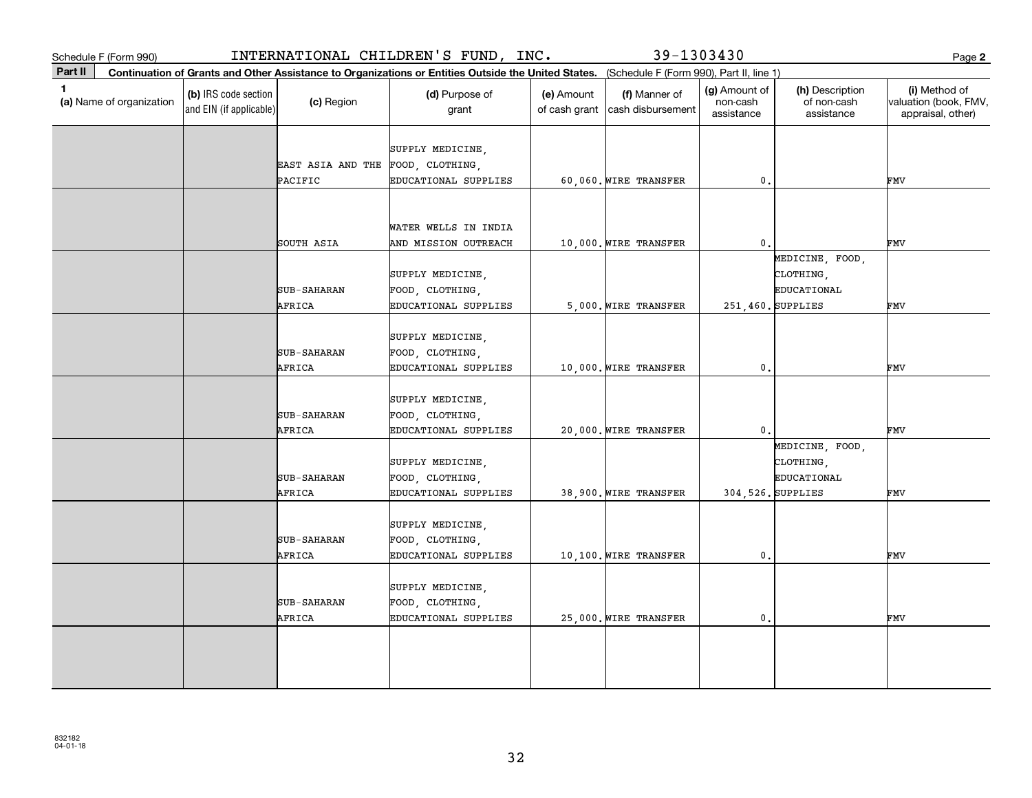|         | Schedule F (Form 990)    |                                                 |                                              | INTERNATIONAL CHILDREN'S FUND, INC.                                                                                                          |                             | 39-1303430                         |                                         |                                                                  | Page 2                                                      |
|---------|--------------------------|-------------------------------------------------|----------------------------------------------|----------------------------------------------------------------------------------------------------------------------------------------------|-----------------------------|------------------------------------|-----------------------------------------|------------------------------------------------------------------|-------------------------------------------------------------|
| Part II |                          |                                                 |                                              | Continuation of Grants and Other Assistance to Organizations or Entities Outside the United States. (Schedule F (Form 990), Part II, line 1) |                             |                                    |                                         |                                                                  |                                                             |
| 1.      | (a) Name of organization | (b) IRS code section<br>and EIN (if applicable) | (c) Region                                   | (d) Purpose of<br>grant                                                                                                                      | (e) Amount<br>of cash grant | (f) Manner of<br>cash disbursement | (g) Amount of<br>non-cash<br>assistance | (h) Description<br>of non-cash<br>assistance                     | (i) Method of<br>valuation (book, FMV,<br>appraisal, other) |
|         |                          |                                                 | EAST ASIA AND THE FOOD, CLOTHING,<br>PACIFIC | SUPPLY MEDICINE,<br>EDUCATIONAL SUPPLIES                                                                                                     |                             | 60,060. WIRE TRANSFER              | 0.                                      |                                                                  | FMV                                                         |
|         |                          |                                                 | SOUTH ASIA                                   | WATER WELLS IN INDIA<br>AND MISSION OUTREACH                                                                                                 |                             | 10,000. WIRE TRANSFER              | $\mathbf{0}$ .                          |                                                                  | FMV                                                         |
|         |                          |                                                 | <b>SUB-SAHARAN</b><br>AFRICA                 | SUPPLY MEDICINE,<br>FOOD, CLOTHING,<br>EDUCATIONAL SUPPLIES                                                                                  |                             | 5,000. WIRE TRANSFER               | 251,460. SUPPLIES                       | MEDICINE, FOOD,<br>CLOTHING,<br>EDUCATIONAL                      | FMV                                                         |
|         |                          |                                                 | <b>SUB-SAHARAN</b><br>AFRICA                 | SUPPLY MEDICINE,<br>FOOD, CLOTHING,<br>EDUCATIONAL SUPPLIES                                                                                  |                             | 10,000. WIRE TRANSFER              | $\mathbf{0}$ .                          |                                                                  | FMV                                                         |
|         |                          |                                                 | <b>SUB-SAHARAN</b><br>AFRICA                 | SUPPLY MEDICINE,<br>FOOD, CLOTHING,<br>EDUCATIONAL SUPPLIES                                                                                  |                             | 20,000. WIRE TRANSFER              | $\mathbf{0}$ .                          |                                                                  | FMV                                                         |
|         |                          |                                                 | SUB-SAHARAN<br>AFRICA                        | SUPPLY MEDICINE,<br>FOOD, CLOTHING,<br>EDUCATIONAL SUPPLIES                                                                                  |                             | 38,900. WIRE TRANSFER              |                                         | MEDICINE, FOOD,<br>CLOTHING,<br>EDUCATIONAL<br>304,526. SUPPLIES | FMV                                                         |
|         |                          |                                                 | <b>SUB-SAHARAN</b><br>AFRICA                 | SUPPLY MEDICINE,<br>FOOD, CLOTHING,<br>EDUCATIONAL SUPPLIES                                                                                  |                             | 10,100. WIRE TRANSFER              | $\mathfrak o$ .                         |                                                                  | FMV                                                         |
|         |                          |                                                 | <b>SUB-SAHARAN</b><br>AFRICA                 | SUPPLY MEDICINE,<br>FOOD, CLOTHING,<br>EDUCATIONAL SUPPLIES                                                                                  |                             | 25,000. WIRE TRANSFER              | $\mathbf{0}$ .                          |                                                                  | FMV                                                         |
|         |                          |                                                 |                                              |                                                                                                                                              |                             |                                    |                                         |                                                                  |                                                             |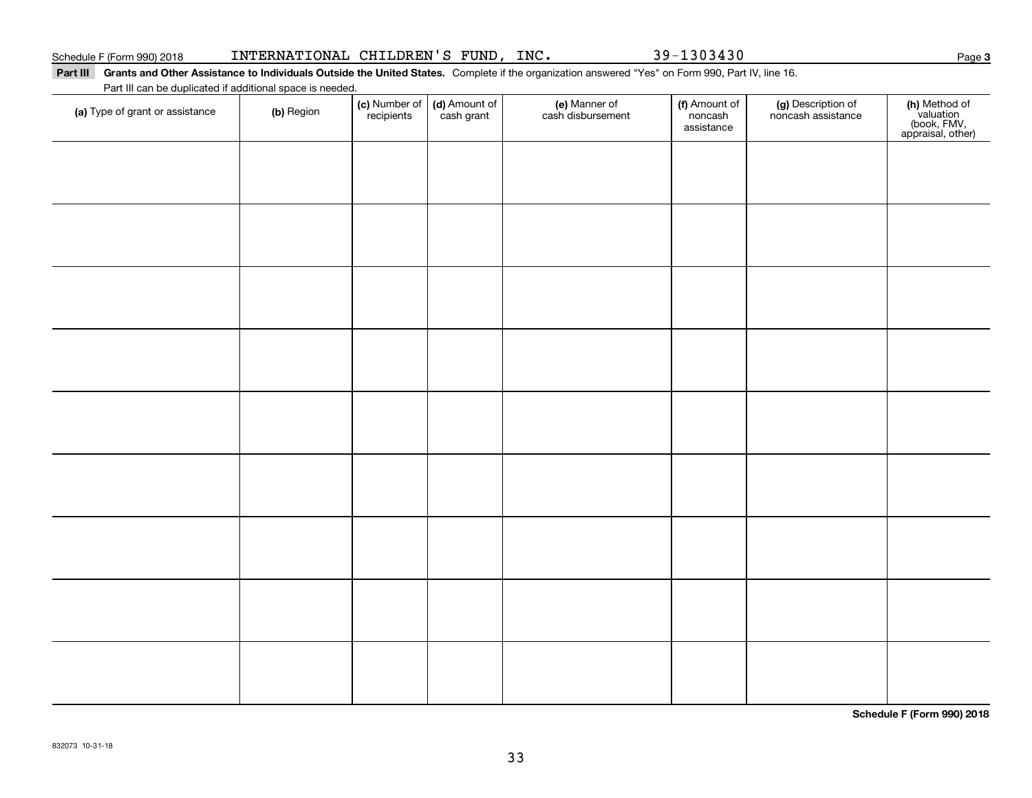#### Schedule F (Form 990) 2018 Page INTERNATIONAL CHILDREN'S FUND, INC. 39-1303430

#### Part III Grants and Other Assistance to Individuals Outside the United States. Complete if the organization answered "Yes" on Form 990, Part IV, line 16. Part III can be duplicated if additional space is needed.

| Fait in carribe duplicated in additional space is needed.<br>(a) Type of grant or assistance | (b) Region | (c) Number of<br>recipients | (d) Amount of | (e) Manner of<br>cash disbursement | (f) Amount of<br>noncash<br>assistance | (g) Description of<br>noncash assistance | (h) Method of<br>valuation<br>(book, FMV,<br>appraisal, other) |
|----------------------------------------------------------------------------------------------|------------|-----------------------------|---------------|------------------------------------|----------------------------------------|------------------------------------------|----------------------------------------------------------------|
|                                                                                              |            |                             |               |                                    |                                        |                                          |                                                                |
|                                                                                              |            |                             |               |                                    |                                        |                                          |                                                                |
|                                                                                              |            |                             |               |                                    |                                        |                                          |                                                                |
|                                                                                              |            |                             |               |                                    |                                        |                                          |                                                                |
|                                                                                              |            |                             |               |                                    |                                        |                                          |                                                                |
|                                                                                              |            |                             |               |                                    |                                        |                                          |                                                                |
|                                                                                              |            |                             |               |                                    |                                        |                                          |                                                                |
|                                                                                              |            |                             |               |                                    |                                        |                                          |                                                                |
|                                                                                              |            |                             |               |                                    |                                        |                                          |                                                                |
|                                                                                              |            |                             |               |                                    |                                        |                                          |                                                                |
|                                                                                              |            |                             |               |                                    |                                        |                                          |                                                                |

**Schedule F (Form 990) 2018**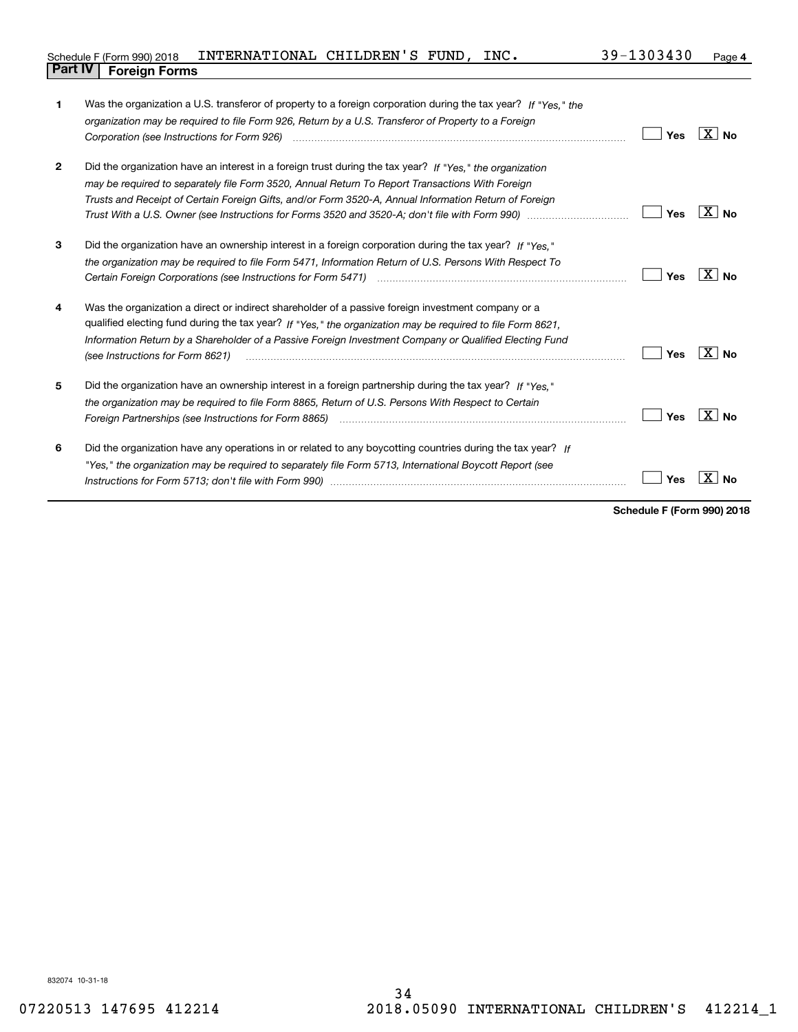|                                | Schedule F (Form 990) 2018    INTERNATIONAL CHILDREN'S FUND, |  | INC. | 39-1303430 | Page 4 |
|--------------------------------|--------------------------------------------------------------|--|------|------------|--------|
| <b>Part IV   Foreign Forms</b> |                                                              |  |      |            |        |

| 1              | Was the organization a U.S. transferor of property to a foreign corporation during the tax year? If "Yes." the                             |     |                           |
|----------------|--------------------------------------------------------------------------------------------------------------------------------------------|-----|---------------------------|
|                | organization may be required to file Form 926, Return by a U.S. Transferor of Property to a Foreign                                        |     |                           |
|                |                                                                                                                                            | Yes | $X \mid N_{0}$            |
| $\overline{2}$ | Did the organization have an interest in a foreign trust during the tax year? If "Yes," the organization                                   |     |                           |
|                | may be required to separately file Form 3520, Annual Return To Report Transactions With Foreign                                            |     |                           |
|                | Trusts and Receipt of Certain Foreign Gifts, and/or Form 3520-A, Annual Information Return of Foreign                                      |     |                           |
|                |                                                                                                                                            | Yes | $X \mid N_0$              |
| 3              | Did the organization have an ownership interest in a foreign corporation during the tax year? If "Yes."                                    |     |                           |
|                | the organization may be required to file Form 5471, Information Return of U.S. Persons With Respect To                                     |     |                           |
|                |                                                                                                                                            | Yes | $X \mid N_0$              |
| 4              | Was the organization a direct or indirect shareholder of a passive foreign investment company or a                                         |     |                           |
|                | qualified electing fund during the tax year? If "Yes," the organization may be required to file Form 8621,                                 |     |                           |
|                | Information Return by a Shareholder of a Passive Foreign Investment Company or Qualified Electing Fund<br>(see Instructions for Form 8621) | Yes | $\mathbf{X}$<br><b>No</b> |
| 5              | Did the organization have an ownership interest in a foreign partnership during the tax year? If "Yes."                                    |     |                           |
|                | the organization may be required to file Form 8865, Return of U.S. Persons With Respect to Certain                                         |     |                           |
|                |                                                                                                                                            | Yes | ΧI<br><b>No</b>           |
| 6              | Did the organization have any operations in or related to any boycotting countries during the tax year? If                                 |     |                           |
|                | "Yes," the organization may be reguired to separately file Form 5713, International Boycott Report (see                                    |     |                           |
|                |                                                                                                                                            | Yes |                           |
|                |                                                                                                                                            |     |                           |

**Schedule F (Form 990) 2018**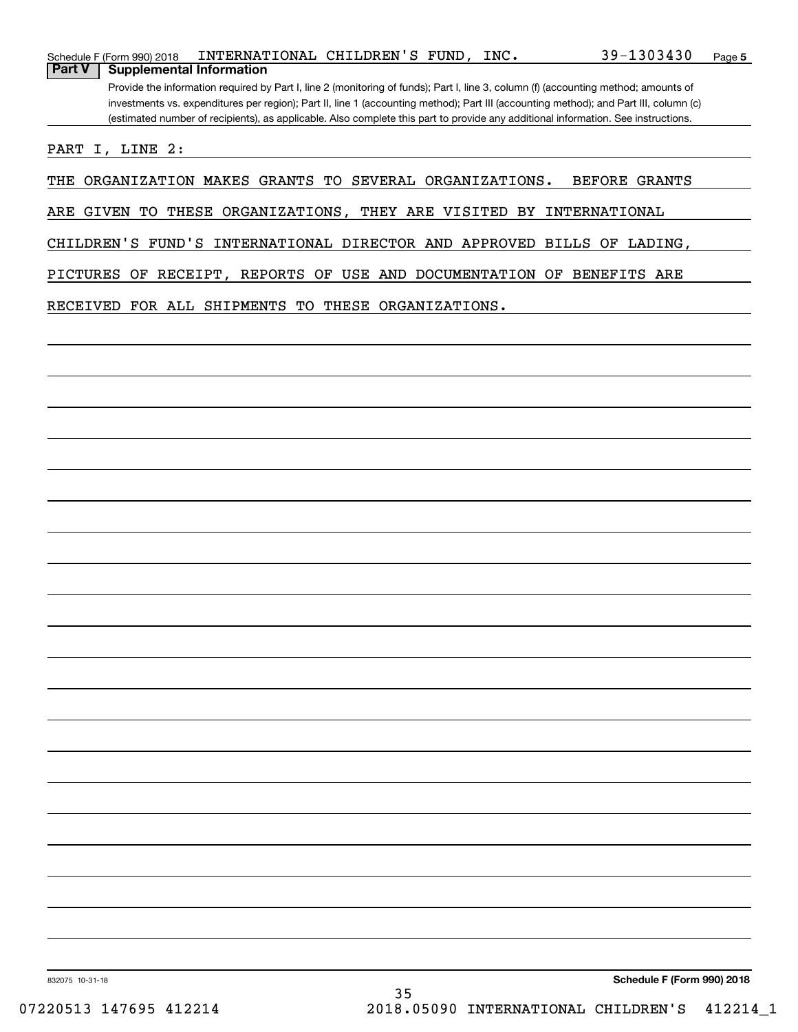|               | Schedule F (Form 990) 2018                                                                                                            | INTERNATIONAL CHILDREN'S FUND, |  |  | INC. | $39 - 1303430$                                                                                                                    | Page 5 |  |
|---------------|---------------------------------------------------------------------------------------------------------------------------------------|--------------------------------|--|--|------|-----------------------------------------------------------------------------------------------------------------------------------|--------|--|
| <b>Part V</b> | <b>Supplemental Information</b>                                                                                                       |                                |  |  |      |                                                                                                                                   |        |  |
|               | Provide the information required by Part I, line 2 (monitoring of funds); Part I, line 3, column (f) (accounting method; amounts of   |                                |  |  |      |                                                                                                                                   |        |  |
|               | investments vs. expenditures per region); Part II, line 1 (accounting method); Part III (accounting method); and Part III, column (c) |                                |  |  |      |                                                                                                                                   |        |  |
|               |                                                                                                                                       |                                |  |  |      | (estimated number of recipients), as applicable. Also complete this part to provide any additional information. See instructions. |        |  |

PART I, LINE 2:

THE ORGANIZATION MAKES GRANTS TO SEVERAL ORGANIZATIONS. BEFORE GRANTS

ARE GIVEN TO THESE ORGANIZATIONS, THEY ARE VISITED BY INTERNATIONAL

CHILDREN'S FUND'S INTERNATIONAL DIRECTOR AND APPROVED BILLS OF LADING,

PICTURES OF RECEIPT, REPORTS OF USE AND DOCUMENTATION OF BENEFITS ARE

RECEIVED FOR ALL SHIPMENTS TO THESE ORGANIZATIONS.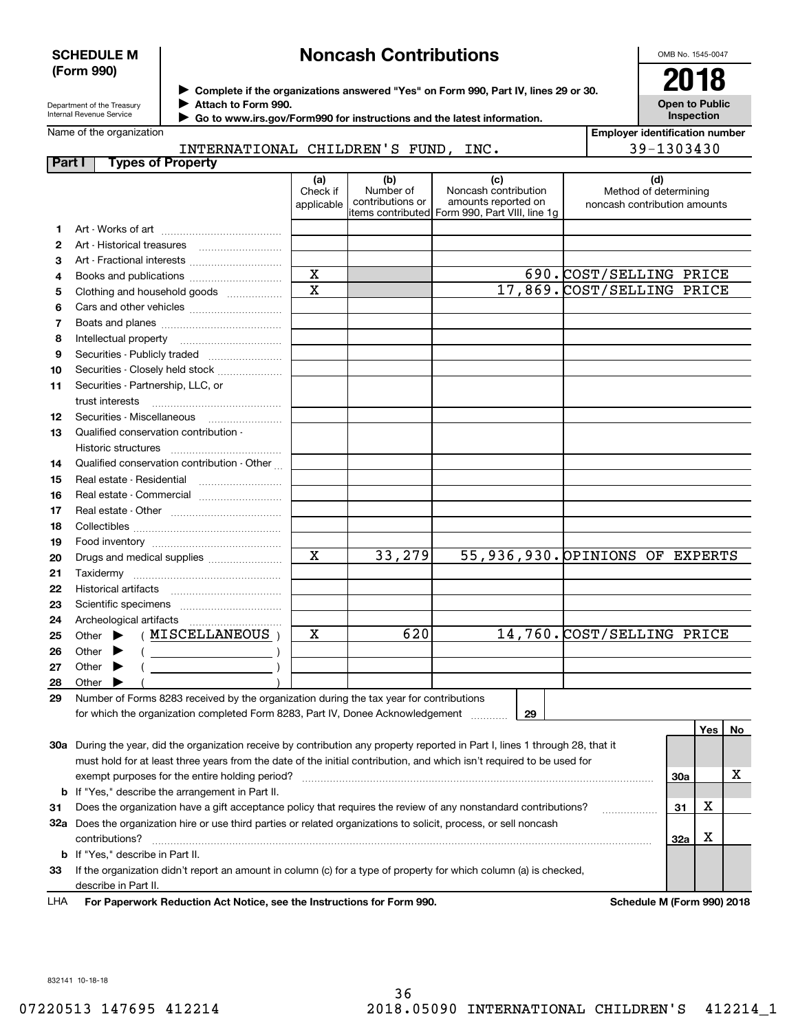### **SCHEDULE M (Form 990)**

# **Noncash Contributions**

OMB No. 1545-0047

**Open to Public**

| Department of the Treasury |  |
|----------------------------|--|
| Internal Revenue Service   |  |

**Complete if the organizations answered "Yes" on Form 990, Part IV, lines 29 or 30.** <sup>J</sup>**2018 Attach to Form 990.** J

| Internal Revenue Service<br>Go to www.irs.gov/Form990 for instructions and the latest information. |                                   |                                             |                               |                                      | Inspection                                                                                            |                                                              |
|----------------------------------------------------------------------------------------------------|-----------------------------------|---------------------------------------------|-------------------------------|--------------------------------------|-------------------------------------------------------------------------------------------------------|--------------------------------------------------------------|
|                                                                                                    | Name of the organization          |                                             |                               |                                      |                                                                                                       | <b>Employer identification number</b>                        |
|                                                                                                    |                                   | INTERNATIONAL CHILDREN'S FUND, INC.         |                               |                                      | 39-1303430                                                                                            |                                                              |
| <b>Part I</b>                                                                                      |                                   | <b>Types of Property</b>                    |                               |                                      |                                                                                                       |                                                              |
|                                                                                                    |                                   |                                             | (a)<br>Check if<br>applicable | (b)<br>Number of<br>contributions or | (c)<br>Noncash contribution<br>amounts reported on<br>litems contributed Form 990, Part VIII, line 1g | (d)<br>Method of determining<br>noncash contribution amounts |
| 1                                                                                                  |                                   |                                             |                               |                                      |                                                                                                       |                                                              |
| 2                                                                                                  |                                   |                                             |                               |                                      |                                                                                                       |                                                              |
| з                                                                                                  |                                   | Art - Fractional interests                  |                               |                                      |                                                                                                       |                                                              |
| 4                                                                                                  |                                   |                                             | $\mathbf X$                   |                                      |                                                                                                       | 690. COST/SELLING PRICE                                      |
| 5                                                                                                  |                                   | Clothing and household goods                | $\overline{\mathbf{x}}$       |                                      |                                                                                                       | 17,869. COST/SELLING PRICE                                   |
| 6                                                                                                  |                                   |                                             |                               |                                      |                                                                                                       |                                                              |
| 7                                                                                                  |                                   |                                             |                               |                                      |                                                                                                       |                                                              |
| 8                                                                                                  | Intellectual property             |                                             |                               |                                      |                                                                                                       |                                                              |
| 9                                                                                                  |                                   | Securities - Publicly traded                |                               |                                      |                                                                                                       |                                                              |
| 10                                                                                                 |                                   | Securities - Closely held stock             |                               |                                      |                                                                                                       |                                                              |
| 11                                                                                                 | Securities - Partnership, LLC, or |                                             |                               |                                      |                                                                                                       |                                                              |
|                                                                                                    | trust interests                   |                                             |                               |                                      |                                                                                                       |                                                              |
| 12                                                                                                 | Securities - Miscellaneous        |                                             |                               |                                      |                                                                                                       |                                                              |
| 13                                                                                                 |                                   | Qualified conservation contribution -       |                               |                                      |                                                                                                       |                                                              |
|                                                                                                    | Historic structures               |                                             |                               |                                      |                                                                                                       |                                                              |
| 14                                                                                                 |                                   | Qualified conservation contribution - Other |                               |                                      |                                                                                                       |                                                              |
| 15                                                                                                 | Real estate - Residential         |                                             |                               |                                      |                                                                                                       |                                                              |
| 16                                                                                                 |                                   | Real estate - Commercial                    |                               |                                      |                                                                                                       |                                                              |
| 17                                                                                                 |                                   |                                             |                               |                                      |                                                                                                       |                                                              |
| 18                                                                                                 |                                   |                                             |                               |                                      |                                                                                                       |                                                              |
| 19                                                                                                 |                                   |                                             |                               |                                      |                                                                                                       |                                                              |
| 20                                                                                                 |                                   | Drugs and medical supplies                  | $\overline{\mathbf{x}}$       | 33,279                               |                                                                                                       | 55,936,930. OPINIONS OF EXPERTS                              |
| 21                                                                                                 |                                   |                                             |                               |                                      |                                                                                                       |                                                              |
| 22                                                                                                 |                                   |                                             |                               |                                      |                                                                                                       |                                                              |
| 23                                                                                                 |                                   |                                             |                               |                                      |                                                                                                       |                                                              |
| 24                                                                                                 |                                   |                                             |                               |                                      |                                                                                                       |                                                              |
| 25                                                                                                 |                                   | Other > (MISCELLANEOUS)                     | $\overline{\mathbf{x}}$       | 620                                  |                                                                                                       | 14,760. COST/SELLING PRICE                                   |

| 29 Number of Forms 8283 received by the organization during the tax year for contributions |
|--------------------------------------------------------------------------------------------|
| for which the organization completed Form 8283, Part IV, Donee Acknowledgement             |

er  $\blacktriangleright$  ( )

er  $\blacktriangleright$  ( )

er  $\blacktriangleright$  ( )

|     |                                                                                                                            |                               | Yes l | No. |
|-----|----------------------------------------------------------------------------------------------------------------------------|-------------------------------|-------|-----|
| 30a | During the year, did the organization receive by contribution any property reported in Part I, lines 1 through 28, that it |                               |       |     |
|     | must hold for at least three years from the date of the initial contribution, and which isn't required to be used for      |                               |       |     |
|     | exempt purposes for the entire holding period?                                                                             | <b>30a</b>                    |       | x   |
|     | <b>b</b> If "Yes," describe the arrangement in Part II.                                                                    |                               |       |     |
| 31  | Does the organization have a gift acceptance policy that requires the review of any nonstandard contributions?             | 31                            | X     |     |
| 32a | Does the organization hire or use third parties or related organizations to solicit, process, or sell noncash              |                               |       |     |
|     | contributions?                                                                                                             | 32a                           | Χ     |     |
|     | <b>b</b> If "Yes." describe in Part II.                                                                                    |                               |       |     |
| 33  | If the organization didn't report an amount in column (c) for a type of property for which column (a) is checked,          |                               |       |     |
|     | describe in Part II.                                                                                                       |                               |       |     |
|     | LLLA — Esu Den currente De decetto n. A et Niction - e e etter fundamento no forme COO.                                    | Calcadole M. (Fause 000) 0040 |       |     |

**For Paperwork Reduction Act Notice, see the Instructions for Form 990. Schedule M (Form 990) 2018** LHA

832141 10-18-18

**262728** **Other** 

 $\blacktriangleright$  $\blacktriangleright$  $\blacktriangleright$ 

**Other** 

Other

**29**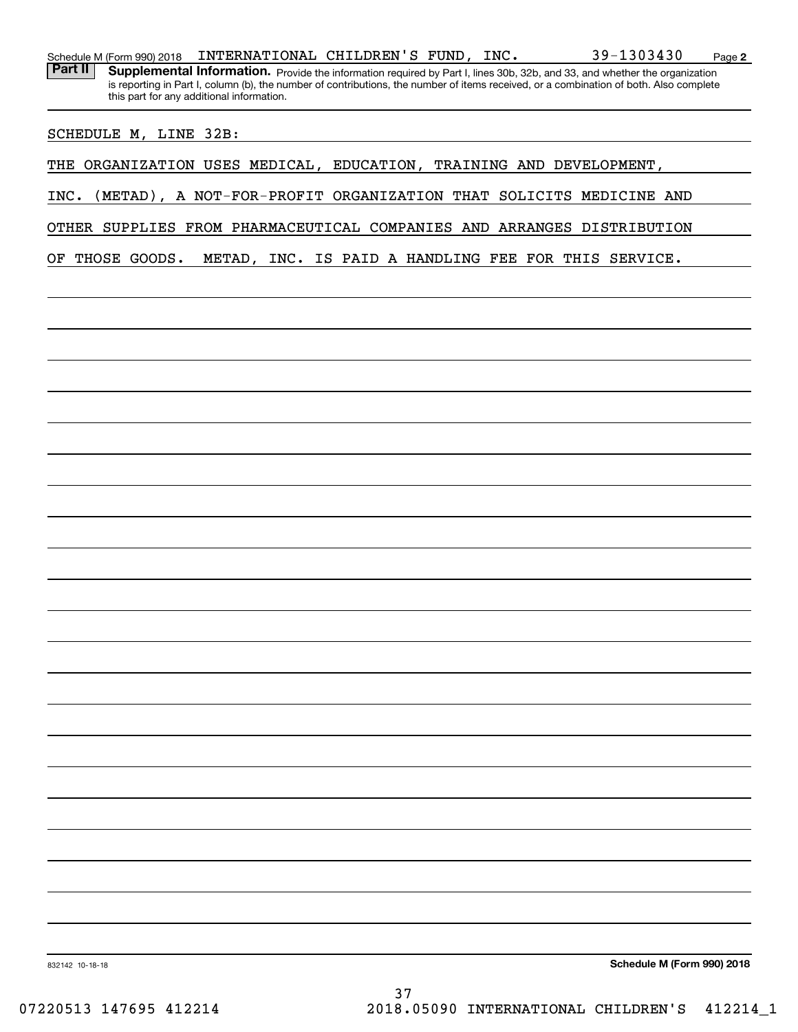Schedule M (Form 990) 2018  $\blacksquare$  INTERNATIONAL CHILDREN'S FUND, INC.  $\blacksquare$  39-1303430 Page

Part II | Supplemental Information. Provide the information required by Part I, lines 30b, 32b, and 33, and whether the organization is reporting in Part I, column (b), the number of contributions, the number of items received, or a combination of both. Also complete this part for any additional information.

SCHEDULE M, LINE 32B:

THE ORGANIZATION USES MEDICAL, EDUCATION, TRAINING AND DEVELOPMENT,

INC. (METAD), A NOT-FOR-PROFIT ORGANIZATION THAT SOLICITS MEDICINE AND

OTHER SUPPLIES FROM PHARMACEUTICAL COMPANIES AND ARRANGES DISTRIBUTION

OF THOSE GOODS. METAD, INC. IS PAID A HANDLING FEE FOR THIS SERVICE.

**Schedule M (Form 990) 2018**

**2**

832142 10-18-18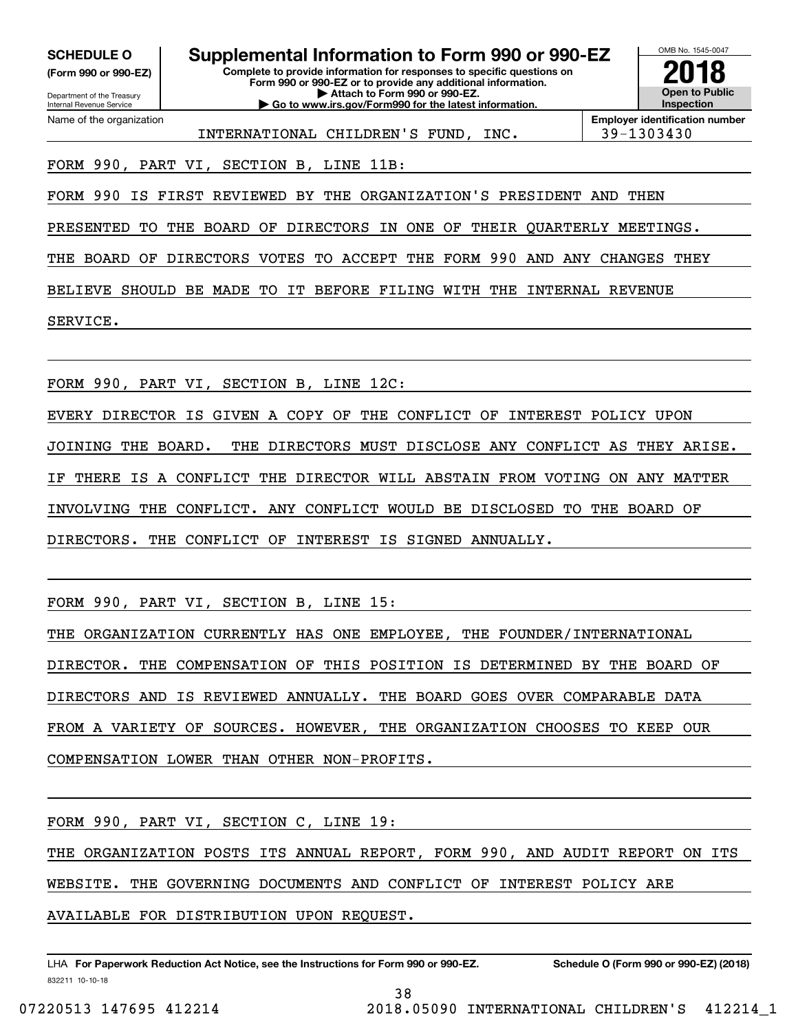**(Form 990 or 990-EZ)**

Department of the Treasury Internal Revenue Service Name of the organization

**Complete to provide information for responses to specific questions on Form 990 or 990-EZ or to provide any additional information. | Attach to Form 990 or 990-EZ. | Go to www.irs.gov/Form990 for the latest information. SCHEDULE O Supplemental Information to Form 990 or 990-EZ**



INTERNATIONAL CHILDREN'S FUND, INC. 39-1303430

FORM 990, PART VI, SECTION B, LINE 11B:

FORM 990 IS FIRST REVIEWED BY THE ORGANIZATION'S PRESIDENT AND THEN

PRESENTED TO THE BOARD OF DIRECTORS IN ONE OF THEIR QUARTERLY MEETINGS.

THE BOARD OF DIRECTORS VOTES TO ACCEPT THE FORM 990 AND ANY CHANGES THEY

BELIEVE SHOULD BE MADE TO IT BEFORE FILING WITH THE INTERNAL REVENUE

SERVICE.

FORM 990, PART VI, SECTION B, LINE 12C:

EVERY DIRECTOR IS GIVEN A COPY OF THE CONFLICT OF INTEREST POLICY UPON JOINING THE BOARD. THE DIRECTORS MUST DISCLOSE ANY CONFLICT AS THEY ARISE. IF THERE IS A CONFLICT THE DIRECTOR WILL ABSTAIN FROM VOTING ON ANY MATTER INVOLVING THE CONFLICT. ANY CONFLICT WOULD BE DISCLOSED TO THE BOARD OF DIRECTORS. THE CONFLICT OF INTEREST IS SIGNED ANNUALLY.

FORM 990, PART VI, SECTION B, LINE 15:

THE ORGANIZATION CURRENTLY HAS ONE EMPLOYEE, THE FOUNDER/INTERNATIONAL

DIRECTOR. THE COMPENSATION OF THIS POSITION IS DETERMINED BY THE BOARD OF

DIRECTORS AND IS REVIEWED ANNUALLY. THE BOARD GOES OVER COMPARABLE DATA

FROM A VARIETY OF SOURCES. HOWEVER, THE ORGANIZATION CHOOSES TO KEEP OUR

COMPENSATION LOWER THAN OTHER NON-PROFITS.

FORM 990, PART VI, SECTION C, LINE 19:

THE ORGANIZATION POSTS ITS ANNUAL REPORT, FORM 990, AND AUDIT REPORT ON ITS

WEBSITE. THE GOVERNING DOCUMENTS AND CONFLICT OF INTEREST POLICY ARE

AVAILABLE FOR DISTRIBUTION UPON REQUEST.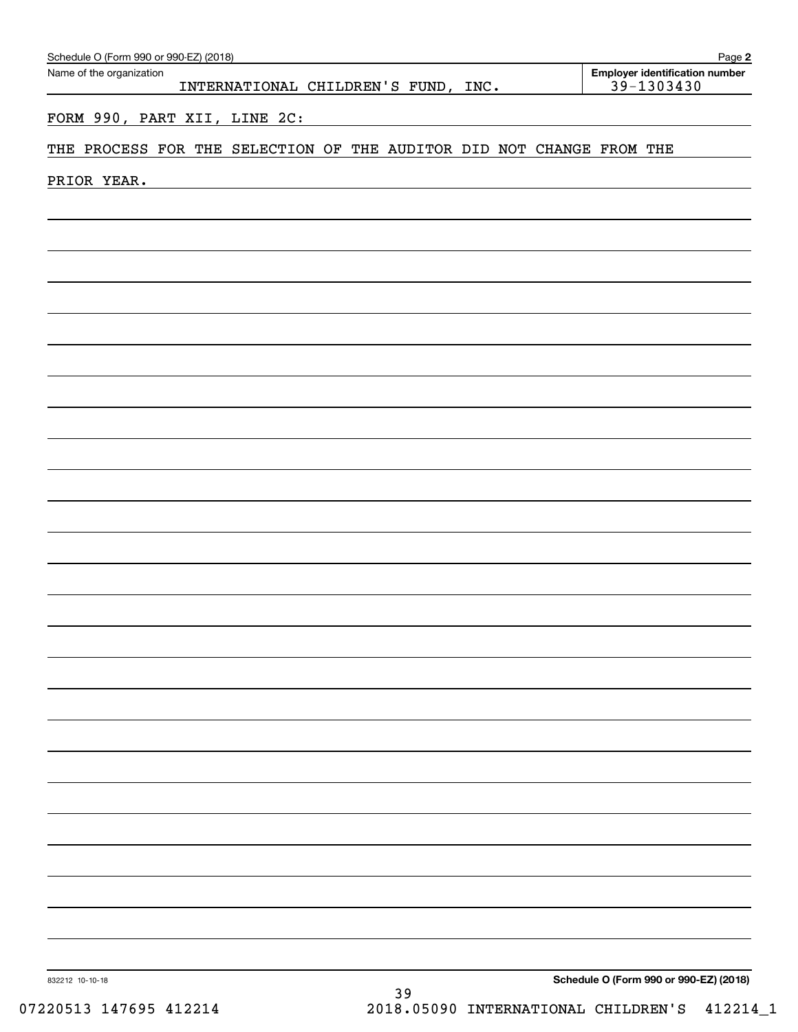| Schedule O (Form 990 or 990-EZ) (2018)<br>Name of the organization<br>INTERNATIONAL CHILDREN'S FUND, INC. |             |  |  |                                                                      |  |  |  |  |  | Page 2<br><b>Employer identification number</b><br>$39 - 1303430$ |  |                                        |
|-----------------------------------------------------------------------------------------------------------|-------------|--|--|----------------------------------------------------------------------|--|--|--|--|--|-------------------------------------------------------------------|--|----------------------------------------|
|                                                                                                           |             |  |  | FORM 990, PART XII, LINE 2C:                                         |  |  |  |  |  |                                                                   |  |                                        |
|                                                                                                           |             |  |  | THE PROCESS FOR THE SELECTION OF THE AUDITOR DID NOT CHANGE FROM THE |  |  |  |  |  |                                                                   |  |                                        |
|                                                                                                           | PRIOR YEAR. |  |  |                                                                      |  |  |  |  |  |                                                                   |  |                                        |
|                                                                                                           |             |  |  |                                                                      |  |  |  |  |  |                                                                   |  |                                        |
|                                                                                                           |             |  |  |                                                                      |  |  |  |  |  |                                                                   |  |                                        |
|                                                                                                           |             |  |  |                                                                      |  |  |  |  |  |                                                                   |  |                                        |
|                                                                                                           |             |  |  |                                                                      |  |  |  |  |  |                                                                   |  |                                        |
|                                                                                                           |             |  |  |                                                                      |  |  |  |  |  |                                                                   |  |                                        |
|                                                                                                           |             |  |  |                                                                      |  |  |  |  |  |                                                                   |  |                                        |
|                                                                                                           |             |  |  |                                                                      |  |  |  |  |  |                                                                   |  |                                        |
|                                                                                                           |             |  |  |                                                                      |  |  |  |  |  |                                                                   |  |                                        |
|                                                                                                           |             |  |  |                                                                      |  |  |  |  |  |                                                                   |  |                                        |
|                                                                                                           |             |  |  |                                                                      |  |  |  |  |  |                                                                   |  |                                        |
|                                                                                                           |             |  |  |                                                                      |  |  |  |  |  |                                                                   |  |                                        |
|                                                                                                           |             |  |  |                                                                      |  |  |  |  |  |                                                                   |  |                                        |
|                                                                                                           |             |  |  |                                                                      |  |  |  |  |  |                                                                   |  |                                        |
|                                                                                                           |             |  |  |                                                                      |  |  |  |  |  |                                                                   |  |                                        |
|                                                                                                           |             |  |  |                                                                      |  |  |  |  |  |                                                                   |  |                                        |
|                                                                                                           |             |  |  |                                                                      |  |  |  |  |  |                                                                   |  |                                        |
|                                                                                                           |             |  |  |                                                                      |  |  |  |  |  |                                                                   |  |                                        |
|                                                                                                           |             |  |  |                                                                      |  |  |  |  |  |                                                                   |  |                                        |
|                                                                                                           |             |  |  |                                                                      |  |  |  |  |  |                                                                   |  |                                        |
|                                                                                                           |             |  |  |                                                                      |  |  |  |  |  |                                                                   |  |                                        |
|                                                                                                           |             |  |  |                                                                      |  |  |  |  |  |                                                                   |  |                                        |
|                                                                                                           |             |  |  |                                                                      |  |  |  |  |  |                                                                   |  |                                        |
|                                                                                                           |             |  |  |                                                                      |  |  |  |  |  |                                                                   |  |                                        |
| 832212 10-10-18                                                                                           |             |  |  |                                                                      |  |  |  |  |  |                                                                   |  | Schedule O (Form 990 or 990-EZ) (2018) |